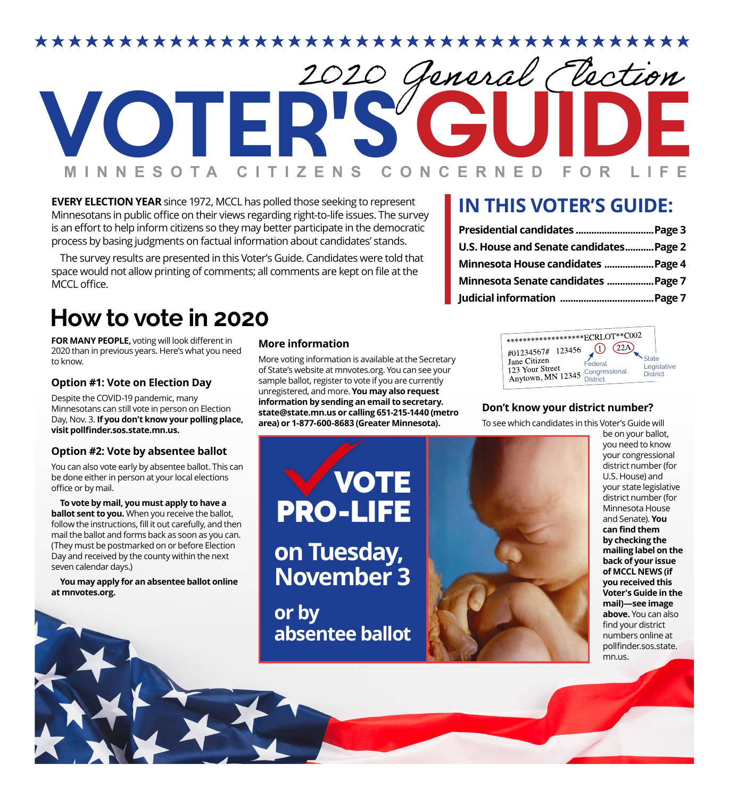

**EVERY ELECTION YEAR** since 1972, MCCL has polled those seeking to represent Minnesotans in public office on their views regarding right-to-life issues. The survey is an effort to help inform citizens so they may better participate in the democratic process by basing judgments on factual information about candidates' stands.

The survey results are presented in this Voter's Guide. Candidates were told that space would not allow printing of comments; all comments are kept on file at the MCCL office.

# **How to vote in 2020**

**FOR MANY PEOPLE,** voting will look different in 2020 than in previous years. Here's what you need to know.

#### **Option #1: Vote on Election Day**

Despite the COVID-19 pandemic, many Minnesotans can still vote in person on Election Day, Nov. 3. **If you don't know your polling place, visit pollfinder.sos.state.mn.us.**

#### **Option #2: Vote by absentee ballot**

You can also vote early by absentee ballot. This can be done either in person at your local elections office or by mail.

**To vote by mail, you must apply to have a ballot sent to you.** When you receive the ballot, follow the instructions, fill it out carefully, and then mail the ballot and forms back as soon as you can. (They must be postmarked on or before Election Day and received by the county within the next seven calendar days.)

**You may apply for an absentee ballot online at mnvotes.org.**

#### **More information**

More voting information is available at the Secretary of State's website at mnvotes.org. You can see your sample ballot, register to vote if you are currently unregistered, and more. **You may also request information by sending an email to secretary. state@state.mn.us or calling 651-215-1440 (metro area) or 1-877-600-8683 (Greater Minnesota).** 

## **IN THIS VOTER'S GUIDE:**

| U.S. House and Senate candidates Page 2 |  |
|-----------------------------------------|--|
| Minnesota House candidates Page 4       |  |
| Minnesota Senate candidates Page 7      |  |
|                                         |  |

| *********************ECRLOT**C002                                         |                                      |                                         |
|---------------------------------------------------------------------------|--------------------------------------|-----------------------------------------|
| #01234567# 123456<br>Jane Citizen<br>123 Your Street<br>Anytown, MN 12345 | Federal<br>Congressional<br>District | State<br>Legislative<br><b>District</b> |
|                                                                           |                                      |                                         |

#### **Don't know your district number?**

To see which candidates in this Voter's Guide will

**VOTE** 

**on Tuesday,** 

PRO-LIFE

**November 3**

**absentee ballot**

**or by** 



be on your ballot, you need to know your congressional district number (for U.S. House) and your state legislative district number (for Minnesota House and Senate). **You can find them by checking the mailing label on the back of your issue of MCCL NEWS (if you received this Voter's Guide in the mail)—see image above.** You can also find your district numbers online at pollfinder.sos.state. mn.us.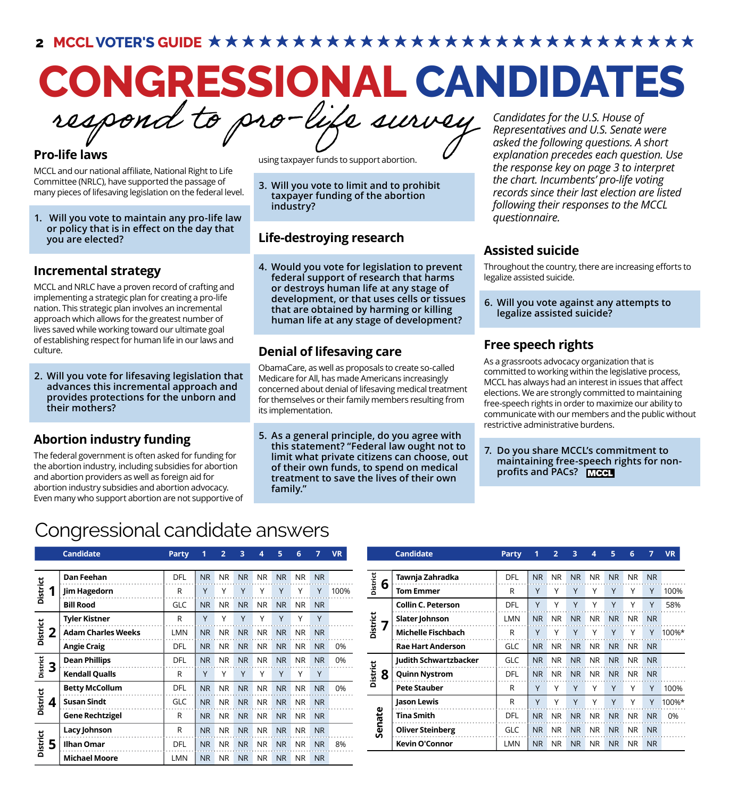**2 MCCL VOTER'S GUIDE**

# **CONGRESSIONAL CANDIDATES**

respond to pro-life survey

#### **Pro-life laws**

MCCL and our national affiliate, National Right to Life Committee (NRLC), have supported the passage of many pieces of lifesaving legislation on the federal level.

**1. Will you vote to maintain any pro-life law or policy that is in effect on the day that you are elected?**

#### **Incremental strategy**

MCCL and NRLC have a proven record of crafting and implementing a strategic plan for creating a pro-life nation. This strategic plan involves an incremental approach which allows for the greatest number of lives saved while working toward our ultimate goal of establishing respect for human life in our laws and culture.

**2. Will you vote for lifesaving legislation that advances this incremental approach and provides protections for the unborn and their mothers?**

#### **Abortion industry funding**

The federal government is often asked for funding for the abortion industry, including subsidies for abortion and abortion providers as well as foreign aid for abortion industry subsidies and abortion advocacy. Even many who support abortion are not supportive of using taxpayer funds to support abortion.

**3. Will you vote to limit and to prohibit taxpayer funding of the abortion industry?**

#### **Life-destroying research**

**4. Would you vote for legislation to prevent federal support of research that harms or destroys human life at any stage of development, or that uses cells or tissues that are obtained by harming or killing human life at any stage of development?**

## **Denial of lifesaving care**

ObamaCare, as well as proposals to create so-called Medicare for All, has made Americans increasingly concerned about denial of lifesaving medical treatment for themselves or their family members resulting from its implementation.

**5. As a general principle, do you agree with this statement? "Federal law ought not to limit what private citizens can choose, out of their own funds, to spend on medical treatment to save the lives of their own family."**

*Candidates for the U.S. House of Representatives and U.S. Senate were asked the following questions. A short explanation precedes each question. Use the response key on page 3 to interpret the chart. Incumbents' pro-life voting records since their last election are listed following their responses to the MCCL questionnaire.*

#### **Assisted suicide**

Throughout the country, there are increasing efforts to legalize assisted suicide.

**6. Will you vote against any attempts to legalize assisted suicide?**

## **Free speech rights**

As a grassroots advocacy organization that is committed to working within the legislative process, MCCL has always had an interest in issues that affect elections. We are strongly committed to maintaining free-speech rights in order to maximize our ability to communicate with our members and the public without restrictive administrative burdens.

**7. Do you share MCCL's commitment to maintaining free-speech rights for nonprofits and PACs?**

## Congressional candidate answers

|                      | Canuluate                 | rar ty     |           | ∠         | J.        | 4         | э         | o         | ,              | VK   |
|----------------------|---------------------------|------------|-----------|-----------|-----------|-----------|-----------|-----------|----------------|------|
|                      |                           |            |           |           |           |           |           |           |                |      |
|                      | <b>Dan Feehan</b>         | DFL        | <b>NR</b> | <b>NR</b> | <b>NR</b> | <b>NR</b> | <b>NR</b> | <b>NR</b> | N <sub>R</sub> |      |
| <b>District</b><br>1 | <b>Jim Hagedorn</b>       | R          | Y         | Υ         | Y         | Υ         | Υ         | Υ         | Υ              | 100% |
|                      | <b>Bill Rood</b>          | <b>GLC</b> | <b>NR</b> | <b>NR</b> | <b>NR</b> | <b>NR</b> | <b>NR</b> | <b>NR</b> | <b>NR</b>      |      |
|                      | <b>Tyler Kistner</b>      | R          | Y         | Υ         | Y         | Υ         | Υ         | Υ         | Y              |      |
| <b>District</b><br>2 | <b>Adam Charles Weeks</b> | <b>LMN</b> | <b>NR</b> | <b>NR</b> | <b>NR</b> | <b>NR</b> | <b>NR</b> | <b>NR</b> | <b>NR</b>      |      |
|                      | <b>Angie Craig</b>        | <b>DFL</b> | <b>NR</b> | <b>NR</b> | <b>NR</b> | NR.       | <b>NR</b> | NR.       | <b>NR</b>      | 0%   |
| <b>District</b><br>3 | <b>Dean Phillips</b>      | <b>DFL</b> | <b>NR</b> | <b>NR</b> | <b>NR</b> | <b>NR</b> | <b>NR</b> | <b>NR</b> | <b>NR</b>      | 0%   |
|                      | <b>Kendall Qualls</b>     | R          | Υ         | Υ         | Υ         | Υ         | Υ         | Υ         | Υ              |      |
|                      | <b>Betty McCollum</b>     | <b>DFL</b> | <b>NR</b> | <b>NR</b> | <b>NR</b> | NR.       | <b>NR</b> | <b>NR</b> | <b>NR</b>      | 0%   |
| <b>District</b><br>4 | <b>Susan Sindt</b>        | <b>GLC</b> | <b>NR</b> | <b>NR</b> | <b>NR</b> | <b>NR</b> | <b>NR</b> | <b>NR</b> | <b>NR</b>      |      |
|                      | <b>Gene Rechtzigel</b>    | R          | <b>NR</b> | <b>NR</b> | <b>NR</b> | <b>NR</b> | <b>NR</b> | <b>NR</b> | <b>NR</b>      |      |
|                      | Lacy Johnson              | R          | <b>NR</b> | <b>NR</b> | <b>NR</b> | NR.       | <b>NR</b> | <b>NR</b> | N <sub>R</sub> |      |
| <b>District</b><br>5 | <b>Ilhan Omar</b>         | <b>DFL</b> | <b>NR</b> | <b>NR</b> | <b>NR</b> | NR.       | <b>NR</b> | <b>NR</b> | N <sub>R</sub> | 8%   |
|                      | <b>Michael Moore</b>      | LMN        | <b>NR</b> | <b>NR</b> | <b>NR</b> | NR.       | <b>NR</b> | NR.       | <b>NR</b>      |      |

| <b>Candidate</b>          | Party      |                |           | 3         | 4         | 5         | $6 \overline{6}$ |           | <b>VR</b> |                              | <b>Candidate</b>          | <b>Party</b> |                |              | 3         | 4         | 5.        | 6         |           | <b>VR</b> |
|---------------------------|------------|----------------|-----------|-----------|-----------|-----------|------------------|-----------|-----------|------------------------------|---------------------------|--------------|----------------|--------------|-----------|-----------|-----------|-----------|-----------|-----------|
|                           |            |                |           |           |           |           |                  |           |           |                              |                           |              |                |              |           |           |           |           |           |           |
| <b>Dan Feehan</b>         | <b>DFL</b> | NR.            | <b>NR</b> | <b>NR</b> | <b>NR</b> | <b>NR</b> | <b>NR</b>        | <b>NR</b> |           | τ<br>6                       | Tawnja Zahradka           | <b>DFL</b>   | <b>NR</b>      | <b>NR</b>    | <b>NR</b> | <b>NR</b> | <b>NR</b> | <b>NR</b> | <b>NR</b> |           |
| Jim Hagedorn              | R          |                |           |           |           |           |                  |           | 100%      | Distri                       | <b>Tom Emmer</b>          | R            |                |              |           |           |           |           | Υ         | 100%      |
| <b>Bill Rood</b>          | <b>GLC</b> | NR I           | <b>NR</b> | <b>NR</b> | <b>NR</b> | <b>NR</b> | NR.              | <b>NR</b> |           |                              | <b>Collin C. Peterson</b> | DFL          |                |              |           |           |           |           | γ         | 58%       |
| <b>Tyler Kistner</b>      | R          |                |           | $\vee$    |           | Y         | $\checkmark$     | Y         |           | <b>District</b>              | Slater Johnson            | LMN          | <b>NR</b>      | <b>NR</b>    | <b>NR</b> | <b>NR</b> | <b>NR</b> | NR.       | <b>NR</b> |           |
| <b>Adam Charles Weeks</b> | <b>LMN</b> | <b>NR</b>      | NR.       | <b>NR</b> | <b>NR</b> | <b>NR</b> | <b>NR</b>        | <b>NR</b> |           |                              | <b>Michelle Fischbach</b> | R            |                |              |           |           |           |           |           | 100%*     |
| <b>Angie Craig</b>        | DFL        | NR.            | <b>NR</b> | <b>NR</b> | <b>NR</b> | <b>NR</b> | <b>NR</b>        | <b>NR</b> | 0%        |                              | <b>Rae Hart Anderson</b>  | GLC          | <b>NR</b>      | <b>NR</b>    | <b>NR</b> | <b>NR</b> | <b>NR</b> | NR.       | <b>NR</b> |           |
| <b>Dean Phillips</b>      | <b>DFL</b> | NR.            | <b>NR</b> | <b>NR</b> | <b>NR</b> | <b>NR</b> | <b>NR</b>        | <b>NR</b> | 0%        | Ħ                            | Judith Schwartzbacker     | <b>GLC</b>   | N <sub>R</sub> | <b>NR</b>    | <b>NR</b> | <b>NR</b> | <b>NR</b> | <b>NR</b> | <b>NR</b> |           |
| <b>Kendall Qualls</b>     | R          |                |           |           |           | Y         |                  | Υ         |           | šť<br>8                      | <b>Quinn Nystrom</b>      | <b>DFL</b>   | <b>NR</b>      | <b>NR</b>    | <b>NR</b> | <b>NR</b> | <b>NR</b> | NR.       | <b>NR</b> |           |
| <b>Betty McCollum</b>     | DFL        | N <sub>R</sub> | <b>NR</b> | <b>NR</b> | <b>NR</b> | <b>NR</b> | <b>NR</b>        | <b>NR</b> | 0%        | $\Omega$                     | <b>Pete Stauber</b>       | R            |                |              |           |           |           |           | γ         | 100%      |
| Susan Sindt               | GLC        | <b>NR</b>      | <b>NR</b> | <b>NR</b> | <b>NR</b> | <b>NR</b> | NR.              | <b>NR</b> |           |                              | Jason Lewis               | R            |                | $\checkmark$ | $\vee$    |           |           |           | Y         | 100%*     |
| <b>Gene Rechtzigel</b>    | R          | NR.            | <b>NR</b> | <b>NR</b> | <b>NR</b> | <b>NR</b> | NR.              | <b>NR</b> |           | ω<br>ਫ਼ਿ                     | <b>Tina Smith</b>         | <b>DFL</b>   | <b>NR</b>      | <b>NR</b>    | <b>NR</b> | <b>NR</b> | <b>NR</b> | NR.       | <b>NR</b> | 0%        |
| Lacy Johnson              | R          | N <sub>R</sub> | <b>NR</b> | <b>NR</b> | <b>NR</b> | <b>NR</b> | NR.              | <b>NR</b> |           | $\overline{\mathbf{v}}$<br>n | <b>Oliver Steinberg</b>   | GLC          | <b>NR</b>      | <b>NR</b>    | <b>NR</b> | <b>NR</b> | <b>NR</b> | NR.       | <b>NR</b> |           |
| <b>Ilhan Omar</b>         | <b>DFL</b> | NR.            | <b>NR</b> | <b>NR</b> | <b>NR</b> | <b>NR</b> | NR.              | <b>NR</b> | 8%        |                              | <b>Kevin O'Connor</b>     | LMN          | NR.            | <b>NR</b>    | <b>NR</b> | NR.       | <b>NR</b> | NR.       | <b>NR</b> |           |
|                           |            |                |           |           |           |           |                  |           |           |                              |                           |              |                |              |           |           |           |           |           |           |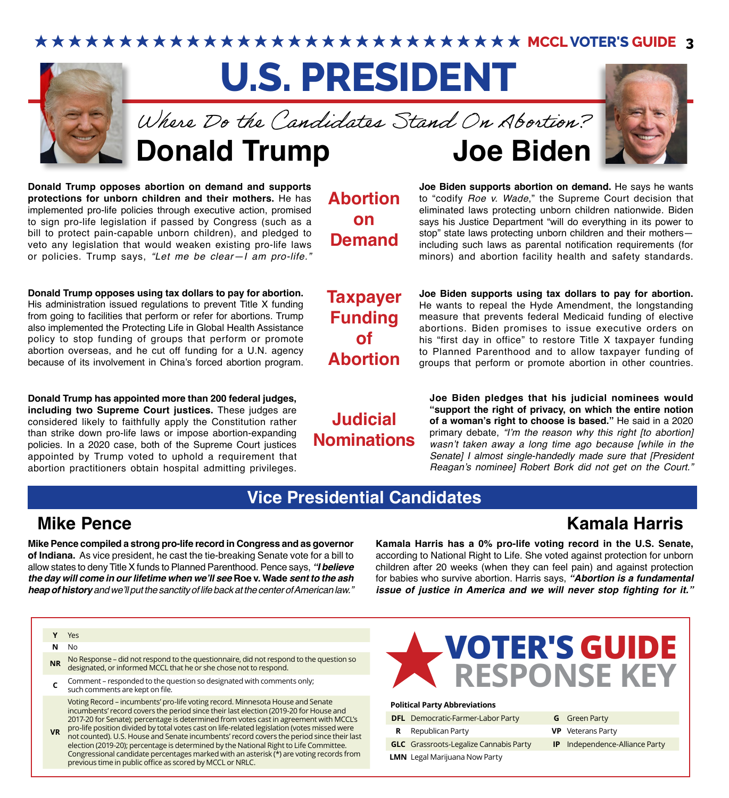★★★★★★★★★★★★★★★★★★★★★★★★★★★ MCCL VOTER'S GUIDE 3

# **U.S. PRESIDENT**



**Donald Trump Joe Biden** Where Do the Candidates Stand On Abortion?

**Donald Trump opposes abortion on demand and supports protections for unborn children and their mothers.** He has implemented pro-life policies through executive action, promised to sign pro-life legislation if passed by Congress (such as a bill to protect pain-capable unborn children), and pledged to veto any legislation that would weaken existing pro-life laws or policies. Trump says, *"Let me be clear—I am pro-life."*

**Donald Trump opposes using tax dollars to pay for abortion.**  His administration issued regulations to prevent Title X funding from going to facilities that perform or refer for abortions. Trump also implemented the Protecting Life in Global Health Assistance policy to stop funding of groups that perform or promote abortion overseas, and he cut off funding for a U.N. agency because of its involvement in China's forced abortion program.

**Donald Trump has appointed more than 200 federal judges, including two Supreme Court justices.** These judges are considered likely to faithfully apply the Constitution rather than strike down pro-life laws or impose abortion-expanding policies. In a 2020 case, both of the Supreme Court justices appointed by Trump voted to uphold a requirement that abortion practitioners obtain hospital admitting privileges.

**Abortion on Demand**



**Joe Biden supports abortion on demand.** He says he wants to "codify *Roe v. Wade*," the Supreme Court decision that eliminated laws protecting unborn children nationwide. Biden says his Justice Department "will do everything in its power to stop" state laws protecting unborn children and their mothers including such laws as parental notification requirements (for minors) and abortion facility health and safety standards.

**Taxpayer Funding of Abortion**

**Judicial Nominations**

**Joe Biden supports using tax dollars to pay for abortion.** He wants to repeal the Hyde Amendment, the longstanding measure that prevents federal Medicaid funding of elective abortions. Biden promises to issue executive orders on his "first day in office" to restore Title X taxpayer funding to Planned Parenthood and to allow taxpayer funding of groups that perform or promote abortion in other countries.

**Joe Biden pledges that his judicial nominees would "support the right of privacy, on which the entire notion of a woman's right to choose is based."** He said in a 2020 primary debate, "I'm the reason why this right [to abortion] wasn't taken away a long time ago because [while in the Senate] I almost single-handedly made sure that [President Reagan's nominee] Robert Bork did not get on the Court."

## **Vice Presidential Candidates**

## **Mike Pence**

**Kamala Harris**

**Mike Pence compiled a strong pro-life record in Congress and as governor of Indiana.** As vice president, he cast the tie-breaking Senate vote for a bill to allow states to deny Title X funds to Planned Parenthood. Pence says, *"I believe*  **the day will come in our lifetime when we'll see Roe v. Wade sent to the ash heap of history** and we'll put the sanctity of life back at the center of American law."

**Kamala Harris has a 0% pro-life voting record in the U.S. Senate,** according to National Right to Life. She voted against protection for unborn children after 20 weeks (when they can feel pain) and against protection for babies who survive abortion. Harris says, **"Abortion is a fundamental issue of justice in America and we will never stop fighting for it."**

#### **Y** Yes

**N** No

- **NR** No Response did not respond to the questionnaire, did not respond to the question so designated, or informed MCCL that he or she chose not to respond.
- **C** Comment responded to the question so designated with comments only; such comments are kept on file.

Voting Record – incumbents' pro-life voting record. Minnesota House and Senate incumbents' record covers the period since their last election (2019-20 for House and 2017-20 for Senate); percentage is determined from votes cast in agreement with MCCL's pro-life position divided by total votes cast on life-related legislation (votes missed were

**VR** not counted). U.S. House and Senate incumbents' record covers the period since their last election (2019-20); percentage is determined by the National Right to Life Committee. Congressional candidate percentages marked with an asterisk (\*) are voting records from previous time in public office as scored by MCCL or NRLC.



#### **Political Party Abbreviations**

|    | <b>DFL</b> Democratic-Farmer-Labor Party      | <b>G</b> Green Party                  |
|----|-----------------------------------------------|---------------------------------------|
| R. | Republican Party                              | <b>VP</b> Veterans Party              |
|    | <b>GLC</b> Grassroots-Legalize Cannabis Party | <b>IP</b> Independence-Alliance Party |
|    | <b>LMN</b> Legal Marijuana Now Party          |                                       |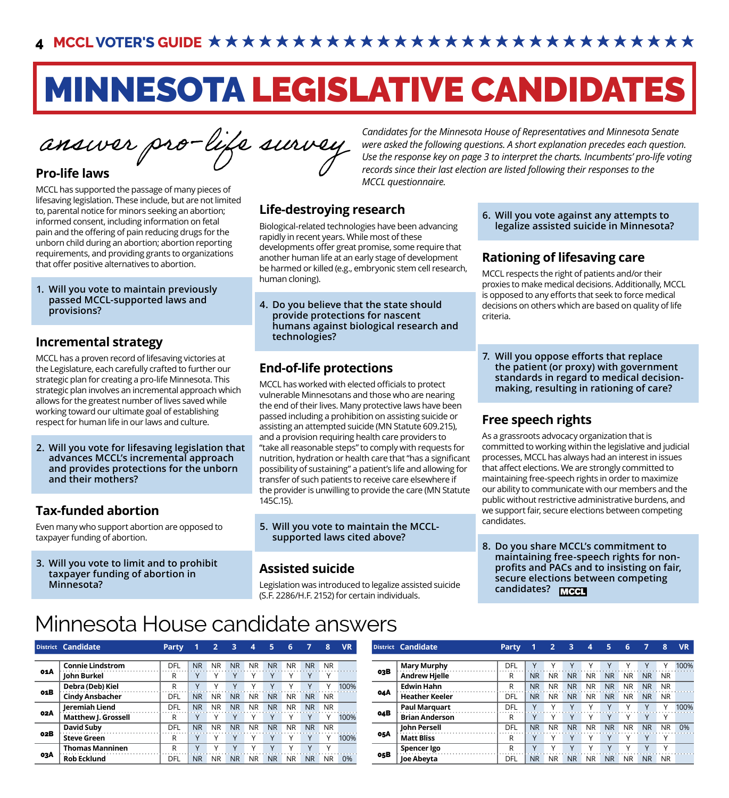# MINNESOTA LEGISLATIVE CANDIDATES

#### **Pro-life laws**

MCCL has supported the passage of many pieces of lifesaving legislation. These include, but are not limited to, parental notice for minors seeking an abortion; informed consent, including information on fetal pain and the offering of pain reducing drugs for the unborn child during an abortion; abortion reporting requirements, and providing grants to organizations that offer positive alternatives to abortion.

**1. Will you vote to maintain previously passed MCCL-supported laws and provisions?**

#### **Incremental strategy**

MCCL has a proven record of lifesaving victories at the Legislature, each carefully crafted to further our strategic plan for creating a pro-life Minnesota. This strategic plan involves an incremental approach which allows for the greatest number of lives saved while working toward our ultimate goal of establishing respect for human life in our laws and culture.

**2. Will you vote for lifesaving legislation that advances MCCL's incremental approach and provides protections for the unborn and their mothers?**

## **Tax-funded abortion**

Even many who support abortion are opposed to taxpayer funding of abortion.

**3. Will you vote to limit and to prohibit taxpayer funding of abortion in Minnesota?**

Candidates for the Minnesota House of Representatives and Minnesota Senate<br>Cand and Canadidates for the Minnesota House of Representatives and Minnesota Senate<br>Canadidates for the Minnesota House of Representatives and Min *were asked the following questions. A short explanation precedes each question. Use the response key on page 3 to interpret the charts. Incumbents' pro-life voting records since their last election are listed following their responses to the MCCL questionnaire.*

#### **Life-destroying research**

Biological-related technologies have been advancing rapidly in recent years. While most of these developments offer great promise, some require that another human life at an early stage of development be harmed or killed (e.g., embryonic stem cell research, human cloning).

**4. Do you believe that the state should provide protections for nascent humans against biological research and technologies?**

## **End-of-life protections**

MCCL has worked with elected officials to protect vulnerable Minnesotans and those who are nearing the end of their lives. Many protective laws have been passed including a prohibition on assisting suicide or assisting an attempted suicide (MN Statute 609.215), and a provision requiring health care providers to "take all reasonable steps" to comply with requests for nutrition, hydration or health care that "has a significant possibility of sustaining" a patient's life and allowing for transfer of such patients to receive care elsewhere if the provider is unwilling to provide the care (MN Statute 145C.15).

**5. Will you vote to maintain the MCCLsupported laws cited above?**

#### **Assisted suicide**

Legislation was introduced to legalize assisted suicide (S.F. 2286/H.F. 2152) for certain individuals.

**6. Will you vote against any attempts to legalize assisted suicide in Minnesota?**

## **Rationing of lifesaving care**

MCCL respects the right of patients and/or their proxies to make medical decisions. Additionally, MCCL is opposed to any efforts that seek to force medical decisions on others which are based on quality of life criteria.

**7. Will you oppose efforts that replace the patient (or proxy) with government standards in regard to medical decisionmaking, resulting in rationing of care?**

#### **Free speech rights**

As a grassroots advocacy organization that is committed to working within the legislative and judicial processes, MCCL has always had an interest in issues that affect elections. We are strongly committed to maintaining free-speech rights in order to maximize our ability to communicate with our members and the public without restrictive administrative burdens, and we support fair, secure elections between competing candidates.

**8. Do you share MCCL's commitment to maintaining free-speech rights for nonprofits and PACs and to insisting on fair, secure elections between competing candidates?**

# Minnesota House candidate answers

|     | District Candidate      | Party |           |           |               |           |           | 6         |           | 8            | <b>VR</b> |     | District Candidate    | Party |                |           |           |           |           |           |                | 8.        | <b>VR</b>        |
|-----|-------------------------|-------|-----------|-----------|---------------|-----------|-----------|-----------|-----------|--------------|-----------|-----|-----------------------|-------|----------------|-----------|-----------|-----------|-----------|-----------|----------------|-----------|------------------|
|     | <b>Connie Lindstrom</b> | DFL   | <b>NR</b> | <b>NR</b> | <b>NR</b>     | NR.       | <b>NR</b> | NR.       | <b>NR</b> | NR.          |           |     | <b>Mary Murphy</b>    | DFL   |                |           |           |           |           |           |                |           | 100 <sup>0</sup> |
| 01A | John Burkel             |       |           |           |               |           |           |           |           |              |           | 03B | <b>Andrew Hielle</b>  | R     | N <sub>R</sub> | <b>NR</b> | <b>NR</b> | NR.       | <b>NR</b> | NR.       | N <sub>R</sub> | NR.       |                  |
|     | Debra (Deb) Kiel        |       |           |           |               |           |           |           |           |              | 100%      |     | <b>Edwin Hahn</b>     | R     | N <sub>R</sub> | <b>NR</b> | <b>NR</b> | NR.       | <b>NR</b> | NR.       | <b>NR</b>      | NR        |                  |
| 01B | <b>Cindy Ansbacher</b>  | DFL   | <b>NR</b> | <b>NR</b> | <sub>NR</sub> | <b>NR</b> | <b>NR</b> | NR.       | <b>NR</b> | NR.          |           | 04A | <b>Heather Keeler</b> | DFL   | <b>NR</b>      | <b>NR</b> | <b>NR</b> | <b>NR</b> | <b>NR</b> | NR.       | <b>NR</b>      | NR.       |                  |
|     | <b>Ieremiah Liend</b>   | DFI   | <b>NR</b> | <b>NR</b> | <b>NR</b>     | <b>NR</b> | <b>NR</b> | <b>NR</b> | <b>NR</b> | NR.          |           |     | <b>Paul Marquart</b>  | DFL   |                |           |           |           |           |           |                |           | 100 <sup>0</sup> |
| 02A | Matthew J. Grossell     |       |           |           |               |           |           |           |           |              | 100%      | 04B | <b>Brian Anderson</b> | R     |                |           |           |           |           |           |                |           |                  |
|     | <b>David Subv</b>       | DFL   | <b>NR</b> | <b>NR</b> | <b>NR</b>     | <b>NR</b> | <b>NR</b> | <b>NR</b> | <b>NR</b> | <b>NR</b>    |           |     | John Persell          | DFL   | <b>NR</b>      | <b>NR</b> | <b>NR</b> |           | <b>NR</b> | <b>NR</b> | <b>NR</b>      | <b>NR</b> | 0%               |
| 02B | <b>Steve Green</b>      |       |           |           |               |           |           |           |           |              | 100%      | 05A | <b>Matt Bliss</b>     | R     |                |           |           |           |           |           |                |           |                  |
|     | <b>Thomas Manninen</b>  |       |           |           |               |           |           |           |           | $\checkmark$ |           |     | Spencer Igo           | D     |                |           |           |           |           |           |                |           |                  |
| озА | <b>Rob Ecklund</b>      | DFL   | <b>NR</b> | <b>NR</b> | <b>NR</b>     | <b>NR</b> | <b>NR</b> | <b>NR</b> | <b>NR</b> | <b>NR</b>    | 0%        | 05B | Joe Abeyta            | DFL   | N <sub>R</sub> | <b>NR</b> | <b>NR</b> | NR.       | <b>NR</b> | NR.       | N <sub>R</sub> | NR.       |                  |

|            | District Candidate    | Party      | 1         | $\overline{2}$ | 3         | $\overline{\mathbf{4}}$ | 5         | 6         | 7         | 8         | <b>VR</b> |
|------------|-----------------------|------------|-----------|----------------|-----------|-------------------------|-----------|-----------|-----------|-----------|-----------|
|            |                       |            |           |                |           |                         |           |           |           |           |           |
|            | <b>Mary Murphy</b>    | DFL        | ν         |                | v         | ν                       |           |           | v         |           | 100%      |
| 03B        | <b>Andrew Hjelle</b>  | R          | <b>NR</b> | <b>NR</b>      | <b>NR</b> | NR                      | <b>NR</b> | ΝR        | <b>NR</b> | <b>NR</b> |           |
|            | <b>Edwin Hahn</b>     | R          | <b>NR</b> | <b>NR</b>      | <b>NR</b> | NR                      | <b>NR</b> | <b>NR</b> | <b>NR</b> | <b>NR</b> |           |
| 04A        | <b>Heather Keeler</b> | DFL        | ΝR        | <b>NR</b>      | <b>NR</b> | NR                      | <b>NR</b> | <b>NR</b> | <b>NR</b> | <b>NR</b> |           |
|            | <b>Paul Marquart</b>  | <b>DFL</b> | γ         | v              | Υ         | Υ                       | v         | ٧         | Υ         | Υ         | 100%      |
| 04B        | <b>Brian Anderson</b> | R          | Υ         | ν              | γ         | Υ                       | v         | ٧         | Υ         | Υ         |           |
|            | John Persell          | DFL        | <b>NR</b> | <b>NR</b>      | <b>NR</b> | NR                      | <b>NR</b> | <b>NR</b> | <b>NR</b> | <b>NR</b> | 0%        |
| <b>05A</b> | <b>Matt Bliss</b>     | R          | Υ         |                |           | ν                       |           |           | ν         | Υ         |           |
|            | Spencer Igo           | R          | v         | v              | ٧         | ν                       |           |           | v         | v         |           |
| 05B        | Joe Abeyta            | DFL        | ΝR        | <b>NR</b>      | <b>NR</b> | NR                      | <b>NR</b> | <b>NR</b> | <b>NR</b> | <b>NR</b> |           |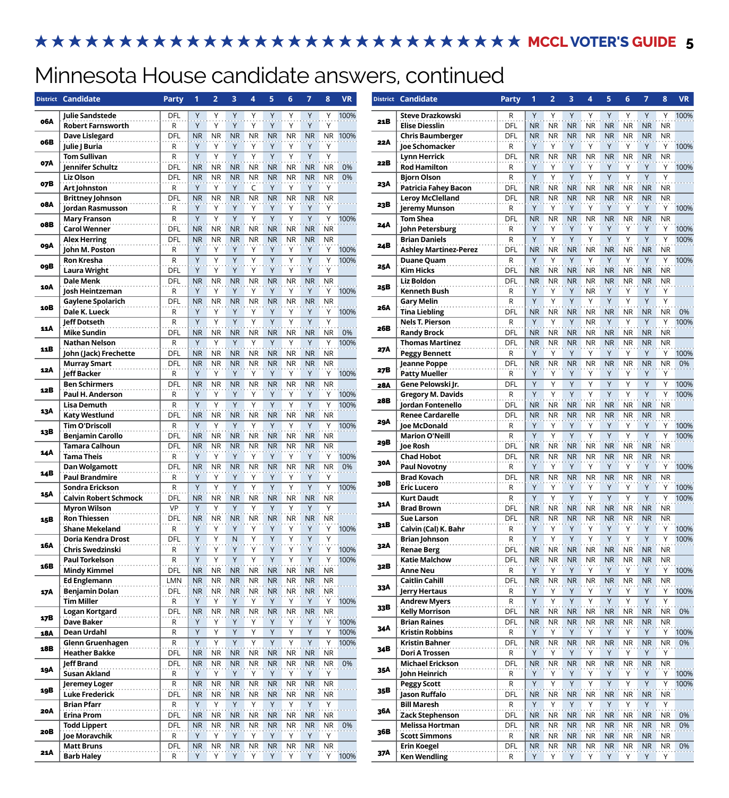## ★★★★★★★★★★★★★★★★★★★★★★★★★★★★ MCCL VOTER'S GUIDE 5

# Minnesota House candidate answers, continued

|     | District Candidate                               | <b>Party</b>               |                             | $\overline{2}$         | з                      |                        | 5                       |                               |                         | 8                      | <b>VR</b>    |                          | District Candidate                                   | Party               |                                  | 2                       | 3                                     |                        |                                       |                        |                        | 8                      | <b>VR</b>                            |
|-----|--------------------------------------------------|----------------------------|-----------------------------|------------------------|------------------------|------------------------|-------------------------|-------------------------------|-------------------------|------------------------|--------------|--------------------------|------------------------------------------------------|---------------------|----------------------------------|-------------------------|---------------------------------------|------------------------|---------------------------------------|------------------------|------------------------|------------------------|--------------------------------------|
| 06A | Julie Sandstede<br><b>Robert Farnsworth</b>      | DFL<br>R                   | Y<br>Y                      | Υ                      |                        | Υ                      |                         | Υ                             | Υ                       | Υ<br>Y                 | 100%         | 21B                      | Steve Drazkowski<br><b>Elise Diesslin</b>            | R<br>DFL            | Y<br><b>NR</b>                   | Υ<br><b>NR</b>          | Y<br><b>NR</b>                        | ΝR                     | NR.                                   | NR.                    | <b>NR</b>              | Υ<br>NR.               | 100                                  |
| o6B | <b>Dave Lislegard</b><br><b>Julie J Buria</b>    | DFL<br>R                   | <b>NR</b><br>Y              | <b>NR</b><br>Υ         | <b>NR</b>              | <b>NR</b>              | <b>NR</b>               | <b>NR</b>                     | <b>NR</b><br>γ          | Y                      | NR 100%      | 22A                      | <b>Chris Baumberger</b><br>Joe Schomacker            | DFL<br>R            | <b>NR</b><br>Y                   | <b>NR</b><br>Υ          | <b>NR</b><br>Y                        | <b>NR</b><br>ν         | <b>NR</b>                             | <b>NR</b>              | <b>NR</b>              | <b>NR</b><br>Y         | 100 <sup>o</sup>                     |
| 07A | <b>Tom Sullivan</b><br>Jennifer Schultz          | R<br><b>DFL</b>            | Y<br><b>NR</b>              | Y<br><b>NR</b>         | <b>NR</b>              | <b>NR</b>              | <b>NR</b>               | Y<br><b>NR</b>                | Y<br><b>NR</b>          | Y<br><b>NR</b>         | 0%           | 22B                      | Lynn Herrick<br><b>Rod Hamilton</b>                  | <b>DFL</b><br>R     | <b>NR</b><br>Y                   | <b>NR</b><br>Υ          | <b>NR</b><br>Y                        | <b>NR</b><br>Y         | <b>NR</b>                             | <b>NR</b>              | <b>NR</b>              | <b>NR</b><br>Y         | 100 <sup>0</sup>                     |
| 07B | <b>Liz Olson</b><br>Art Johnston                 | DFL<br>R                   | <b>NR</b><br>Y              | <b>NR</b><br>Y         | <b>NR</b>              | <b>NR</b><br>C         | <b>NR</b><br>Y          | <b>NR</b><br>Y                | <b>NR</b><br>Y          | <b>NR</b><br>Υ         | 0%           | 23A                      | <b>Biorn Olson</b><br><b>Patricia Fahey Bacon</b>    | $\mathsf{R}$<br>DFL | Y<br>NR                          | Y<br>NR.                | Y<br><b>NR</b>                        | γ<br>NR.               | Y<br><b>NR</b>                        | Υ<br>NR                | Y<br><b>NR</b>         | Y<br><b>NR</b>         |                                      |
| 08A | <b>Brittney Johnson</b><br>Jordan Rasmusson      | DFL<br>R                   | <b>NR</b><br>Y              | <b>NR</b><br>Y         | <b>NR</b>              | <b>NR</b><br>Υ         | <b>NR</b>               | <b>NR</b><br>Y                | <b>NR</b><br>Y          | <b>NR</b><br>Y         |              | 23B                      | <b>Leroy McClelland</b><br>Jeremy Munson             | DFL<br>R            | N <sub>R</sub><br>Y              | <b>NR</b><br>Y          | <b>NR</b><br>Y                        | <b>NR</b><br>Υ         | <b>NR</b>                             | <b>NR</b>              | <b>NR</b>              | <b>NR</b><br>Y         | 100 <sup>o</sup>                     |
| 08B | <b>Mary Franson</b><br><b>Carol Wenner</b>       | R<br>DFL                   | Y<br><b>NR</b>              | Y<br>NR.               | Y<br><b>NR</b>         | Υ<br>NR.               | Y<br><b>NR</b>          | Y<br><b>NR</b>                | Y<br><b>NR</b>          | Υ<br><b>NR</b>         | 100%         | 24A                      | Tom Shea<br>John Petersburg                          | <b>DFL</b><br>R     | N <sub>R</sub><br>Y              | <b>NR</b><br>Y          | <b>NR</b><br>Y                        | <b>NR</b><br>Υ         | <b>NR</b><br>Y                        | <b>NR</b><br>Υ         | <b>NR</b><br>Y         | <b>NR</b><br>Y         | 100 <sup>o</sup>                     |
| ogA | <b>Alex Herring</b><br>John M. Poston            | DFL<br>R                   | <b>NR</b><br>Y              | <b>NR</b>              | <b>NR</b>              | <b>NR</b>              | <b>NR</b>               | <b>NR</b>                     | <b>NR</b>               | <b>NR</b><br>Υ         | 100%         | 24B                      | <b>Brian Daniels</b><br><b>Ashley Martinez-Perez</b> | $\mathsf{R}$<br>DFL | Y<br>NR                          | Y<br>NR.                | Y<br>N <sub>R</sub>                   | γ<br>NR                | Y<br>NR.                              | NR.                    | Y<br><b>NR</b>         | Y<br><b>NR</b>         | 100 <sup>o</sup>                     |
| ogB | <b>Ron Kresha</b><br><b>Laura Wright</b>         | R<br>DFL                   | Y<br>Y                      | Y<br>Υ                 | Y                      | Υ<br>Υ                 |                         | Υ<br>Y                        | Y<br>Y                  | Υ<br>Y                 | 100%         | 25A                      | <b>Duane Quam</b><br><b>Kim Hicks</b>                | R<br>DFL            | Y<br>N <sub>R</sub>              | Y<br><b>NR</b>          | Y<br><b>NR</b>                        | <b>NR</b>              | Y<br><b>NR</b>                        | <b>NR</b>              | <b>NR</b>              | Y<br><b>NR</b>         | 100                                  |
| 10A | <b>Dale Menk</b><br>Josh Heintzeman              | <b>DFL</b><br>$\mathsf{R}$ | <b>NR</b><br>Y              | <b>NR</b><br>γ         | <b>NR</b>              | <b>NR</b><br>γ         | <b>NR</b>               | <b>NR</b><br>γ                | <b>NR</b>               | <b>NR</b><br>Y         | 100%         | 25B                      | <b>Liz Boldon</b><br><b>Kenneth Bush</b>             | DFL<br>R            | <b>NR</b><br>Y                   | <b>NR</b><br>Y          | <b>NR</b><br>Y                        | <b>NR</b><br><b>NR</b> | <b>NR</b><br>Y                        | <b>NR</b>              | <b>NR</b>              | <b>NR</b><br>Y         |                                      |
| 10B | Gaylene Spolarich<br>Dale K. Lueck               | DFL<br>R                   | <b>NR</b><br>Y              | <b>NR</b><br>Y         | <b>NR</b><br>Y         | <b>NR</b><br>Υ         | <b>NR</b>               | <b>NR</b><br>Y                | <b>NR</b><br>γ          | <b>NR</b><br>Y         | 100%         | 26A                      | <b>Gary Melin</b><br><b>Tina Liebling</b>            | $\mathsf{R}$<br>DFL | Y<br><b>NR</b>                   | Y<br><b>NR</b>          | Y<br><b>NR</b>                        | Y<br>NR.               | Y<br><b>NR</b>                        | <b>NR</b>              | Y<br><b>NR</b>         | Y<br>NR.               | 0%                                   |
| 11A | <b>Jeff Dotseth</b><br><b>Mike Sundin</b>        | R<br>DFL                   | Y<br><b>NR</b>              | Y<br>NR                | Y<br><b>NR</b>         | Y<br>NR.               | Y<br><b>NR</b>          | Y<br><b>NR</b>                | Y<br><b>NR</b>          | Y<br>NR.               | 0%           | 26B                      | <b>Nels T. Pierson</b><br><b>Randy Brock</b>         | $\mathsf{R}$<br>DFL | Y<br><b>NR</b>                   | Y<br>NR.                | Y<br><b>NR</b>                        | <b>NR</b><br>ΝR        | Y<br>NR                               | NR                     | Y<br><b>NR</b>         | Υ<br><b>NR</b>         | 100                                  |
| 11B | <b>Nathan Nelson</b><br>John (Jack) Frechette    | R<br>DFL                   | Y<br><b>NR</b>              | Y<br><b>NR</b>         | Y<br><b>NR</b>         | Y<br>NR.               | Y<br><b>NR</b>          | Y<br><b>NR</b>                | Y<br><b>NR</b>          | Y<br><b>NR</b>         | 100%         | 27A                      | <b>Thomas Martinez</b><br><b>Peggy Bennett</b>       | <b>DFL</b><br>R     | <b>NR</b><br>Y                   | <b>NR</b><br>Y          | <b>NR</b><br>Y                        | <b>NR</b><br>Y         | <b>NR</b><br>Y                        | <b>NR</b>              | <b>NR</b>              | <b>NR</b><br>Y         | 100 <sup>o</sup>                     |
| 12A | <b>Murray Smart</b><br><b>Jeff Backer</b>        | DFL<br>R                   | NR<br>Y                     | <b>NR</b><br>Y         | <b>NR</b><br>Y         | <b>NR</b><br>Y         | <b>NR</b><br>Y          | <b>NR</b><br>Y                | <b>NR</b><br>Y          | <b>NR</b><br>Υ         | 100%         | 27B                      | Jeanne Poppe<br><b>Patty Mueller</b>                 | <b>DFL</b><br>R     | N <sub>R</sub><br>Y              | <b>NR</b><br>Y          | <b>NR</b><br>Y                        | <b>NR</b><br>Υ         | <b>NR</b><br>Y                        | <b>NR</b><br>Υ         | <b>NR</b><br>Υ         | <b>NR</b><br>Y         | 0%                                   |
| 12B | <b>Ben Schirmers</b><br><b>Paul H. Anderson</b>  | <b>DFL</b><br>R            | <b>NR</b><br>Y              | <b>NR</b>              | <b>NR</b>              | <b>NR</b>              | <b>NR</b>               | <b>NR</b>                     | <b>NR</b>               | <b>NR</b>              | 100%         | <b>28A</b><br><b>28B</b> | Gene Pelowski Jr.<br><b>Gregory M. Davids</b>        | <b>DFL</b><br>R     | Y<br>Y                           | Y<br>Y                  | Y<br>Y                                | ٧                      | Y<br>Y                                |                        | Y                      | Y<br>Y                 | 100<br>100 <sup>0</sup>              |
| 13A | <b>Lisa Demuth</b><br><b>Katy Westlund</b>       | R<br>DFL                   | Y<br><b>NR</b>              | Y<br><b>NR</b>         | <b>NR</b>              | NR.                    | <b>NR</b>               | Y<br><b>NR</b>                | Y<br><b>NR</b>          | Υ<br><b>NR</b>         | 100%         |                          | Jordan Fontenello<br><b>Renee Cardarelle</b>         | <b>DFL</b><br>DFL   | N <sub>R</sub><br>N <sub>R</sub> | <b>NR</b><br><b>NR</b>  | <b>NR</b><br><b>NR</b>                | <b>NR</b><br><b>NR</b> | <b>NR</b><br><b>NR</b>                | <b>NR</b><br><b>NR</b> | <b>NR</b><br><b>NR</b> | <b>NR</b><br><b>NR</b> |                                      |
| 13B | <b>Tim O'Driscoll</b><br><b>Benjamin Carollo</b> | R<br><b>DFL</b>            | Y<br><b>NR</b>              | Y<br>NR.               | Y<br><b>NR</b>         | Y<br><b>NR</b>         | Y<br><b>NR</b>          | γ<br>NR                       | Y<br><b>NR</b>          | Υ<br><b>NR</b>         | 100%         | 29A                      | Joe McDonald<br><b>Marion O'Neill</b>                | R<br>${\sf R}$      | Y<br>Y                           | Y<br>Y                  | Y<br>Y                                | Υ<br>Y                 | Y<br>Y                                | Y                      | Y<br>Y                 | Y<br>Y                 | 100<br>100 <sup>o</sup>              |
| 14A | <b>Tamara Calhoun</b><br><b>Tama Theis</b>       | DFL<br>R                   | <b>NR</b><br>Y              | <b>NR</b><br>Υ         | <b>NR</b><br>Y         | <b>NR</b><br>Υ         | <b>NR</b>               | <b>NR</b><br>Υ                | <b>NR</b><br>Y          | <b>NR</b><br>Υ         | 100%         | 29B                      | Joe Rosh<br><b>Chad Hobot</b>                        | DFL<br>DFL          | <b>NR</b><br><b>NR</b>           | <b>NR</b><br><b>NR</b>  | <b>NR</b><br><b>NR</b>                | NR.<br><b>NR</b>       | NR.<br><b>NR</b>                      | NR.<br><b>NR</b>       | <b>NR</b><br><b>NR</b> | <b>NR</b><br><b>NR</b> |                                      |
| 14B | Dan Wolgamott<br><b>Paul Brandmire</b>           | DFL<br>R                   | <b>NR</b><br>Y              | <b>NR</b><br>Y         | <b>NR</b><br>Υ         | <b>NR</b><br>Υ         | <b>NR</b><br>Y          | <b>NR</b><br>Y                | <b>NR</b><br>Y          | <b>NR</b><br>Y         | 0%           | 30A                      | <b>Paul Novotny</b><br><b>Brad Kovach</b>            | R<br><b>DFL</b>     | Y<br><b>NR</b>                   | Y<br><b>NR</b>          | Y<br><b>NR</b>                        | Υ<br><b>NR</b>         | Y<br>${\sf NR}$                       | Y<br><b>NR</b>         | Υ<br><b>NR</b>         | Y<br><b>NR</b>         | 100 <sup>0</sup>                     |
| 15A | Sondra Erickson<br><b>Calvin Robert Schmock</b>  | R<br>DFL                   | Y<br><b>NR</b>              | Y<br><b>NR</b>         | <b>NR</b>              | Υ<br><b>NR</b>         | $\vee$<br><b>NR</b>     | Y<br><b>NR</b>                | Y<br><b>NR</b>          | Y<br><b>NR</b>         | 100%         | 30B                      | <b>Eric Lucero</b><br><b>Kurt Daudt</b>              | R<br>$\mathsf{R}$   | Y<br>Y                           | Υ<br>Υ                  | Y<br>Y                                | ν                      |                                       |                        |                        | Υ<br>Y                 | 100 <sup>o</sup><br>100 <sup>o</sup> |
| 15B | <b>Myron Wilson</b><br><b>Ron Thiessen</b>       | <b>VP</b><br>DFL           | Y<br><b>NR</b>              | Y<br>NR.               | Y<br>NR.               | NR.                    | <b>NR</b>               | <b>NR</b>                     | Y<br><b>NR</b>          | Υ<br><b>NR</b>         |              | 31A                      | <b>Brad Brown</b><br><b>Sue Larson</b>               | DFL<br><b>DFL</b>   | <b>NR</b><br><b>NR</b>           | <b>NR</b><br><b>NR</b>  | <b>NR</b><br><b>NR</b>                | ΝR<br>NR.              | N <sub>R</sub>                        | <b>NR</b><br><b>NR</b> | ΝR<br><b>NR</b>        | <b>NR</b><br><b>NR</b> |                                      |
|     | <b>Shane Mekeland</b><br>Doria Kendra Drost      | R<br>DFL                   | Υ<br>Y                      | Υ<br>Υ                 | N                      | Υ<br>Y                 | Υ<br>Y                  | Υ<br>Y                        | Y<br>Y                  | Y<br>Y                 | 100%         | 31B                      | Calvin (Cal) K. Bahr<br><b>Brian Johnson</b>         | R<br>$\mathsf R$    | Υ<br>Y                           | Υ<br>Y                  | Y<br>Y                                | Y                      | Y<br>Υ                                | Y                      | Υ<br>Y                 | Y<br>Y                 | 100<br>100                           |
| 16A | <b>Chris Swedzinski</b><br><b>Paul Torkelson</b> | R<br>R                     | Y<br>Y                      | Y<br>Y                 | Y                      | Y<br>Y                 | Y                       | Y<br>Y                        | Y<br>Y                  | Y<br>Υ                 | 100%<br>100% | 32A                      | <b>Renae Berg</b><br><b>Katie Malchow</b>            | DFL<br><b>DFL</b>   | NR<br>NR                         | <b>NR</b><br>${\sf NR}$ | <b>NR</b><br>$\overline{\mathsf{NR}}$ | <b>NR</b><br><b>NR</b> | <b>NR</b><br>NR NR                    | NR.                    | <b>NR</b><br><b>NR</b> | NR.<br><b>NR</b>       |                                      |
| 16B | <b>Mindy Kimmel</b><br><b>Ed Englemann</b>       | DFL<br><b>LMN</b>          | N <sub>R</sub><br><b>NR</b> | NR.<br><b>NR</b>       | <b>NR</b><br><b>NR</b> | NR.<br><b>NR</b>       | <b>NR</b><br><b>NR</b>  | <b>NR</b><br><b>NR</b>        | <b>NR</b><br><b>NR</b>  | <b>NR</b><br><b>NR</b> |              | 32B                      | <b>Anne Neu</b><br><b>Caitlin Cahill</b>             | R<br><b>DFL</b>     | Y<br><b>NR</b>                   | Υ<br><b>NR</b>          | Y<br>${\sf NR}$                       | Y<br><b>NR</b>         | Y<br>NR NR                            | Y                      | Y<br><b>NR</b>         | Y.<br><b>NR</b>        | 100                                  |
| 17A | <b>Benjamin Dolan</b><br><b>Tim Miller</b>       | DFL<br>R                   | Y                           | NR NR<br>Υ             | <b>NR</b><br>Υ         | NR<br>Υ                | <b>NR</b><br>Υ          | NR.<br>Y                      | <b>NR</b><br>Y          | NR<br>Y                | 100%         | 33A                      | <b>Jerry Hertaus</b><br><b>Andrew Myers</b>          | R<br>R              | Y<br>Y                           | Υ<br>Υ                  | Y<br>Y                                | Υ<br>Y                 | Y<br>Y                                | Y                      | Y<br>Y                 | Y<br>Y                 | 100 <sup>o</sup>                     |
| 17B | <b>Logan Kortgard</b><br><b>Dave Baker</b>       | DFL<br>R                   | <b>NR</b><br>Y              | <b>NR</b><br>Y         | NR<br>Υ                | <b>NR</b><br>Υ         | NR<br>Y                 | <b>NR</b><br>Y                | <b>NR</b><br>Υ          | <b>NR</b><br>Υ         | 100%         | 33B                      | <b>Kelly Morrison</b><br><b>Brian Raines</b>         | DFL<br>DFL          | NR<br>${\sf NR}$                 | <b>NR</b><br>NR         | <b>NR</b><br>$\overline{\mathsf{NR}}$ | <b>NR</b><br><b>NR</b> | <b>NR</b><br>$\overline{\mathsf{NR}}$ | NR.<br><b>NR</b>       | <b>NR</b><br><b>NR</b> | NR  <br><b>NR</b>      | 0%                                   |
| 18A | Dean Urdahl<br>Glenn Gruenhagen                  | R<br>R                     | Y<br>Y                      | Y<br>Y                 | Y<br>Y                 | Υ<br>Y                 | Y<br>Y                  | Υ<br>Y                        | Υ<br>Υ                  | Y<br>Y                 | 100%<br>100% | 34A                      | <b>Kristin Robbins</b><br>Kristin Bahner             | R<br><b>DFL</b>     | Y<br><b>NR</b>                   | Υ<br><b>NR</b>          | Y<br>${\sf NR}$                       | Y<br><b>NR</b>         | Y<br>${\sf NR}$                       | Y<br>NR                | Y<br><b>NR</b>         | Y.<br><b>NR</b>        | 100 <sup>o</sup><br>0%               |
| 18B | <b>Heather Bakke</b><br><b>Jeff Brand</b>        | DFL<br>DFL                 | <b>NR</b><br><b>NR</b>      | <b>NR</b><br><b>NR</b> | <b>NR</b><br><b>NR</b> | <b>NR</b><br><b>NR</b> | <b>NR</b><br>${\sf NR}$ | <b>NR</b><br><b>NR</b>        | <b>NR</b><br><b>NR</b>  | <b>NR</b><br><b>NR</b> | 0%           | 34B                      | <b>Dori A Trossen</b><br><b>Michael Erickson</b>     | R<br><b>DFL</b>     | Y<br>NR                          | Y<br><b>NR</b>          | Y<br>${\sf NR}$                       | Y<br><b>NR</b>         | Y<br>NR NR                            | Y                      | Y<br><b>NR</b>         | Y<br><b>NR</b>         |                                      |
| 19A | <b>Susan Akland</b><br>Jeremey Loger             | R<br>R                     | Y<br><b>NR</b>              | Y<br>NR                | Υ<br>NR NR             | Υ                      | Y<br><b>NR</b>          | Y<br>$\overline{\mathsf{NR}}$ | Υ<br>NR                 | Y<br><b>NR</b>         |              | 35A                      | John Heinrich<br><b>Peggy Scott</b>                  | R<br>${\sf R}$      | Y<br>Y                           | Υ<br>Υ                  | Y<br>Y                                | Y<br>Y                 | Y<br>Y                                | Y<br>Y                 | Y<br>Y                 | Y.<br>Y.               | 100 <sup>o</sup><br>100              |
| 19B | <b>Luke Frederick</b><br><b>Brian Pfarr</b>      | DFL<br>R                   | <b>NR</b><br>Y              | <b>NR</b><br>Y         | <b>NR</b><br>Y         | <b>NR</b><br>Y         | <b>NR</b><br>Y          | <b>NR</b><br>Y                | <b>NR</b><br>Y          | <b>NR</b><br>Υ         |              | 35B                      | Jason Ruffalo<br><b>Bill Maresh</b>                  | DFL<br>R            | <b>NR</b><br>Y                   | <b>NR</b><br>Υ          | <b>NR</b><br>Y                        | NR.<br>Y               | <b>NR</b><br>Y                        | <b>NR</b><br>Y         | <b>NR</b><br>Y         | <b>NR</b><br>Y         |                                      |
| 20A | <b>Erina Prom</b><br><b>Todd Lippert</b>         | DFL<br>DFL                 | <b>NR</b>                   | <b>NR</b><br>NR NR     | <b>NR</b><br>NR NR     | <b>NR</b>              | <b>NR</b><br><b>NR</b>  | <b>NR</b><br><b>NR</b>        | <b>NR</b><br>${\sf NR}$ | <b>NR</b>              | NR 0%        | 36A                      | <b>Zack Stephenson</b><br>Melissa Hortman            | DFL<br>DFL          | NR<br>NR                         | <b>NR</b><br><b>NR</b>  | <b>NR</b><br>$\overline{\mathsf{NR}}$ | <b>NR</b><br><b>NR</b> | <b>NR</b><br>NR NR                    | NR.                    | <b>NR</b><br><b>NR</b> | <b>NR</b><br>NR 0%     | 0%                                   |
| 20B | <b>Joe Moravchik</b>                             | R                          | Y                           | Y                      | Υ                      | Υ                      | Y                       | Υ                             | Y                       | Y                      |              | 36B                      | <b>Scott Simmons</b>                                 | R                   | NR                               | <b>NR</b>               | <b>NR</b>                             | NR.                    | NR NR                                 |                        | <b>NR</b>              | NR.                    |                                      |
| 21A | <b>Matt Bruns</b><br><b>Barb Haley</b>           | <b>DFL</b><br>R            | <b>NR</b><br>Y              | <b>NR</b><br>Y         | NR NR<br>Y             | Y                      | <b>NR</b><br>Y          | NR<br>Y                       | <b>NR</b><br>Y          | NR<br>Y                | 100%         | 37A                      | <b>Erin Koegel</b><br><b>Ken Wendling</b>            | <b>DFL</b><br>R     | <b>NR</b>                        | <b>NR</b><br>Y          | <b>NR</b><br>Y                        | <b>NR</b><br>Y         | NR NR<br>Y                            | Y                      | Y                      | NR NR 0%<br>Y          |                                      |

|            | District Candidate                                   | <b>Party</b>      | 1                           | $\overline{2}$         | 3                      | 4                      | 5                           | 6                      | $\overline{7}$         | 8                      | <b>VR</b> |
|------------|------------------------------------------------------|-------------------|-----------------------------|------------------------|------------------------|------------------------|-----------------------------|------------------------|------------------------|------------------------|-----------|
|            | <b>Steve Drazkowski</b>                              | R                 | Y                           | Υ                      | Y                      | Υ                      | Y                           | Υ                      | Y                      | Υ                      | 100%      |
| 21B        | <b>Elise Diesslin</b>                                | DFL               | <b>NR</b>                   | <b>NR</b>              | <b>NR</b>              | <b>NR</b>              | <b>NR</b>                   | <b>NR</b>              | <b>NR</b>              | <b>NR</b>              |           |
|            | <b>Chris Baumberger</b>                              | DFL               | <b>NR</b>                   | <b>NR</b>              | <b>NR</b>              | ΝR                     | <b>NR</b>                   | <b>NR</b>              | <b>NR</b>              | <b>NR</b>              |           |
| 22A        | <b>loe Schomacker</b>                                | R                 | Y                           | Υ                      | Y                      | Υ                      | Y                           | Υ                      | Y                      | Υ                      | 100%      |
| 22B        | <b>Lynn Herrick</b>                                  | DFL               | <b>NR</b>                   | <b>NR</b>              | <b>NR</b>              | <b>NR</b>              | <b>NR</b>                   | <b>NR</b>              | <b>NR</b>              | <b>NR</b>              |           |
|            | <b>Rod Hamilton</b><br><b>Biorn Olson</b>            | R<br>R            | Y<br>$\overline{Y}$         | Υ<br>Υ                 | Υ<br>$\overline{Y}$    | Υ<br>Υ                 | Y<br>Y                      | Υ<br>Υ                 | Y<br>Y                 | Υ<br>Υ                 | 100%      |
| 23A        | <b>Patricia Fahey Bacon</b>                          | DFL               | <b>NR</b>                   | <b>NR</b>              | <b>NR</b>              | NR                     | <b>NR</b>                   | <b>NR</b>              | <b>NR</b>              | <b>NR</b>              |           |
|            | <b>Leroy McClelland</b>                              | DFL               | <b>NR</b>                   | <b>NR</b>              | <b>NR</b>              | NR                     | <b>NR</b>                   | <b>NR</b>              | <b>NR</b>              | <b>NR</b>              |           |
| 23B        | Jeremy Munson                                        | R                 | Y                           | Υ                      | Υ                      | Υ                      | Y                           | Υ                      | Y                      | Υ                      | 100%      |
| 24A        | <b>Tom Shea</b>                                      | DFL               | <b>NR</b>                   | <b>NR</b>              | <b>NR</b>              | NR                     | <b>NR</b>                   | <b>NR</b>              | <b>NR</b>              | <b>NR</b>              |           |
|            | John Petersburg                                      | R                 | Y<br>Ÿ                      | Υ<br>Ÿ                 | Y<br>Ÿ                 | Υ                      | Υ<br>Y                      | Υ<br>Ÿ                 | Y<br>$\overline{Y}$    | Υ                      | 100%      |
| 24B        | <b>Brian Daniels</b><br><b>Ashley Martinez-Perez</b> | R<br><b>DFL</b>   | <b>NR</b>                   | <b>NR</b>              | <b>NR</b>              | Υ<br><b>NR</b>         | <b>NR</b>                   | <b>NR</b>              | <b>NR</b>              | Υ<br><b>NR</b>         | 100%      |
|            | <b>Duane Quam</b>                                    | R                 | $\overline{\mathsf{Y}}$     | Υ                      | Y                      | Υ                      | Y                           | Υ                      | Y                      | Υ                      | 100%      |
| 25A        | <b>Kim Hicks</b>                                     | DFL               | <b>NR</b>                   | <b>NR</b>              | <b>NR</b>              | ΝR                     | <b>NR</b>                   | <b>NR</b>              | <b>NR</b>              | <b>NR</b>              |           |
|            | <b>Liz Boldon</b>                                    | DFL               | <b>NR</b>                   | <b>NR</b>              | <b>NR</b>              | ΝR                     | <b>NR</b>                   | <b>NR</b>              | <b>NR</b>              | <b>NR</b>              |           |
| 25B        | <b>Kenneth Bush</b>                                  | R                 | Y                           | Υ                      | Y                      | NR                     | Y                           | Υ                      | Y                      | Υ                      |           |
| <b>26A</b> | <b>Gary Melin</b><br><b>Tina Liebling</b>            | R<br>DFL          | Y<br><b>NR</b>              | Υ<br><b>NR</b>         | Y<br><b>NR</b>         | Υ<br><b>NR</b>         | Y<br><b>NR</b>              | Υ<br><b>NR</b>         | Y<br><b>NR</b>         | Υ<br><b>NR</b>         | 0%        |
|            | <b>Nels T. Pierson</b>                               | R                 | Y                           | Υ                      | Y                      | <b>NR</b>              | Y                           | Υ                      | Y                      | Υ                      | 100%      |
| 26B        | <b>Randy Brock</b>                                   | DFL               | <b>NR</b>                   | <b>NR</b>              | <b>NR</b>              | ΝR                     | <b>NR</b>                   | NR                     | <b>NR</b>              | <b>NR</b>              |           |
|            | <b>Thomas Martinez</b>                               | DFL               | <b>NR</b>                   | <b>NR</b>              | <b>NR</b>              | NR                     | <b>NR</b>                   | <b>NR</b>              | <b>NR</b>              | <b>NR</b>              |           |
| 27A        | <b>Peggy Bennett</b>                                 | R                 | Y                           | Υ                      | Y                      | Υ                      | Y                           | Υ                      | Y                      | Υ                      | 100%      |
| 27B        | <b>Jeanne Poppe</b>                                  | DFL               | <b>NR</b>                   | <b>NR</b>              | <b>NR</b>              | NR                     | <b>NR</b>                   | <b>NR</b>              | <b>NR</b>              | <b>NR</b>              | 0%        |
|            | <b>Patty Mueller</b><br>Gene Pelowski Jr.            | R<br><b>DFL</b>   | Y<br>Y                      | Υ<br>Υ                 | Υ<br>Y                 | Υ<br>Υ                 | Υ<br>Y                      | Υ<br>Υ                 | Y<br>Y                 | Υ<br>Υ                 | 100%      |
| 28A        | <b>Gregory M. Davids</b>                             | R                 | Y                           | Υ                      | Y                      | Υ                      | $\overline{\mathsf{Y}}$     | Υ                      | $\overline{Y}$         | Υ                      | 100%      |
| <b>28B</b> | Jordan Fontenello                                    | <b>DFL</b>        | <b>NR</b>                   | <b>NR</b>              | <b>NR</b>              | NR                     | <b>NR</b>                   | <b>NR</b>              | <b>NR</b>              | <b>NR</b>              |           |
|            | <b>Renee Cardarelle</b>                              | DFL               | <b>NR</b>                   | <b>NR</b>              | <b>NR</b>              | <b>NR</b>              | <b>NR</b>                   | <b>NR</b>              | <b>NR</b>              | <b>NR</b>              |           |
| 29A        | Joe McDonald                                         | R                 | Y                           | Υ                      | Υ                      | Υ                      | Υ                           | Υ                      | Y                      | Υ                      | 100%      |
| 29B        | <b>Marion O'Neill</b>                                | R                 | Y                           | Υ                      | Y                      | Υ                      | Y                           | Υ                      | Y                      | Υ                      | 100%      |
|            | Joe Rosh<br><b>Chad Hobot</b>                        | DFL<br>DFL        | <b>NR</b><br><b>NR</b>      | <b>NR</b><br><b>NR</b> | <b>NR</b><br><b>NR</b> | <b>NR</b><br><b>NR</b> | <b>NR</b><br><b>NR</b>      | <b>NR</b><br><b>NR</b> | <b>NR</b><br><b>NR</b> | <b>NR</b><br><b>NR</b> |           |
| 30A        | <b>Paul Novotny</b>                                  | R                 | Υ                           | Υ                      | Y                      | Υ                      | Y                           | Υ                      | Y                      | Υ                      | 100%      |
|            | <b>Brad Kovach</b>                                   | DFL               | <b>NR</b>                   | <b>NR</b>              | <b>NR</b>              | NR                     | <b>NR</b>                   | <b>NR</b>              | <b>NR</b>              | <b>NR</b>              |           |
| 30B        | <b>Eric Lucero</b>                                   | R                 | Υ                           | Υ                      | Υ                      | Υ                      | Y                           | Υ                      | Υ                      | Υ                      | 100%      |
| 31A        | <b>Kurt Daudt</b>                                    | R                 | $\overline{Y}$              | Υ                      | $\overline{Y}$         | $\overline{Y}$         | Y                           | Υ                      | Y                      | $\overline{Y}$         | 100%      |
|            | <b>Brad Brown</b>                                    | DFL<br>DFL        | <b>NR</b><br><b>NR</b>      | <b>NR</b><br><b>NR</b> | <b>NR</b><br><b>NR</b> | <b>NR</b><br>NR        | <b>NR</b><br><b>NR</b>      | <b>NR</b><br><b>NR</b> | <b>NR</b><br><b>NR</b> | <b>NR</b><br><b>NR</b> |           |
| 31B        | Sue Larson<br>Calvin (Cal) K. Bahr                   | R                 | Υ                           | Υ                      | Υ                      | Υ                      | Υ                           | Υ                      | Υ                      | Υ                      | 100%      |
|            | <b>Brian Johnson</b>                                 | R                 | Y                           | Υ                      | Y                      | Υ                      | Y                           | Υ                      | Y                      | Υ                      | 100%      |
| 32A        | <b>Renae Berg</b>                                    | <b>DFL</b>        | <b>NR</b>                   | <b>NR</b>              | <b>NR</b>              | <b>NR</b>              | <b>NR</b>                   | <b>NR</b>              | <b>NR</b>              | <b>NR</b>              |           |
| 32B        | <b>Katie Malchow</b>                                 | <b>DFL</b>        | <b>NR</b>                   | <b>NR</b>              | <b>NR</b>              | ΝR                     | <b>NR</b>                   | <b>NR</b>              | <b>NR</b>              | <b>NR</b>              |           |
|            | <b>Anne Neu</b>                                      | R                 | Υ                           | Υ                      | Υ                      | Υ                      | Υ                           | Y                      | Υ                      | Υ                      | 100%      |
| 33A        | <b>Caitlin Cahill</b><br><b>Jerry Hertaus</b>        | <b>DFL</b><br>R   | <b>NR</b><br>Υ              | <b>NR</b><br>Υ         | ${\sf NR}$<br>Υ        | ΝR<br>Υ                | <b>NR</b><br>Υ              | <b>NR</b><br>Υ         | <b>NR</b><br>Υ         | <b>NR</b><br>Υ         | 100%      |
|            | <b>Andrew Myers</b>                                  | R                 | $\overline{Y}$              | $\overline{Y}$         | $\overline{Y}$         | Υ                      | $\overline{Y}$              | $\overline{Y}$         | $\overline{Y}$         | Y                      |           |
| 33B        | <b>Kelly Morrison</b>                                | DFL               | <b>NR</b>                   | ΝR                     | NR                     | NR                     | NR                          | <b>NR</b>              | <b>NR</b>              | NR                     | 0%        |
| 34A        | <b>Brian Raines</b>                                  | <b>DFL</b>        | <b>NR</b>                   | ΝR                     | <b>NR</b>              | ΝR                     | <b>NR</b>                   | ΝR                     | NR                     | <b>NR</b>              |           |
|            | <b>Kristin Robbins</b>                               | R                 | Υ                           | Ÿ                      | $\overline{Y}$         | Υ                      | Y                           | Ÿ                      | Υ                      | Υ                      | 100%      |
| 34B        | <b>Kristin Bahner</b><br>Dori A Trossen              | DFL<br>R          | <b>NR</b><br>$\overline{Y}$ | <b>NR</b><br>Ÿ         | <b>NR</b><br>Ÿ         | <b>NR</b><br>Υ         | <b>NR</b><br>$\overline{Y}$ | <b>NR</b><br>Ÿ         | <b>NR</b><br>Υ         | <b>NR</b><br>Ŷ         | 0%        |
|            | Michael Erickson                                     | <b>DFL</b>        | <b>NR</b>                   | <b>NR</b>              | <b>NR</b>              | ΝR                     | <b>NR</b>                   | <b>NR</b>              | <b>NR</b>              | <b>NR</b>              |           |
| 35A        | John Heinrich                                        | R                 | Υ                           | Υ                      | Υ                      | Υ                      | Υ                           | Υ                      | Υ                      | Y                      | 100%      |
|            | <b>Peggy Scott</b>                                   | R                 | $\overline{Y}$              | $\overline{Y}$         | $\overline{Y}$         | $\overline{Y}$         | $\overline{Y}$              | $\overline{Y}$         | $\overline{Y}$         | Υ                      | 100%      |
| 35B        | Jason Ruffalo                                        | <b>DFL</b>        | <b>NR</b>                   | <b>NR</b>              | <b>NR</b>              | ΝR                     | <b>NR</b>                   | <b>NR</b>              | <b>NR</b>              | NR.                    |           |
| 36A        | <b>Bill Maresh</b>                                   | R                 | Y                           | Y                      | Y                      | Y                      | Y                           | Y                      | Y                      | Υ                      |           |
|            | Zack Stephenson<br>Melissa Hortman                   | <b>DFL</b><br>DFL | <b>NR</b><br><b>NR</b>      | <b>NR</b><br><b>NR</b> | <b>NR</b><br>NR        | ΝR<br>ΝR               | <b>NR</b><br><b>NR</b>      | <b>NR</b><br><b>NR</b> | <b>NR</b><br><b>NR</b> | ΝR<br><b>NR</b>        | 0%<br>0%  |
| 36B        | <b>Scott Simmons</b>                                 | R                 | <b>NR</b>                   | <b>NR</b>              | <b>NR</b>              | <b>NR</b>              | <b>NR</b>                   | <b>NR</b>              | <b>NR</b>              | <b>NR</b>              |           |
|            | <b>Erin Koegel</b>                                   | <b>DFL</b>        | <b>NR</b>                   | <b>NR</b>              | <b>NR</b>              | ΝR                     | <b>NR</b>                   | <b>NR</b>              | <b>NR</b>              | <b>NR</b>              | 0%        |
| 37A        | <b>Ken Wendling</b>                                  | R                 | Υ                           | Υ                      | Υ                      | Υ                      | Y                           | Υ                      | Υ                      | Υ                      |           |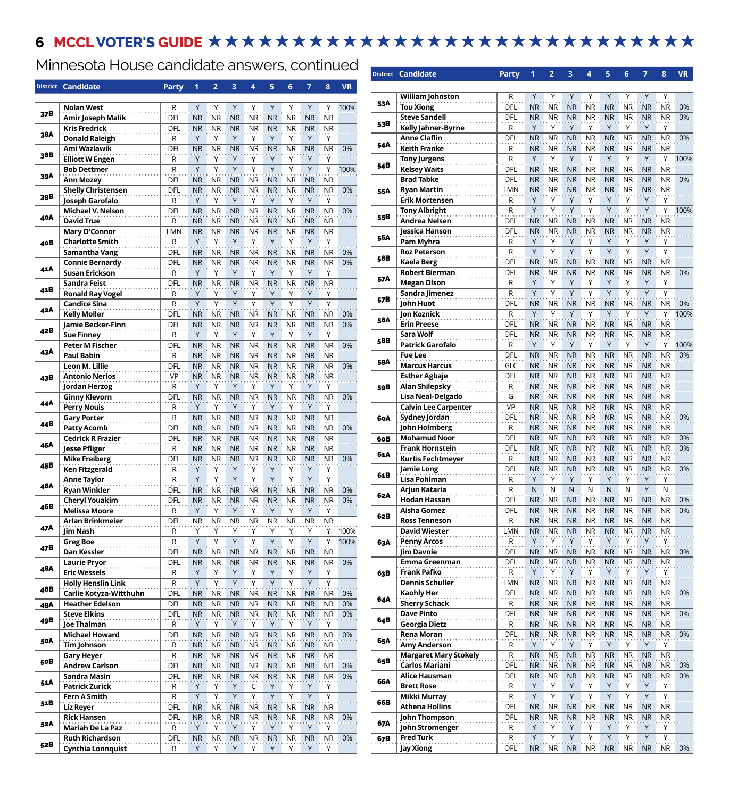## 6 MCCL VOTER'S GUIDE **\*\*\*\*\*\*\*\*\*\*\*\*\*\*\*\*\*\*\*\*\*\*\*\*\*\*\*\***

Minnesota House candidate answers, continued

| Y<br>Y<br><b>Nolan West</b><br>R<br>Y<br>Υ<br>Υ<br>Υ<br>Y<br>Υ<br>37B<br>DFL<br><b>NR</b><br><b>NR</b><br><b>Amir Joseph Malik</b><br><b>NR</b><br><b>NR</b><br><b>NR</b><br><b>NR</b><br><b>NR</b><br>DFL<br><b>NR</b><br><b>NR</b><br><b>NR</b><br><b>NR</b><br><b>NR</b><br><b>Kris Fredrick</b><br><b>NR</b><br><b>NR</b><br>38A<br>Y<br>Υ<br>Y<br>Υ<br>Υ<br>Υ<br>Υ<br>Υ<br><b>Donald Raleigh</b><br>R<br><b>NR</b><br><b>NR</b><br><b>NR</b><br>DFL<br><b>NR</b><br><b>NR</b><br><b>NR</b><br><b>NR</b><br>Ami Wazlawik<br>38B<br>Y<br>Y<br>Y<br><b>Elliott W Engen</b><br>Υ<br>Υ<br>Y<br>Υ<br>Υ<br>R<br>Y<br>Υ<br>Y<br>Y<br>Y<br>Υ<br>Y<br>R<br>Υ<br><b>Bob Dettmer</b><br>39A<br>DFL<br><b>NR</b><br><b>NR</b><br><b>NR</b><br><b>NR</b><br><b>NR</b><br><b>NR</b><br><b>NR</b><br><b>NR</b><br><b>Ann Mozey</b><br><b>NR</b><br><b>Shelly Christensen</b><br>DFL<br><b>NR</b><br><b>NR</b><br><b>NR</b><br><b>NR</b><br><b>NR</b><br><b>NR</b><br><b>NR</b><br>39B<br>Y<br>Y<br>Joseph Garofalo<br>R<br>Υ<br>Υ<br>Y<br>Υ<br>Υ<br>Υ<br><b>NR</b><br><b>NR</b><br><b>NR</b><br><b>NR</b><br><b>NR</b><br><b>NR</b><br>Michael V. Nelson<br>DFL<br><b>NR</b><br><b>NR</b><br>40A<br><b>David True</b><br><b>NR</b><br><b>NR</b><br><b>NR</b><br><b>NR</b><br><b>NR</b><br><b>NR</b><br><b>NR</b><br>R<br>ΝR<br><b>LMN</b><br><b>NR</b><br><b>NR</b><br><b>NR</b><br><b>NR</b><br><b>NR</b><br><b>NR</b><br><b>Mary O'Connor</b><br>ΝR<br><b>Charlotte Smith</b><br>Y<br>Υ<br>Y<br>Y<br>Y<br>Υ<br>R<br>Y<br>Y<br>40B<br>Samantha Vang<br><b>NR</b><br><b>NR</b><br><b>NR</b><br><b>NR</b><br><b>NR</b><br><b>NR</b><br><b>NR</b><br>DFL<br><b>NR</b><br><b>Connie Bernardy</b><br>DFL<br><b>NR</b><br><b>NR</b><br><b>NR</b><br><b>NR</b><br><b>NR</b><br><b>NR</b><br>41A<br>Y<br>Y<br>Y<br>Υ<br>Υ<br>Y<br><b>Susan Erickson</b><br>Υ<br>Υ<br>R<br><b>NR</b><br><b>NR</b><br><b>NR</b><br><b>NR</b><br><b>NR</b><br><b>NR</b><br>Sandra Feist<br>DFL<br><b>NR</b><br>41B<br><b>Ronald Ray Vogel</b><br>Υ<br>Y<br>Y<br>R<br>Υ<br>Υ<br>Υ<br>Υ<br>Υ<br>Y<br>Y<br>Y<br>Y<br>R<br>Υ<br>Υ<br>Y<br>Υ<br><b>Candice Sina</b><br>42A<br>DFL<br><b>Kelly Moller</b><br><b>NR</b><br><b>NR</b><br><b>NR</b><br><b>NR</b><br><b>NR</b><br><b>NR</b><br><b>NR</b><br><b>NR</b><br><b>NR</b><br>Jamie Becker-Finn<br>DFL<br><b>NR</b><br><b>NR</b><br><b>NR</b><br><b>NR</b><br><b>NR</b><br><b>NR</b><br><b>NR</b><br>42B<br>Υ<br><b>Sue Finney</b><br>R<br>Υ<br>Υ<br>Y<br>Υ<br>Υ<br>Υ<br>Υ<br><b>Peter M Fischer</b><br>DFL<br><b>NR</b><br><b>NR</b><br><b>NR</b><br><b>NR</b><br><b>NR</b><br>NR<br><b>NR</b><br><b>NR</b><br>43A<br><b>Paul Babin</b><br><b>NR</b><br><b>NR</b><br><b>NR</b><br><b>NR</b><br><b>NR</b><br><b>NR</b><br><b>NR</b><br><b>NR</b><br>R<br>DFL<br><b>NR</b><br><b>NR</b><br><b>NR</b><br><b>NR</b><br><b>NR</b><br><b>NR</b><br><b>NR</b><br>Leon M. Lillie<br>NR.<br><b>Antonio Nerios</b><br>VP<br><b>NR</b><br><b>NR</b><br><b>NR</b><br><b>NR</b><br><b>NR</b><br><b>NR</b><br><b>NR</b><br>43B<br>Y<br>Υ<br>Y<br>Y<br>Υ<br>Y<br>Υ<br>Jordan Herzog<br>R<br>Υ<br><b>NR</b><br><b>NR</b><br><b>Ginny Klevorn</b><br>DFL<br><b>NR</b><br><b>NR</b><br><b>NR</b><br><b>NR</b><br><b>NR</b><br>44 A<br>Y<br>Y<br>Y<br>Y<br><b>Perry Nouis</b><br>Υ<br>Υ<br>Υ<br>Υ<br>R<br>$\mathsf R$<br><b>NR</b><br><b>NR</b><br><b>NR</b><br><b>NR</b><br><b>NR</b><br><b>NR</b><br><b>Gary Porter</b><br><b>NR</b><br>44B<br>DFL<br><b>NR</b><br><b>NR</b><br><b>NR</b><br><b>NR</b><br><b>Patty Acomb</b><br><b>NR</b><br>NR<br>ΝR<br><b>NR</b><br><b>NR</b><br><b>NR</b><br><b>NR</b><br><b>Cedrick R Frazier</b><br>DFL<br><b>NR</b><br>NR<br>NR<br>ΝR<br><b>NR</b><br>45A<br><b>Jesse Pfliger</b><br><b>NR</b><br><b>NR</b><br><b>NR</b><br><b>NR</b><br><b>NR</b><br><b>NR</b><br><b>NR</b><br>R<br>ΝR<br><b>NR</b><br><b>NR</b><br><b>Mike Freiberg</b><br>DFL<br><b>NR</b><br><b>NR</b><br><b>NR</b><br><b>NR</b><br><b>NR</b><br><b>NR</b><br>45B<br>Y<br>Y<br>Y<br>Υ<br>Υ<br>Y<br>Υ<br><b>Ken Fitzgerald</b><br>R<br>Υ<br>Y<br>Y<br>Υ<br>Υ<br>Y<br>Υ<br>Y<br>Υ<br><b>Anne Taylor</b><br>R<br>46A<br><b>NR</b><br><b>Ryan Winkler</b><br>DFL<br><b>NR</b><br><b>NR</b><br><b>NR</b><br><b>NR</b><br><b>NR</b><br><b>NR</b><br>NR<br><b>Cheryl Youakim</b><br>DFL<br><b>NR</b><br><b>NR</b><br><b>NR</b><br><b>NR</b><br><b>NR</b><br>NR<br>ΝR<br><b>NR</b><br>46B<br><b>Melissa Moore</b><br>Y<br>Υ<br>Y<br>Υ<br>Y<br>Υ<br>Y<br>Υ<br>R<br>Arlan Brinkmeier<br>DFL<br>ΝR<br>ΝR<br>ΝR<br>ΝR<br>ΝR<br>ΝR<br>ΝR<br>ΝR<br>47A<br>Jim Nash<br>Υ<br>Υ<br>Y<br>Y<br>R<br>Υ<br>Y<br>Y<br>Y<br>Y<br>Υ<br>Υ<br>Υ<br>Y<br>R<br>Υ<br>Υ<br><b>Greg Boe</b><br>Y<br>47B<br>Dan Kessler<br><b>DFL</b><br><b>NR</b><br><b>NR</b><br><b>NR</b><br><b>NR</b><br><b>NR</b><br>NR<br><b>NR</b><br>DFL<br><b>NR</b><br><b>NR</b><br><b>NR</b><br><b>NR</b><br><b>Laurie Pryor</b><br>NR<br>NR<br><b>NR</b><br>48A<br>Υ<br>Υ<br>Υ<br>Υ<br><b>Eric Wessels</b><br>Υ<br>Υ<br>Υ<br>Υ<br>R<br><b>Holly Henslin Link</b><br>R<br>Υ<br>Υ<br>Y<br>Υ<br>Y<br>Y<br>Y<br>Υ<br>48B<br>Carlie Kotyza-Witthuhn<br>DFL<br><b>NR</b><br><b>NR</b><br><b>NR</b><br><b>NR</b><br><b>NR</b><br><b>NR</b><br>NR<br>ΝR<br><b>Heather Edelson</b><br><b>DFL</b><br><b>NR</b><br><b>NR</b><br><b>NR</b><br><b>NR</b><br><b>NR</b><br><b>NR</b><br>NR<br>NR.<br>49A<br><b>Steve Elkins</b><br><b>NR</b><br><b>NR</b><br><b>NR</b><br><b>NR</b><br><b>NR</b><br>DFL<br>ΝR<br>ΝR<br><b>NR</b><br>49B<br>Υ<br>Y<br>Y<br>Υ<br>Υ<br>Y<br>Υ<br>Y<br><b>Joe Thalman</b><br>R<br>DFL<br><b>NR</b><br><b>NR</b><br><b>NR</b><br><b>NR</b><br><b>NR</b><br><b>Michael Howard</b><br>ΝR<br>NR<br>ΝR<br>50A<br>Tim Johnson<br><b>NR</b><br><b>NR</b><br><b>NR</b><br><b>NR</b><br><b>NR</b><br><b>NR</b><br>R<br>ΝR<br>ΝR<br><b>Gary Heyer</b><br>R<br><b>NR</b><br><b>NR</b><br><b>NR</b><br><b>NR</b><br><b>NR</b><br><b>NR</b><br><b>NR</b><br>NR<br>50B<br><b>Andrew Carlson</b><br><b>DFL</b><br><b>NR</b><br><b>NR</b><br><b>NR</b><br><b>NR</b><br><b>NR</b><br><b>NR</b><br>ΝR<br>NR<br>Sandra Masin<br><b>NR</b><br><b>NR</b><br>DFL<br>ΝR<br>NR<br><b>NR</b><br>ΝR<br><b>NR</b><br>51A<br>Υ<br><b>Patrick Zurick</b><br>R<br>Υ<br>Υ<br>Υ<br>C<br>Υ<br>Υ<br>Y<br>Y<br>Y<br>Y<br>Y<br>Y<br>Υ<br>Υ<br>Υ<br>R<br>Fern A Smith<br>51B<br><b>DFL</b><br><b>NR</b><br><b>NR</b><br><b>NR</b><br><b>NR</b><br><b>NR</b><br><b>NR</b><br><b>NR</b><br>Liz Reyer<br><b>Rick Hansen</b><br><b>NR</b><br><b>NR</b><br><b>NR</b><br><b>NR</b><br><b>NR</b><br>DFL<br>NR<br><b>NR</b><br>52A<br>Υ<br>Υ<br><b>Mariah De La Paz</b><br>R<br>Υ<br>Υ<br>Υ<br>Υ<br>Y<br>Υ<br>DFL<br><b>NR</b><br><b>NR</b><br><b>NR</b><br><b>NR</b><br><b>NR</b><br><b>NR</b><br><b>NR</b><br><b>Ruth Richardson</b><br>52B<br>Υ | <b>District</b> | <b>Candidate</b>         | <b>Party</b> | 1 | 2 | 3 | 4 | 5 | 6 | 7 | 8                      | VR   |
|-------------------------------------------------------------------------------------------------------------------------------------------------------------------------------------------------------------------------------------------------------------------------------------------------------------------------------------------------------------------------------------------------------------------------------------------------------------------------------------------------------------------------------------------------------------------------------------------------------------------------------------------------------------------------------------------------------------------------------------------------------------------------------------------------------------------------------------------------------------------------------------------------------------------------------------------------------------------------------------------------------------------------------------------------------------------------------------------------------------------------------------------------------------------------------------------------------------------------------------------------------------------------------------------------------------------------------------------------------------------------------------------------------------------------------------------------------------------------------------------------------------------------------------------------------------------------------------------------------------------------------------------------------------------------------------------------------------------------------------------------------------------------------------------------------------------------------------------------------------------------------------------------------------------------------------------------------------------------------------------------------------------------------------------------------------------------------------------------------------------------------------------------------------------------------------------------------------------------------------------------------------------------------------------------------------------------------------------------------------------------------------------------------------------------------------------------------------------------------------------------------------------------------------------------------------------------------------------------------------------------------------------------------------------------------------------------------------------------------------------------------------------------------------------------------------------------------------------------------------------------------------------------------------------------------------------------------------------------------------------------------------------------------------------------------------------------------------------------------------------------------------------------------------------------------------------------------------------------------------------------------------------------------------------------------------------------------------------------------------------------------------------------------------------------------------------------------------------------------------------------------------------------------------------------------------------------------------------------------------------------------------------------------------------------------------------------------------------------------------------------------------------------------------------------------------------------------------------------------------------------------------------------------------------------------------------------------------------------------------------------------------------------------------------------------------------------------------------------------------------------------------------------------------------------------------------------------------------------------------------------------------------------------------------------------------------------------------------------------------------------------------------------------------------------------------------------------------------------------------------------------------------------------------------------------------------------------------------------------------------------------------------------------------------------------------------------------------------------------------------------------------------------------------------------------------------------------------------------------------------------------------------------------------------------------------------------------------------------------------------------------------------------------------------------------------------------------------------------------------------------------------------------------------------------------------------------------------------------------------------------------------------------------------------------------------------------------------------------------------------------------------------------------------------------------------------------------------------------------------------------------------------------------------------------------------------------------------------------------------------------------------------------------------------------------------------------------------------------------------------------------------------------------------------------------------------------------------------------------------------------------------------------------------------------------------------------------------------------------------------------------------------------------------------------------------------------------------------------------------------------------------------------------------------------------------------------------------------------------------------------------------------------------------------------------------------------------------------------------------------------------------------------------------------------------------------------------------------------------------------------------------------------------------------------------------------------------------------------------------------------------------------------------------------------------------------------------------------------------------------------------------------|-----------------|--------------------------|--------------|---|---|---|---|---|---|---|------------------------|------|
|                                                                                                                                                                                                                                                                                                                                                                                                                                                                                                                                                                                                                                                                                                                                                                                                                                                                                                                                                                                                                                                                                                                                                                                                                                                                                                                                                                                                                                                                                                                                                                                                                                                                                                                                                                                                                                                                                                                                                                                                                                                                                                                                                                                                                                                                                                                                                                                                                                                                                                                                                                                                                                                                                                                                                                                                                                                                                                                                                                                                                                                                                                                                                                                                                                                                                                                                                                                                                                                                                                                                                                                                                                                                                                                                                                                                                                                                                                                                                                                                                                                                                                                                                                                                                                                                                                                                                                                                                                                                                                                                                                                                                                                                                                                                                                                                                                                                                                                                                                                                                                                                                                                                                                                                                                                                                                                                                                                                                                                                                                                                                                                                                                                                                                                                                                                                                                                                                                                                                                                                                                                                                                                                                                                                                                                                                                                                                                                                                                                                                                                                                                                                                                                                                                                                                                   |                 |                          |              |   |   |   |   |   |   |   |                        |      |
|                                                                                                                                                                                                                                                                                                                                                                                                                                                                                                                                                                                                                                                                                                                                                                                                                                                                                                                                                                                                                                                                                                                                                                                                                                                                                                                                                                                                                                                                                                                                                                                                                                                                                                                                                                                                                                                                                                                                                                                                                                                                                                                                                                                                                                                                                                                                                                                                                                                                                                                                                                                                                                                                                                                                                                                                                                                                                                                                                                                                                                                                                                                                                                                                                                                                                                                                                                                                                                                                                                                                                                                                                                                                                                                                                                                                                                                                                                                                                                                                                                                                                                                                                                                                                                                                                                                                                                                                                                                                                                                                                                                                                                                                                                                                                                                                                                                                                                                                                                                                                                                                                                                                                                                                                                                                                                                                                                                                                                                                                                                                                                                                                                                                                                                                                                                                                                                                                                                                                                                                                                                                                                                                                                                                                                                                                                                                                                                                                                                                                                                                                                                                                                                                                                                                                                   |                 |                          |              |   |   |   |   |   |   |   |                        | 100% |
|                                                                                                                                                                                                                                                                                                                                                                                                                                                                                                                                                                                                                                                                                                                                                                                                                                                                                                                                                                                                                                                                                                                                                                                                                                                                                                                                                                                                                                                                                                                                                                                                                                                                                                                                                                                                                                                                                                                                                                                                                                                                                                                                                                                                                                                                                                                                                                                                                                                                                                                                                                                                                                                                                                                                                                                                                                                                                                                                                                                                                                                                                                                                                                                                                                                                                                                                                                                                                                                                                                                                                                                                                                                                                                                                                                                                                                                                                                                                                                                                                                                                                                                                                                                                                                                                                                                                                                                                                                                                                                                                                                                                                                                                                                                                                                                                                                                                                                                                                                                                                                                                                                                                                                                                                                                                                                                                                                                                                                                                                                                                                                                                                                                                                                                                                                                                                                                                                                                                                                                                                                                                                                                                                                                                                                                                                                                                                                                                                                                                                                                                                                                                                                                                                                                                                                   |                 |                          |              |   |   |   |   |   |   |   | <b>NR</b>              |      |
|                                                                                                                                                                                                                                                                                                                                                                                                                                                                                                                                                                                                                                                                                                                                                                                                                                                                                                                                                                                                                                                                                                                                                                                                                                                                                                                                                                                                                                                                                                                                                                                                                                                                                                                                                                                                                                                                                                                                                                                                                                                                                                                                                                                                                                                                                                                                                                                                                                                                                                                                                                                                                                                                                                                                                                                                                                                                                                                                                                                                                                                                                                                                                                                                                                                                                                                                                                                                                                                                                                                                                                                                                                                                                                                                                                                                                                                                                                                                                                                                                                                                                                                                                                                                                                                                                                                                                                                                                                                                                                                                                                                                                                                                                                                                                                                                                                                                                                                                                                                                                                                                                                                                                                                                                                                                                                                                                                                                                                                                                                                                                                                                                                                                                                                                                                                                                                                                                                                                                                                                                                                                                                                                                                                                                                                                                                                                                                                                                                                                                                                                                                                                                                                                                                                                                                   |                 |                          |              |   |   |   |   |   |   |   | <b>NR</b>              |      |
|                                                                                                                                                                                                                                                                                                                                                                                                                                                                                                                                                                                                                                                                                                                                                                                                                                                                                                                                                                                                                                                                                                                                                                                                                                                                                                                                                                                                                                                                                                                                                                                                                                                                                                                                                                                                                                                                                                                                                                                                                                                                                                                                                                                                                                                                                                                                                                                                                                                                                                                                                                                                                                                                                                                                                                                                                                                                                                                                                                                                                                                                                                                                                                                                                                                                                                                                                                                                                                                                                                                                                                                                                                                                                                                                                                                                                                                                                                                                                                                                                                                                                                                                                                                                                                                                                                                                                                                                                                                                                                                                                                                                                                                                                                                                                                                                                                                                                                                                                                                                                                                                                                                                                                                                                                                                                                                                                                                                                                                                                                                                                                                                                                                                                                                                                                                                                                                                                                                                                                                                                                                                                                                                                                                                                                                                                                                                                                                                                                                                                                                                                                                                                                                                                                                                                                   |                 |                          |              |   |   |   |   |   |   |   |                        |      |
|                                                                                                                                                                                                                                                                                                                                                                                                                                                                                                                                                                                                                                                                                                                                                                                                                                                                                                                                                                                                                                                                                                                                                                                                                                                                                                                                                                                                                                                                                                                                                                                                                                                                                                                                                                                                                                                                                                                                                                                                                                                                                                                                                                                                                                                                                                                                                                                                                                                                                                                                                                                                                                                                                                                                                                                                                                                                                                                                                                                                                                                                                                                                                                                                                                                                                                                                                                                                                                                                                                                                                                                                                                                                                                                                                                                                                                                                                                                                                                                                                                                                                                                                                                                                                                                                                                                                                                                                                                                                                                                                                                                                                                                                                                                                                                                                                                                                                                                                                                                                                                                                                                                                                                                                                                                                                                                                                                                                                                                                                                                                                                                                                                                                                                                                                                                                                                                                                                                                                                                                                                                                                                                                                                                                                                                                                                                                                                                                                                                                                                                                                                                                                                                                                                                                                                   |                 |                          |              |   |   |   |   |   |   |   | <b>NR</b>              | 0%   |
|                                                                                                                                                                                                                                                                                                                                                                                                                                                                                                                                                                                                                                                                                                                                                                                                                                                                                                                                                                                                                                                                                                                                                                                                                                                                                                                                                                                                                                                                                                                                                                                                                                                                                                                                                                                                                                                                                                                                                                                                                                                                                                                                                                                                                                                                                                                                                                                                                                                                                                                                                                                                                                                                                                                                                                                                                                                                                                                                                                                                                                                                                                                                                                                                                                                                                                                                                                                                                                                                                                                                                                                                                                                                                                                                                                                                                                                                                                                                                                                                                                                                                                                                                                                                                                                                                                                                                                                                                                                                                                                                                                                                                                                                                                                                                                                                                                                                                                                                                                                                                                                                                                                                                                                                                                                                                                                                                                                                                                                                                                                                                                                                                                                                                                                                                                                                                                                                                                                                                                                                                                                                                                                                                                                                                                                                                                                                                                                                                                                                                                                                                                                                                                                                                                                                                                   |                 |                          |              |   |   |   |   |   |   |   |                        |      |
|                                                                                                                                                                                                                                                                                                                                                                                                                                                                                                                                                                                                                                                                                                                                                                                                                                                                                                                                                                                                                                                                                                                                                                                                                                                                                                                                                                                                                                                                                                                                                                                                                                                                                                                                                                                                                                                                                                                                                                                                                                                                                                                                                                                                                                                                                                                                                                                                                                                                                                                                                                                                                                                                                                                                                                                                                                                                                                                                                                                                                                                                                                                                                                                                                                                                                                                                                                                                                                                                                                                                                                                                                                                                                                                                                                                                                                                                                                                                                                                                                                                                                                                                                                                                                                                                                                                                                                                                                                                                                                                                                                                                                                                                                                                                                                                                                                                                                                                                                                                                                                                                                                                                                                                                                                                                                                                                                                                                                                                                                                                                                                                                                                                                                                                                                                                                                                                                                                                                                                                                                                                                                                                                                                                                                                                                                                                                                                                                                                                                                                                                                                                                                                                                                                                                                                   |                 |                          |              |   |   |   |   |   |   |   |                        | 100% |
|                                                                                                                                                                                                                                                                                                                                                                                                                                                                                                                                                                                                                                                                                                                                                                                                                                                                                                                                                                                                                                                                                                                                                                                                                                                                                                                                                                                                                                                                                                                                                                                                                                                                                                                                                                                                                                                                                                                                                                                                                                                                                                                                                                                                                                                                                                                                                                                                                                                                                                                                                                                                                                                                                                                                                                                                                                                                                                                                                                                                                                                                                                                                                                                                                                                                                                                                                                                                                                                                                                                                                                                                                                                                                                                                                                                                                                                                                                                                                                                                                                                                                                                                                                                                                                                                                                                                                                                                                                                                                                                                                                                                                                                                                                                                                                                                                                                                                                                                                                                                                                                                                                                                                                                                                                                                                                                                                                                                                                                                                                                                                                                                                                                                                                                                                                                                                                                                                                                                                                                                                                                                                                                                                                                                                                                                                                                                                                                                                                                                                                                                                                                                                                                                                                                                                                   |                 |                          |              |   |   |   |   |   |   |   |                        |      |
|                                                                                                                                                                                                                                                                                                                                                                                                                                                                                                                                                                                                                                                                                                                                                                                                                                                                                                                                                                                                                                                                                                                                                                                                                                                                                                                                                                                                                                                                                                                                                                                                                                                                                                                                                                                                                                                                                                                                                                                                                                                                                                                                                                                                                                                                                                                                                                                                                                                                                                                                                                                                                                                                                                                                                                                                                                                                                                                                                                                                                                                                                                                                                                                                                                                                                                                                                                                                                                                                                                                                                                                                                                                                                                                                                                                                                                                                                                                                                                                                                                                                                                                                                                                                                                                                                                                                                                                                                                                                                                                                                                                                                                                                                                                                                                                                                                                                                                                                                                                                                                                                                                                                                                                                                                                                                                                                                                                                                                                                                                                                                                                                                                                                                                                                                                                                                                                                                                                                                                                                                                                                                                                                                                                                                                                                                                                                                                                                                                                                                                                                                                                                                                                                                                                                                                   |                 |                          |              |   |   |   |   |   |   |   |                        |      |
|                                                                                                                                                                                                                                                                                                                                                                                                                                                                                                                                                                                                                                                                                                                                                                                                                                                                                                                                                                                                                                                                                                                                                                                                                                                                                                                                                                                                                                                                                                                                                                                                                                                                                                                                                                                                                                                                                                                                                                                                                                                                                                                                                                                                                                                                                                                                                                                                                                                                                                                                                                                                                                                                                                                                                                                                                                                                                                                                                                                                                                                                                                                                                                                                                                                                                                                                                                                                                                                                                                                                                                                                                                                                                                                                                                                                                                                                                                                                                                                                                                                                                                                                                                                                                                                                                                                                                                                                                                                                                                                                                                                                                                                                                                                                                                                                                                                                                                                                                                                                                                                                                                                                                                                                                                                                                                                                                                                                                                                                                                                                                                                                                                                                                                                                                                                                                                                                                                                                                                                                                                                                                                                                                                                                                                                                                                                                                                                                                                                                                                                                                                                                                                                                                                                                                                   |                 |                          |              |   |   |   |   |   |   |   |                        | 0%   |
|                                                                                                                                                                                                                                                                                                                                                                                                                                                                                                                                                                                                                                                                                                                                                                                                                                                                                                                                                                                                                                                                                                                                                                                                                                                                                                                                                                                                                                                                                                                                                                                                                                                                                                                                                                                                                                                                                                                                                                                                                                                                                                                                                                                                                                                                                                                                                                                                                                                                                                                                                                                                                                                                                                                                                                                                                                                                                                                                                                                                                                                                                                                                                                                                                                                                                                                                                                                                                                                                                                                                                                                                                                                                                                                                                                                                                                                                                                                                                                                                                                                                                                                                                                                                                                                                                                                                                                                                                                                                                                                                                                                                                                                                                                                                                                                                                                                                                                                                                                                                                                                                                                                                                                                                                                                                                                                                                                                                                                                                                                                                                                                                                                                                                                                                                                                                                                                                                                                                                                                                                                                                                                                                                                                                                                                                                                                                                                                                                                                                                                                                                                                                                                                                                                                                                                   |                 |                          |              |   |   |   |   |   |   |   |                        |      |
|                                                                                                                                                                                                                                                                                                                                                                                                                                                                                                                                                                                                                                                                                                                                                                                                                                                                                                                                                                                                                                                                                                                                                                                                                                                                                                                                                                                                                                                                                                                                                                                                                                                                                                                                                                                                                                                                                                                                                                                                                                                                                                                                                                                                                                                                                                                                                                                                                                                                                                                                                                                                                                                                                                                                                                                                                                                                                                                                                                                                                                                                                                                                                                                                                                                                                                                                                                                                                                                                                                                                                                                                                                                                                                                                                                                                                                                                                                                                                                                                                                                                                                                                                                                                                                                                                                                                                                                                                                                                                                                                                                                                                                                                                                                                                                                                                                                                                                                                                                                                                                                                                                                                                                                                                                                                                                                                                                                                                                                                                                                                                                                                                                                                                                                                                                                                                                                                                                                                                                                                                                                                                                                                                                                                                                                                                                                                                                                                                                                                                                                                                                                                                                                                                                                                                                   |                 |                          |              |   |   |   |   |   |   |   |                        | 0%   |
|                                                                                                                                                                                                                                                                                                                                                                                                                                                                                                                                                                                                                                                                                                                                                                                                                                                                                                                                                                                                                                                                                                                                                                                                                                                                                                                                                                                                                                                                                                                                                                                                                                                                                                                                                                                                                                                                                                                                                                                                                                                                                                                                                                                                                                                                                                                                                                                                                                                                                                                                                                                                                                                                                                                                                                                                                                                                                                                                                                                                                                                                                                                                                                                                                                                                                                                                                                                                                                                                                                                                                                                                                                                                                                                                                                                                                                                                                                                                                                                                                                                                                                                                                                                                                                                                                                                                                                                                                                                                                                                                                                                                                                                                                                                                                                                                                                                                                                                                                                                                                                                                                                                                                                                                                                                                                                                                                                                                                                                                                                                                                                                                                                                                                                                                                                                                                                                                                                                                                                                                                                                                                                                                                                                                                                                                                                                                                                                                                                                                                                                                                                                                                                                                                                                                                                   |                 |                          |              |   |   |   |   |   |   |   |                        |      |
|                                                                                                                                                                                                                                                                                                                                                                                                                                                                                                                                                                                                                                                                                                                                                                                                                                                                                                                                                                                                                                                                                                                                                                                                                                                                                                                                                                                                                                                                                                                                                                                                                                                                                                                                                                                                                                                                                                                                                                                                                                                                                                                                                                                                                                                                                                                                                                                                                                                                                                                                                                                                                                                                                                                                                                                                                                                                                                                                                                                                                                                                                                                                                                                                                                                                                                                                                                                                                                                                                                                                                                                                                                                                                                                                                                                                                                                                                                                                                                                                                                                                                                                                                                                                                                                                                                                                                                                                                                                                                                                                                                                                                                                                                                                                                                                                                                                                                                                                                                                                                                                                                                                                                                                                                                                                                                                                                                                                                                                                                                                                                                                                                                                                                                                                                                                                                                                                                                                                                                                                                                                                                                                                                                                                                                                                                                                                                                                                                                                                                                                                                                                                                                                                                                                                                                   |                 |                          |              |   |   |   |   |   |   |   | <b>NR</b>              |      |
|                                                                                                                                                                                                                                                                                                                                                                                                                                                                                                                                                                                                                                                                                                                                                                                                                                                                                                                                                                                                                                                                                                                                                                                                                                                                                                                                                                                                                                                                                                                                                                                                                                                                                                                                                                                                                                                                                                                                                                                                                                                                                                                                                                                                                                                                                                                                                                                                                                                                                                                                                                                                                                                                                                                                                                                                                                                                                                                                                                                                                                                                                                                                                                                                                                                                                                                                                                                                                                                                                                                                                                                                                                                                                                                                                                                                                                                                                                                                                                                                                                                                                                                                                                                                                                                                                                                                                                                                                                                                                                                                                                                                                                                                                                                                                                                                                                                                                                                                                                                                                                                                                                                                                                                                                                                                                                                                                                                                                                                                                                                                                                                                                                                                                                                                                                                                                                                                                                                                                                                                                                                                                                                                                                                                                                                                                                                                                                                                                                                                                                                                                                                                                                                                                                                                                                   |                 |                          |              |   |   |   |   |   |   |   |                        |      |
|                                                                                                                                                                                                                                                                                                                                                                                                                                                                                                                                                                                                                                                                                                                                                                                                                                                                                                                                                                                                                                                                                                                                                                                                                                                                                                                                                                                                                                                                                                                                                                                                                                                                                                                                                                                                                                                                                                                                                                                                                                                                                                                                                                                                                                                                                                                                                                                                                                                                                                                                                                                                                                                                                                                                                                                                                                                                                                                                                                                                                                                                                                                                                                                                                                                                                                                                                                                                                                                                                                                                                                                                                                                                                                                                                                                                                                                                                                                                                                                                                                                                                                                                                                                                                                                                                                                                                                                                                                                                                                                                                                                                                                                                                                                                                                                                                                                                                                                                                                                                                                                                                                                                                                                                                                                                                                                                                                                                                                                                                                                                                                                                                                                                                                                                                                                                                                                                                                                                                                                                                                                                                                                                                                                                                                                                                                                                                                                                                                                                                                                                                                                                                                                                                                                                                                   |                 |                          |              |   |   |   |   |   |   |   | NR                     | 0%   |
|                                                                                                                                                                                                                                                                                                                                                                                                                                                                                                                                                                                                                                                                                                                                                                                                                                                                                                                                                                                                                                                                                                                                                                                                                                                                                                                                                                                                                                                                                                                                                                                                                                                                                                                                                                                                                                                                                                                                                                                                                                                                                                                                                                                                                                                                                                                                                                                                                                                                                                                                                                                                                                                                                                                                                                                                                                                                                                                                                                                                                                                                                                                                                                                                                                                                                                                                                                                                                                                                                                                                                                                                                                                                                                                                                                                                                                                                                                                                                                                                                                                                                                                                                                                                                                                                                                                                                                                                                                                                                                                                                                                                                                                                                                                                                                                                                                                                                                                                                                                                                                                                                                                                                                                                                                                                                                                                                                                                                                                                                                                                                                                                                                                                                                                                                                                                                                                                                                                                                                                                                                                                                                                                                                                                                                                                                                                                                                                                                                                                                                                                                                                                                                                                                                                                                                   |                 |                          |              |   |   |   |   |   |   |   | <b>NR</b>              | 0%   |
|                                                                                                                                                                                                                                                                                                                                                                                                                                                                                                                                                                                                                                                                                                                                                                                                                                                                                                                                                                                                                                                                                                                                                                                                                                                                                                                                                                                                                                                                                                                                                                                                                                                                                                                                                                                                                                                                                                                                                                                                                                                                                                                                                                                                                                                                                                                                                                                                                                                                                                                                                                                                                                                                                                                                                                                                                                                                                                                                                                                                                                                                                                                                                                                                                                                                                                                                                                                                                                                                                                                                                                                                                                                                                                                                                                                                                                                                                                                                                                                                                                                                                                                                                                                                                                                                                                                                                                                                                                                                                                                                                                                                                                                                                                                                                                                                                                                                                                                                                                                                                                                                                                                                                                                                                                                                                                                                                                                                                                                                                                                                                                                                                                                                                                                                                                                                                                                                                                                                                                                                                                                                                                                                                                                                                                                                                                                                                                                                                                                                                                                                                                                                                                                                                                                                                                   |                 |                          |              |   |   |   |   |   |   |   |                        |      |
|                                                                                                                                                                                                                                                                                                                                                                                                                                                                                                                                                                                                                                                                                                                                                                                                                                                                                                                                                                                                                                                                                                                                                                                                                                                                                                                                                                                                                                                                                                                                                                                                                                                                                                                                                                                                                                                                                                                                                                                                                                                                                                                                                                                                                                                                                                                                                                                                                                                                                                                                                                                                                                                                                                                                                                                                                                                                                                                                                                                                                                                                                                                                                                                                                                                                                                                                                                                                                                                                                                                                                                                                                                                                                                                                                                                                                                                                                                                                                                                                                                                                                                                                                                                                                                                                                                                                                                                                                                                                                                                                                                                                                                                                                                                                                                                                                                                                                                                                                                                                                                                                                                                                                                                                                                                                                                                                                                                                                                                                                                                                                                                                                                                                                                                                                                                                                                                                                                                                                                                                                                                                                                                                                                                                                                                                                                                                                                                                                                                                                                                                                                                                                                                                                                                                                                   |                 |                          |              |   |   |   |   |   |   |   | <b>NR</b>              |      |
|                                                                                                                                                                                                                                                                                                                                                                                                                                                                                                                                                                                                                                                                                                                                                                                                                                                                                                                                                                                                                                                                                                                                                                                                                                                                                                                                                                                                                                                                                                                                                                                                                                                                                                                                                                                                                                                                                                                                                                                                                                                                                                                                                                                                                                                                                                                                                                                                                                                                                                                                                                                                                                                                                                                                                                                                                                                                                                                                                                                                                                                                                                                                                                                                                                                                                                                                                                                                                                                                                                                                                                                                                                                                                                                                                                                                                                                                                                                                                                                                                                                                                                                                                                                                                                                                                                                                                                                                                                                                                                                                                                                                                                                                                                                                                                                                                                                                                                                                                                                                                                                                                                                                                                                                                                                                                                                                                                                                                                                                                                                                                                                                                                                                                                                                                                                                                                                                                                                                                                                                                                                                                                                                                                                                                                                                                                                                                                                                                                                                                                                                                                                                                                                                                                                                                                   |                 |                          |              |   |   |   |   |   |   |   |                        |      |
|                                                                                                                                                                                                                                                                                                                                                                                                                                                                                                                                                                                                                                                                                                                                                                                                                                                                                                                                                                                                                                                                                                                                                                                                                                                                                                                                                                                                                                                                                                                                                                                                                                                                                                                                                                                                                                                                                                                                                                                                                                                                                                                                                                                                                                                                                                                                                                                                                                                                                                                                                                                                                                                                                                                                                                                                                                                                                                                                                                                                                                                                                                                                                                                                                                                                                                                                                                                                                                                                                                                                                                                                                                                                                                                                                                                                                                                                                                                                                                                                                                                                                                                                                                                                                                                                                                                                                                                                                                                                                                                                                                                                                                                                                                                                                                                                                                                                                                                                                                                                                                                                                                                                                                                                                                                                                                                                                                                                                                                                                                                                                                                                                                                                                                                                                                                                                                                                                                                                                                                                                                                                                                                                                                                                                                                                                                                                                                                                                                                                                                                                                                                                                                                                                                                                                                   |                 |                          |              |   |   |   |   |   |   |   |                        |      |
|                                                                                                                                                                                                                                                                                                                                                                                                                                                                                                                                                                                                                                                                                                                                                                                                                                                                                                                                                                                                                                                                                                                                                                                                                                                                                                                                                                                                                                                                                                                                                                                                                                                                                                                                                                                                                                                                                                                                                                                                                                                                                                                                                                                                                                                                                                                                                                                                                                                                                                                                                                                                                                                                                                                                                                                                                                                                                                                                                                                                                                                                                                                                                                                                                                                                                                                                                                                                                                                                                                                                                                                                                                                                                                                                                                                                                                                                                                                                                                                                                                                                                                                                                                                                                                                                                                                                                                                                                                                                                                                                                                                                                                                                                                                                                                                                                                                                                                                                                                                                                                                                                                                                                                                                                                                                                                                                                                                                                                                                                                                                                                                                                                                                                                                                                                                                                                                                                                                                                                                                                                                                                                                                                                                                                                                                                                                                                                                                                                                                                                                                                                                                                                                                                                                                                                   |                 |                          |              |   |   |   |   |   |   |   |                        | 0%   |
|                                                                                                                                                                                                                                                                                                                                                                                                                                                                                                                                                                                                                                                                                                                                                                                                                                                                                                                                                                                                                                                                                                                                                                                                                                                                                                                                                                                                                                                                                                                                                                                                                                                                                                                                                                                                                                                                                                                                                                                                                                                                                                                                                                                                                                                                                                                                                                                                                                                                                                                                                                                                                                                                                                                                                                                                                                                                                                                                                                                                                                                                                                                                                                                                                                                                                                                                                                                                                                                                                                                                                                                                                                                                                                                                                                                                                                                                                                                                                                                                                                                                                                                                                                                                                                                                                                                                                                                                                                                                                                                                                                                                                                                                                                                                                                                                                                                                                                                                                                                                                                                                                                                                                                                                                                                                                                                                                                                                                                                                                                                                                                                                                                                                                                                                                                                                                                                                                                                                                                                                                                                                                                                                                                                                                                                                                                                                                                                                                                                                                                                                                                                                                                                                                                                                                                   |                 |                          |              |   |   |   |   |   |   |   |                        | 0%   |
|                                                                                                                                                                                                                                                                                                                                                                                                                                                                                                                                                                                                                                                                                                                                                                                                                                                                                                                                                                                                                                                                                                                                                                                                                                                                                                                                                                                                                                                                                                                                                                                                                                                                                                                                                                                                                                                                                                                                                                                                                                                                                                                                                                                                                                                                                                                                                                                                                                                                                                                                                                                                                                                                                                                                                                                                                                                                                                                                                                                                                                                                                                                                                                                                                                                                                                                                                                                                                                                                                                                                                                                                                                                                                                                                                                                                                                                                                                                                                                                                                                                                                                                                                                                                                                                                                                                                                                                                                                                                                                                                                                                                                                                                                                                                                                                                                                                                                                                                                                                                                                                                                                                                                                                                                                                                                                                                                                                                                                                                                                                                                                                                                                                                                                                                                                                                                                                                                                                                                                                                                                                                                                                                                                                                                                                                                                                                                                                                                                                                                                                                                                                                                                                                                                                                                                   |                 |                          |              |   |   |   |   |   |   |   |                        |      |
|                                                                                                                                                                                                                                                                                                                                                                                                                                                                                                                                                                                                                                                                                                                                                                                                                                                                                                                                                                                                                                                                                                                                                                                                                                                                                                                                                                                                                                                                                                                                                                                                                                                                                                                                                                                                                                                                                                                                                                                                                                                                                                                                                                                                                                                                                                                                                                                                                                                                                                                                                                                                                                                                                                                                                                                                                                                                                                                                                                                                                                                                                                                                                                                                                                                                                                                                                                                                                                                                                                                                                                                                                                                                                                                                                                                                                                                                                                                                                                                                                                                                                                                                                                                                                                                                                                                                                                                                                                                                                                                                                                                                                                                                                                                                                                                                                                                                                                                                                                                                                                                                                                                                                                                                                                                                                                                                                                                                                                                                                                                                                                                                                                                                                                                                                                                                                                                                                                                                                                                                                                                                                                                                                                                                                                                                                                                                                                                                                                                                                                                                                                                                                                                                                                                                                                   |                 |                          |              |   |   |   |   |   |   |   |                        |      |
|                                                                                                                                                                                                                                                                                                                                                                                                                                                                                                                                                                                                                                                                                                                                                                                                                                                                                                                                                                                                                                                                                                                                                                                                                                                                                                                                                                                                                                                                                                                                                                                                                                                                                                                                                                                                                                                                                                                                                                                                                                                                                                                                                                                                                                                                                                                                                                                                                                                                                                                                                                                                                                                                                                                                                                                                                                                                                                                                                                                                                                                                                                                                                                                                                                                                                                                                                                                                                                                                                                                                                                                                                                                                                                                                                                                                                                                                                                                                                                                                                                                                                                                                                                                                                                                                                                                                                                                                                                                                                                                                                                                                                                                                                                                                                                                                                                                                                                                                                                                                                                                                                                                                                                                                                                                                                                                                                                                                                                                                                                                                                                                                                                                                                                                                                                                                                                                                                                                                                                                                                                                                                                                                                                                                                                                                                                                                                                                                                                                                                                                                                                                                                                                                                                                                                                   |                 |                          |              |   |   |   |   |   |   |   |                        | 0%   |
|                                                                                                                                                                                                                                                                                                                                                                                                                                                                                                                                                                                                                                                                                                                                                                                                                                                                                                                                                                                                                                                                                                                                                                                                                                                                                                                                                                                                                                                                                                                                                                                                                                                                                                                                                                                                                                                                                                                                                                                                                                                                                                                                                                                                                                                                                                                                                                                                                                                                                                                                                                                                                                                                                                                                                                                                                                                                                                                                                                                                                                                                                                                                                                                                                                                                                                                                                                                                                                                                                                                                                                                                                                                                                                                                                                                                                                                                                                                                                                                                                                                                                                                                                                                                                                                                                                                                                                                                                                                                                                                                                                                                                                                                                                                                                                                                                                                                                                                                                                                                                                                                                                                                                                                                                                                                                                                                                                                                                                                                                                                                                                                                                                                                                                                                                                                                                                                                                                                                                                                                                                                                                                                                                                                                                                                                                                                                                                                                                                                                                                                                                                                                                                                                                                                                                                   |                 |                          |              |   |   |   |   |   |   |   |                        |      |
|                                                                                                                                                                                                                                                                                                                                                                                                                                                                                                                                                                                                                                                                                                                                                                                                                                                                                                                                                                                                                                                                                                                                                                                                                                                                                                                                                                                                                                                                                                                                                                                                                                                                                                                                                                                                                                                                                                                                                                                                                                                                                                                                                                                                                                                                                                                                                                                                                                                                                                                                                                                                                                                                                                                                                                                                                                                                                                                                                                                                                                                                                                                                                                                                                                                                                                                                                                                                                                                                                                                                                                                                                                                                                                                                                                                                                                                                                                                                                                                                                                                                                                                                                                                                                                                                                                                                                                                                                                                                                                                                                                                                                                                                                                                                                                                                                                                                                                                                                                                                                                                                                                                                                                                                                                                                                                                                                                                                                                                                                                                                                                                                                                                                                                                                                                                                                                                                                                                                                                                                                                                                                                                                                                                                                                                                                                                                                                                                                                                                                                                                                                                                                                                                                                                                                                   |                 |                          |              |   |   |   |   |   |   |   |                        | 0%   |
|                                                                                                                                                                                                                                                                                                                                                                                                                                                                                                                                                                                                                                                                                                                                                                                                                                                                                                                                                                                                                                                                                                                                                                                                                                                                                                                                                                                                                                                                                                                                                                                                                                                                                                                                                                                                                                                                                                                                                                                                                                                                                                                                                                                                                                                                                                                                                                                                                                                                                                                                                                                                                                                                                                                                                                                                                                                                                                                                                                                                                                                                                                                                                                                                                                                                                                                                                                                                                                                                                                                                                                                                                                                                                                                                                                                                                                                                                                                                                                                                                                                                                                                                                                                                                                                                                                                                                                                                                                                                                                                                                                                                                                                                                                                                                                                                                                                                                                                                                                                                                                                                                                                                                                                                                                                                                                                                                                                                                                                                                                                                                                                                                                                                                                                                                                                                                                                                                                                                                                                                                                                                                                                                                                                                                                                                                                                                                                                                                                                                                                                                                                                                                                                                                                                                                                   |                 |                          |              |   |   |   |   |   |   |   | <b>NR</b>              |      |
|                                                                                                                                                                                                                                                                                                                                                                                                                                                                                                                                                                                                                                                                                                                                                                                                                                                                                                                                                                                                                                                                                                                                                                                                                                                                                                                                                                                                                                                                                                                                                                                                                                                                                                                                                                                                                                                                                                                                                                                                                                                                                                                                                                                                                                                                                                                                                                                                                                                                                                                                                                                                                                                                                                                                                                                                                                                                                                                                                                                                                                                                                                                                                                                                                                                                                                                                                                                                                                                                                                                                                                                                                                                                                                                                                                                                                                                                                                                                                                                                                                                                                                                                                                                                                                                                                                                                                                                                                                                                                                                                                                                                                                                                                                                                                                                                                                                                                                                                                                                                                                                                                                                                                                                                                                                                                                                                                                                                                                                                                                                                                                                                                                                                                                                                                                                                                                                                                                                                                                                                                                                                                                                                                                                                                                                                                                                                                                                                                                                                                                                                                                                                                                                                                                                                                                   |                 |                          |              |   |   |   |   |   |   |   |                        |      |
|                                                                                                                                                                                                                                                                                                                                                                                                                                                                                                                                                                                                                                                                                                                                                                                                                                                                                                                                                                                                                                                                                                                                                                                                                                                                                                                                                                                                                                                                                                                                                                                                                                                                                                                                                                                                                                                                                                                                                                                                                                                                                                                                                                                                                                                                                                                                                                                                                                                                                                                                                                                                                                                                                                                                                                                                                                                                                                                                                                                                                                                                                                                                                                                                                                                                                                                                                                                                                                                                                                                                                                                                                                                                                                                                                                                                                                                                                                                                                                                                                                                                                                                                                                                                                                                                                                                                                                                                                                                                                                                                                                                                                                                                                                                                                                                                                                                                                                                                                                                                                                                                                                                                                                                                                                                                                                                                                                                                                                                                                                                                                                                                                                                                                                                                                                                                                                                                                                                                                                                                                                                                                                                                                                                                                                                                                                                                                                                                                                                                                                                                                                                                                                                                                                                                                                   |                 |                          |              |   |   |   |   |   |   |   | <b>NR</b>              | 0%   |
|                                                                                                                                                                                                                                                                                                                                                                                                                                                                                                                                                                                                                                                                                                                                                                                                                                                                                                                                                                                                                                                                                                                                                                                                                                                                                                                                                                                                                                                                                                                                                                                                                                                                                                                                                                                                                                                                                                                                                                                                                                                                                                                                                                                                                                                                                                                                                                                                                                                                                                                                                                                                                                                                                                                                                                                                                                                                                                                                                                                                                                                                                                                                                                                                                                                                                                                                                                                                                                                                                                                                                                                                                                                                                                                                                                                                                                                                                                                                                                                                                                                                                                                                                                                                                                                                                                                                                                                                                                                                                                                                                                                                                                                                                                                                                                                                                                                                                                                                                                                                                                                                                                                                                                                                                                                                                                                                                                                                                                                                                                                                                                                                                                                                                                                                                                                                                                                                                                                                                                                                                                                                                                                                                                                                                                                                                                                                                                                                                                                                                                                                                                                                                                                                                                                                                                   |                 |                          |              |   |   |   |   |   |   |   |                        |      |
|                                                                                                                                                                                                                                                                                                                                                                                                                                                                                                                                                                                                                                                                                                                                                                                                                                                                                                                                                                                                                                                                                                                                                                                                                                                                                                                                                                                                                                                                                                                                                                                                                                                                                                                                                                                                                                                                                                                                                                                                                                                                                                                                                                                                                                                                                                                                                                                                                                                                                                                                                                                                                                                                                                                                                                                                                                                                                                                                                                                                                                                                                                                                                                                                                                                                                                                                                                                                                                                                                                                                                                                                                                                                                                                                                                                                                                                                                                                                                                                                                                                                                                                                                                                                                                                                                                                                                                                                                                                                                                                                                                                                                                                                                                                                                                                                                                                                                                                                                                                                                                                                                                                                                                                                                                                                                                                                                                                                                                                                                                                                                                                                                                                                                                                                                                                                                                                                                                                                                                                                                                                                                                                                                                                                                                                                                                                                                                                                                                                                                                                                                                                                                                                                                                                                                                   |                 |                          |              |   |   |   |   |   |   |   | $\overline{\text{NR}}$ |      |
|                                                                                                                                                                                                                                                                                                                                                                                                                                                                                                                                                                                                                                                                                                                                                                                                                                                                                                                                                                                                                                                                                                                                                                                                                                                                                                                                                                                                                                                                                                                                                                                                                                                                                                                                                                                                                                                                                                                                                                                                                                                                                                                                                                                                                                                                                                                                                                                                                                                                                                                                                                                                                                                                                                                                                                                                                                                                                                                                                                                                                                                                                                                                                                                                                                                                                                                                                                                                                                                                                                                                                                                                                                                                                                                                                                                                                                                                                                                                                                                                                                                                                                                                                                                                                                                                                                                                                                                                                                                                                                                                                                                                                                                                                                                                                                                                                                                                                                                                                                                                                                                                                                                                                                                                                                                                                                                                                                                                                                                                                                                                                                                                                                                                                                                                                                                                                                                                                                                                                                                                                                                                                                                                                                                                                                                                                                                                                                                                                                                                                                                                                                                                                                                                                                                                                                   |                 |                          |              |   |   |   |   |   |   |   |                        | 0%   |
|                                                                                                                                                                                                                                                                                                                                                                                                                                                                                                                                                                                                                                                                                                                                                                                                                                                                                                                                                                                                                                                                                                                                                                                                                                                                                                                                                                                                                                                                                                                                                                                                                                                                                                                                                                                                                                                                                                                                                                                                                                                                                                                                                                                                                                                                                                                                                                                                                                                                                                                                                                                                                                                                                                                                                                                                                                                                                                                                                                                                                                                                                                                                                                                                                                                                                                                                                                                                                                                                                                                                                                                                                                                                                                                                                                                                                                                                                                                                                                                                                                                                                                                                                                                                                                                                                                                                                                                                                                                                                                                                                                                                                                                                                                                                                                                                                                                                                                                                                                                                                                                                                                                                                                                                                                                                                                                                                                                                                                                                                                                                                                                                                                                                                                                                                                                                                                                                                                                                                                                                                                                                                                                                                                                                                                                                                                                                                                                                                                                                                                                                                                                                                                                                                                                                                                   |                 |                          |              |   |   |   |   |   |   |   |                        |      |
|                                                                                                                                                                                                                                                                                                                                                                                                                                                                                                                                                                                                                                                                                                                                                                                                                                                                                                                                                                                                                                                                                                                                                                                                                                                                                                                                                                                                                                                                                                                                                                                                                                                                                                                                                                                                                                                                                                                                                                                                                                                                                                                                                                                                                                                                                                                                                                                                                                                                                                                                                                                                                                                                                                                                                                                                                                                                                                                                                                                                                                                                                                                                                                                                                                                                                                                                                                                                                                                                                                                                                                                                                                                                                                                                                                                                                                                                                                                                                                                                                                                                                                                                                                                                                                                                                                                                                                                                                                                                                                                                                                                                                                                                                                                                                                                                                                                                                                                                                                                                                                                                                                                                                                                                                                                                                                                                                                                                                                                                                                                                                                                                                                                                                                                                                                                                                                                                                                                                                                                                                                                                                                                                                                                                                                                                                                                                                                                                                                                                                                                                                                                                                                                                                                                                                                   |                 |                          |              |   |   |   |   |   |   |   |                        |      |
|                                                                                                                                                                                                                                                                                                                                                                                                                                                                                                                                                                                                                                                                                                                                                                                                                                                                                                                                                                                                                                                                                                                                                                                                                                                                                                                                                                                                                                                                                                                                                                                                                                                                                                                                                                                                                                                                                                                                                                                                                                                                                                                                                                                                                                                                                                                                                                                                                                                                                                                                                                                                                                                                                                                                                                                                                                                                                                                                                                                                                                                                                                                                                                                                                                                                                                                                                                                                                                                                                                                                                                                                                                                                                                                                                                                                                                                                                                                                                                                                                                                                                                                                                                                                                                                                                                                                                                                                                                                                                                                                                                                                                                                                                                                                                                                                                                                                                                                                                                                                                                                                                                                                                                                                                                                                                                                                                                                                                                                                                                                                                                                                                                                                                                                                                                                                                                                                                                                                                                                                                                                                                                                                                                                                                                                                                                                                                                                                                                                                                                                                                                                                                                                                                                                                                                   |                 |                          |              |   |   |   |   |   |   |   |                        | 0%   |
|                                                                                                                                                                                                                                                                                                                                                                                                                                                                                                                                                                                                                                                                                                                                                                                                                                                                                                                                                                                                                                                                                                                                                                                                                                                                                                                                                                                                                                                                                                                                                                                                                                                                                                                                                                                                                                                                                                                                                                                                                                                                                                                                                                                                                                                                                                                                                                                                                                                                                                                                                                                                                                                                                                                                                                                                                                                                                                                                                                                                                                                                                                                                                                                                                                                                                                                                                                                                                                                                                                                                                                                                                                                                                                                                                                                                                                                                                                                                                                                                                                                                                                                                                                                                                                                                                                                                                                                                                                                                                                                                                                                                                                                                                                                                                                                                                                                                                                                                                                                                                                                                                                                                                                                                                                                                                                                                                                                                                                                                                                                                                                                                                                                                                                                                                                                                                                                                                                                                                                                                                                                                                                                                                                                                                                                                                                                                                                                                                                                                                                                                                                                                                                                                                                                                                                   |                 |                          |              |   |   |   |   |   |   |   |                        |      |
|                                                                                                                                                                                                                                                                                                                                                                                                                                                                                                                                                                                                                                                                                                                                                                                                                                                                                                                                                                                                                                                                                                                                                                                                                                                                                                                                                                                                                                                                                                                                                                                                                                                                                                                                                                                                                                                                                                                                                                                                                                                                                                                                                                                                                                                                                                                                                                                                                                                                                                                                                                                                                                                                                                                                                                                                                                                                                                                                                                                                                                                                                                                                                                                                                                                                                                                                                                                                                                                                                                                                                                                                                                                                                                                                                                                                                                                                                                                                                                                                                                                                                                                                                                                                                                                                                                                                                                                                                                                                                                                                                                                                                                                                                                                                                                                                                                                                                                                                                                                                                                                                                                                                                                                                                                                                                                                                                                                                                                                                                                                                                                                                                                                                                                                                                                                                                                                                                                                                                                                                                                                                                                                                                                                                                                                                                                                                                                                                                                                                                                                                                                                                                                                                                                                                                                   |                 |                          |              |   |   |   |   |   |   |   |                        |      |
|                                                                                                                                                                                                                                                                                                                                                                                                                                                                                                                                                                                                                                                                                                                                                                                                                                                                                                                                                                                                                                                                                                                                                                                                                                                                                                                                                                                                                                                                                                                                                                                                                                                                                                                                                                                                                                                                                                                                                                                                                                                                                                                                                                                                                                                                                                                                                                                                                                                                                                                                                                                                                                                                                                                                                                                                                                                                                                                                                                                                                                                                                                                                                                                                                                                                                                                                                                                                                                                                                                                                                                                                                                                                                                                                                                                                                                                                                                                                                                                                                                                                                                                                                                                                                                                                                                                                                                                                                                                                                                                                                                                                                                                                                                                                                                                                                                                                                                                                                                                                                                                                                                                                                                                                                                                                                                                                                                                                                                                                                                                                                                                                                                                                                                                                                                                                                                                                                                                                                                                                                                                                                                                                                                                                                                                                                                                                                                                                                                                                                                                                                                                                                                                                                                                                                                   |                 |                          |              |   |   |   |   |   |   |   |                        |      |
|                                                                                                                                                                                                                                                                                                                                                                                                                                                                                                                                                                                                                                                                                                                                                                                                                                                                                                                                                                                                                                                                                                                                                                                                                                                                                                                                                                                                                                                                                                                                                                                                                                                                                                                                                                                                                                                                                                                                                                                                                                                                                                                                                                                                                                                                                                                                                                                                                                                                                                                                                                                                                                                                                                                                                                                                                                                                                                                                                                                                                                                                                                                                                                                                                                                                                                                                                                                                                                                                                                                                                                                                                                                                                                                                                                                                                                                                                                                                                                                                                                                                                                                                                                                                                                                                                                                                                                                                                                                                                                                                                                                                                                                                                                                                                                                                                                                                                                                                                                                                                                                                                                                                                                                                                                                                                                                                                                                                                                                                                                                                                                                                                                                                                                                                                                                                                                                                                                                                                                                                                                                                                                                                                                                                                                                                                                                                                                                                                                                                                                                                                                                                                                                                                                                                                                   |                 |                          |              |   |   |   |   |   |   |   |                        | 0%   |
|                                                                                                                                                                                                                                                                                                                                                                                                                                                                                                                                                                                                                                                                                                                                                                                                                                                                                                                                                                                                                                                                                                                                                                                                                                                                                                                                                                                                                                                                                                                                                                                                                                                                                                                                                                                                                                                                                                                                                                                                                                                                                                                                                                                                                                                                                                                                                                                                                                                                                                                                                                                                                                                                                                                                                                                                                                                                                                                                                                                                                                                                                                                                                                                                                                                                                                                                                                                                                                                                                                                                                                                                                                                                                                                                                                                                                                                                                                                                                                                                                                                                                                                                                                                                                                                                                                                                                                                                                                                                                                                                                                                                                                                                                                                                                                                                                                                                                                                                                                                                                                                                                                                                                                                                                                                                                                                                                                                                                                                                                                                                                                                                                                                                                                                                                                                                                                                                                                                                                                                                                                                                                                                                                                                                                                                                                                                                                                                                                                                                                                                                                                                                                                                                                                                                                                   |                 |                          |              |   |   |   |   |   |   |   |                        | 0%   |
|                                                                                                                                                                                                                                                                                                                                                                                                                                                                                                                                                                                                                                                                                                                                                                                                                                                                                                                                                                                                                                                                                                                                                                                                                                                                                                                                                                                                                                                                                                                                                                                                                                                                                                                                                                                                                                                                                                                                                                                                                                                                                                                                                                                                                                                                                                                                                                                                                                                                                                                                                                                                                                                                                                                                                                                                                                                                                                                                                                                                                                                                                                                                                                                                                                                                                                                                                                                                                                                                                                                                                                                                                                                                                                                                                                                                                                                                                                                                                                                                                                                                                                                                                                                                                                                                                                                                                                                                                                                                                                                                                                                                                                                                                                                                                                                                                                                                                                                                                                                                                                                                                                                                                                                                                                                                                                                                                                                                                                                                                                                                                                                                                                                                                                                                                                                                                                                                                                                                                                                                                                                                                                                                                                                                                                                                                                                                                                                                                                                                                                                                                                                                                                                                                                                                                                   |                 |                          |              |   |   |   |   |   |   |   |                        |      |
|                                                                                                                                                                                                                                                                                                                                                                                                                                                                                                                                                                                                                                                                                                                                                                                                                                                                                                                                                                                                                                                                                                                                                                                                                                                                                                                                                                                                                                                                                                                                                                                                                                                                                                                                                                                                                                                                                                                                                                                                                                                                                                                                                                                                                                                                                                                                                                                                                                                                                                                                                                                                                                                                                                                                                                                                                                                                                                                                                                                                                                                                                                                                                                                                                                                                                                                                                                                                                                                                                                                                                                                                                                                                                                                                                                                                                                                                                                                                                                                                                                                                                                                                                                                                                                                                                                                                                                                                                                                                                                                                                                                                                                                                                                                                                                                                                                                                                                                                                                                                                                                                                                                                                                                                                                                                                                                                                                                                                                                                                                                                                                                                                                                                                                                                                                                                                                                                                                                                                                                                                                                                                                                                                                                                                                                                                                                                                                                                                                                                                                                                                                                                                                                                                                                                                                   |                 |                          |              |   |   |   |   |   |   |   |                        |      |
|                                                                                                                                                                                                                                                                                                                                                                                                                                                                                                                                                                                                                                                                                                                                                                                                                                                                                                                                                                                                                                                                                                                                                                                                                                                                                                                                                                                                                                                                                                                                                                                                                                                                                                                                                                                                                                                                                                                                                                                                                                                                                                                                                                                                                                                                                                                                                                                                                                                                                                                                                                                                                                                                                                                                                                                                                                                                                                                                                                                                                                                                                                                                                                                                                                                                                                                                                                                                                                                                                                                                                                                                                                                                                                                                                                                                                                                                                                                                                                                                                                                                                                                                                                                                                                                                                                                                                                                                                                                                                                                                                                                                                                                                                                                                                                                                                                                                                                                                                                                                                                                                                                                                                                                                                                                                                                                                                                                                                                                                                                                                                                                                                                                                                                                                                                                                                                                                                                                                                                                                                                                                                                                                                                                                                                                                                                                                                                                                                                                                                                                                                                                                                                                                                                                                                                   |                 |                          |              |   |   |   |   |   |   |   |                        | 100% |
|                                                                                                                                                                                                                                                                                                                                                                                                                                                                                                                                                                                                                                                                                                                                                                                                                                                                                                                                                                                                                                                                                                                                                                                                                                                                                                                                                                                                                                                                                                                                                                                                                                                                                                                                                                                                                                                                                                                                                                                                                                                                                                                                                                                                                                                                                                                                                                                                                                                                                                                                                                                                                                                                                                                                                                                                                                                                                                                                                                                                                                                                                                                                                                                                                                                                                                                                                                                                                                                                                                                                                                                                                                                                                                                                                                                                                                                                                                                                                                                                                                                                                                                                                                                                                                                                                                                                                                                                                                                                                                                                                                                                                                                                                                                                                                                                                                                                                                                                                                                                                                                                                                                                                                                                                                                                                                                                                                                                                                                                                                                                                                                                                                                                                                                                                                                                                                                                                                                                                                                                                                                                                                                                                                                                                                                                                                                                                                                                                                                                                                                                                                                                                                                                                                                                                                   |                 |                          |              |   |   |   |   |   |   |   |                        | 100% |
|                                                                                                                                                                                                                                                                                                                                                                                                                                                                                                                                                                                                                                                                                                                                                                                                                                                                                                                                                                                                                                                                                                                                                                                                                                                                                                                                                                                                                                                                                                                                                                                                                                                                                                                                                                                                                                                                                                                                                                                                                                                                                                                                                                                                                                                                                                                                                                                                                                                                                                                                                                                                                                                                                                                                                                                                                                                                                                                                                                                                                                                                                                                                                                                                                                                                                                                                                                                                                                                                                                                                                                                                                                                                                                                                                                                                                                                                                                                                                                                                                                                                                                                                                                                                                                                                                                                                                                                                                                                                                                                                                                                                                                                                                                                                                                                                                                                                                                                                                                                                                                                                                                                                                                                                                                                                                                                                                                                                                                                                                                                                                                                                                                                                                                                                                                                                                                                                                                                                                                                                                                                                                                                                                                                                                                                                                                                                                                                                                                                                                                                                                                                                                                                                                                                                                                   |                 |                          |              |   |   |   |   |   |   |   | ΝR                     |      |
|                                                                                                                                                                                                                                                                                                                                                                                                                                                                                                                                                                                                                                                                                                                                                                                                                                                                                                                                                                                                                                                                                                                                                                                                                                                                                                                                                                                                                                                                                                                                                                                                                                                                                                                                                                                                                                                                                                                                                                                                                                                                                                                                                                                                                                                                                                                                                                                                                                                                                                                                                                                                                                                                                                                                                                                                                                                                                                                                                                                                                                                                                                                                                                                                                                                                                                                                                                                                                                                                                                                                                                                                                                                                                                                                                                                                                                                                                                                                                                                                                                                                                                                                                                                                                                                                                                                                                                                                                                                                                                                                                                                                                                                                                                                                                                                                                                                                                                                                                                                                                                                                                                                                                                                                                                                                                                                                                                                                                                                                                                                                                                                                                                                                                                                                                                                                                                                                                                                                                                                                                                                                                                                                                                                                                                                                                                                                                                                                                                                                                                                                                                                                                                                                                                                                                                   |                 |                          |              |   |   |   |   |   |   |   | ΝR                     | 0%   |
|                                                                                                                                                                                                                                                                                                                                                                                                                                                                                                                                                                                                                                                                                                                                                                                                                                                                                                                                                                                                                                                                                                                                                                                                                                                                                                                                                                                                                                                                                                                                                                                                                                                                                                                                                                                                                                                                                                                                                                                                                                                                                                                                                                                                                                                                                                                                                                                                                                                                                                                                                                                                                                                                                                                                                                                                                                                                                                                                                                                                                                                                                                                                                                                                                                                                                                                                                                                                                                                                                                                                                                                                                                                                                                                                                                                                                                                                                                                                                                                                                                                                                                                                                                                                                                                                                                                                                                                                                                                                                                                                                                                                                                                                                                                                                                                                                                                                                                                                                                                                                                                                                                                                                                                                                                                                                                                                                                                                                                                                                                                                                                                                                                                                                                                                                                                                                                                                                                                                                                                                                                                                                                                                                                                                                                                                                                                                                                                                                                                                                                                                                                                                                                                                                                                                                                   |                 |                          |              |   |   |   |   |   |   |   |                        |      |
|                                                                                                                                                                                                                                                                                                                                                                                                                                                                                                                                                                                                                                                                                                                                                                                                                                                                                                                                                                                                                                                                                                                                                                                                                                                                                                                                                                                                                                                                                                                                                                                                                                                                                                                                                                                                                                                                                                                                                                                                                                                                                                                                                                                                                                                                                                                                                                                                                                                                                                                                                                                                                                                                                                                                                                                                                                                                                                                                                                                                                                                                                                                                                                                                                                                                                                                                                                                                                                                                                                                                                                                                                                                                                                                                                                                                                                                                                                                                                                                                                                                                                                                                                                                                                                                                                                                                                                                                                                                                                                                                                                                                                                                                                                                                                                                                                                                                                                                                                                                                                                                                                                                                                                                                                                                                                                                                                                                                                                                                                                                                                                                                                                                                                                                                                                                                                                                                                                                                                                                                                                                                                                                                                                                                                                                                                                                                                                                                                                                                                                                                                                                                                                                                                                                                                                   |                 |                          |              |   |   |   |   |   |   |   |                        |      |
|                                                                                                                                                                                                                                                                                                                                                                                                                                                                                                                                                                                                                                                                                                                                                                                                                                                                                                                                                                                                                                                                                                                                                                                                                                                                                                                                                                                                                                                                                                                                                                                                                                                                                                                                                                                                                                                                                                                                                                                                                                                                                                                                                                                                                                                                                                                                                                                                                                                                                                                                                                                                                                                                                                                                                                                                                                                                                                                                                                                                                                                                                                                                                                                                                                                                                                                                                                                                                                                                                                                                                                                                                                                                                                                                                                                                                                                                                                                                                                                                                                                                                                                                                                                                                                                                                                                                                                                                                                                                                                                                                                                                                                                                                                                                                                                                                                                                                                                                                                                                                                                                                                                                                                                                                                                                                                                                                                                                                                                                                                                                                                                                                                                                                                                                                                                                                                                                                                                                                                                                                                                                                                                                                                                                                                                                                                                                                                                                                                                                                                                                                                                                                                                                                                                                                                   |                 |                          |              |   |   |   |   |   |   |   |                        | 0%   |
|                                                                                                                                                                                                                                                                                                                                                                                                                                                                                                                                                                                                                                                                                                                                                                                                                                                                                                                                                                                                                                                                                                                                                                                                                                                                                                                                                                                                                                                                                                                                                                                                                                                                                                                                                                                                                                                                                                                                                                                                                                                                                                                                                                                                                                                                                                                                                                                                                                                                                                                                                                                                                                                                                                                                                                                                                                                                                                                                                                                                                                                                                                                                                                                                                                                                                                                                                                                                                                                                                                                                                                                                                                                                                                                                                                                                                                                                                                                                                                                                                                                                                                                                                                                                                                                                                                                                                                                                                                                                                                                                                                                                                                                                                                                                                                                                                                                                                                                                                                                                                                                                                                                                                                                                                                                                                                                                                                                                                                                                                                                                                                                                                                                                                                                                                                                                                                                                                                                                                                                                                                                                                                                                                                                                                                                                                                                                                                                                                                                                                                                                                                                                                                                                                                                                                                   |                 |                          |              |   |   |   |   |   |   |   |                        | 0%   |
|                                                                                                                                                                                                                                                                                                                                                                                                                                                                                                                                                                                                                                                                                                                                                                                                                                                                                                                                                                                                                                                                                                                                                                                                                                                                                                                                                                                                                                                                                                                                                                                                                                                                                                                                                                                                                                                                                                                                                                                                                                                                                                                                                                                                                                                                                                                                                                                                                                                                                                                                                                                                                                                                                                                                                                                                                                                                                                                                                                                                                                                                                                                                                                                                                                                                                                                                                                                                                                                                                                                                                                                                                                                                                                                                                                                                                                                                                                                                                                                                                                                                                                                                                                                                                                                                                                                                                                                                                                                                                                                                                                                                                                                                                                                                                                                                                                                                                                                                                                                                                                                                                                                                                                                                                                                                                                                                                                                                                                                                                                                                                                                                                                                                                                                                                                                                                                                                                                                                                                                                                                                                                                                                                                                                                                                                                                                                                                                                                                                                                                                                                                                                                                                                                                                                                                   |                 |                          |              |   |   |   |   |   |   |   |                        | 0%   |
|                                                                                                                                                                                                                                                                                                                                                                                                                                                                                                                                                                                                                                                                                                                                                                                                                                                                                                                                                                                                                                                                                                                                                                                                                                                                                                                                                                                                                                                                                                                                                                                                                                                                                                                                                                                                                                                                                                                                                                                                                                                                                                                                                                                                                                                                                                                                                                                                                                                                                                                                                                                                                                                                                                                                                                                                                                                                                                                                                                                                                                                                                                                                                                                                                                                                                                                                                                                                                                                                                                                                                                                                                                                                                                                                                                                                                                                                                                                                                                                                                                                                                                                                                                                                                                                                                                                                                                                                                                                                                                                                                                                                                                                                                                                                                                                                                                                                                                                                                                                                                                                                                                                                                                                                                                                                                                                                                                                                                                                                                                                                                                                                                                                                                                                                                                                                                                                                                                                                                                                                                                                                                                                                                                                                                                                                                                                                                                                                                                                                                                                                                                                                                                                                                                                                                                   |                 |                          |              |   |   |   |   |   |   |   |                        |      |
|                                                                                                                                                                                                                                                                                                                                                                                                                                                                                                                                                                                                                                                                                                                                                                                                                                                                                                                                                                                                                                                                                                                                                                                                                                                                                                                                                                                                                                                                                                                                                                                                                                                                                                                                                                                                                                                                                                                                                                                                                                                                                                                                                                                                                                                                                                                                                                                                                                                                                                                                                                                                                                                                                                                                                                                                                                                                                                                                                                                                                                                                                                                                                                                                                                                                                                                                                                                                                                                                                                                                                                                                                                                                                                                                                                                                                                                                                                                                                                                                                                                                                                                                                                                                                                                                                                                                                                                                                                                                                                                                                                                                                                                                                                                                                                                                                                                                                                                                                                                                                                                                                                                                                                                                                                                                                                                                                                                                                                                                                                                                                                                                                                                                                                                                                                                                                                                                                                                                                                                                                                                                                                                                                                                                                                                                                                                                                                                                                                                                                                                                                                                                                                                                                                                                                                   |                 |                          |              |   |   |   |   |   |   |   |                        |      |
|                                                                                                                                                                                                                                                                                                                                                                                                                                                                                                                                                                                                                                                                                                                                                                                                                                                                                                                                                                                                                                                                                                                                                                                                                                                                                                                                                                                                                                                                                                                                                                                                                                                                                                                                                                                                                                                                                                                                                                                                                                                                                                                                                                                                                                                                                                                                                                                                                                                                                                                                                                                                                                                                                                                                                                                                                                                                                                                                                                                                                                                                                                                                                                                                                                                                                                                                                                                                                                                                                                                                                                                                                                                                                                                                                                                                                                                                                                                                                                                                                                                                                                                                                                                                                                                                                                                                                                                                                                                                                                                                                                                                                                                                                                                                                                                                                                                                                                                                                                                                                                                                                                                                                                                                                                                                                                                                                                                                                                                                                                                                                                                                                                                                                                                                                                                                                                                                                                                                                                                                                                                                                                                                                                                                                                                                                                                                                                                                                                                                                                                                                                                                                                                                                                                                                                   |                 |                          |              |   |   |   |   |   |   |   |                        | 0%   |
|                                                                                                                                                                                                                                                                                                                                                                                                                                                                                                                                                                                                                                                                                                                                                                                                                                                                                                                                                                                                                                                                                                                                                                                                                                                                                                                                                                                                                                                                                                                                                                                                                                                                                                                                                                                                                                                                                                                                                                                                                                                                                                                                                                                                                                                                                                                                                                                                                                                                                                                                                                                                                                                                                                                                                                                                                                                                                                                                                                                                                                                                                                                                                                                                                                                                                                                                                                                                                                                                                                                                                                                                                                                                                                                                                                                                                                                                                                                                                                                                                                                                                                                                                                                                                                                                                                                                                                                                                                                                                                                                                                                                                                                                                                                                                                                                                                                                                                                                                                                                                                                                                                                                                                                                                                                                                                                                                                                                                                                                                                                                                                                                                                                                                                                                                                                                                                                                                                                                                                                                                                                                                                                                                                                                                                                                                                                                                                                                                                                                                                                                                                                                                                                                                                                                                                   |                 |                          |              |   |   |   |   |   |   |   |                        |      |
|                                                                                                                                                                                                                                                                                                                                                                                                                                                                                                                                                                                                                                                                                                                                                                                                                                                                                                                                                                                                                                                                                                                                                                                                                                                                                                                                                                                                                                                                                                                                                                                                                                                                                                                                                                                                                                                                                                                                                                                                                                                                                                                                                                                                                                                                                                                                                                                                                                                                                                                                                                                                                                                                                                                                                                                                                                                                                                                                                                                                                                                                                                                                                                                                                                                                                                                                                                                                                                                                                                                                                                                                                                                                                                                                                                                                                                                                                                                                                                                                                                                                                                                                                                                                                                                                                                                                                                                                                                                                                                                                                                                                                                                                                                                                                                                                                                                                                                                                                                                                                                                                                                                                                                                                                                                                                                                                                                                                                                                                                                                                                                                                                                                                                                                                                                                                                                                                                                                                                                                                                                                                                                                                                                                                                                                                                                                                                                                                                                                                                                                                                                                                                                                                                                                                                                   |                 |                          |              |   |   |   |   |   |   |   |                        |      |
|                                                                                                                                                                                                                                                                                                                                                                                                                                                                                                                                                                                                                                                                                                                                                                                                                                                                                                                                                                                                                                                                                                                                                                                                                                                                                                                                                                                                                                                                                                                                                                                                                                                                                                                                                                                                                                                                                                                                                                                                                                                                                                                                                                                                                                                                                                                                                                                                                                                                                                                                                                                                                                                                                                                                                                                                                                                                                                                                                                                                                                                                                                                                                                                                                                                                                                                                                                                                                                                                                                                                                                                                                                                                                                                                                                                                                                                                                                                                                                                                                                                                                                                                                                                                                                                                                                                                                                                                                                                                                                                                                                                                                                                                                                                                                                                                                                                                                                                                                                                                                                                                                                                                                                                                                                                                                                                                                                                                                                                                                                                                                                                                                                                                                                                                                                                                                                                                                                                                                                                                                                                                                                                                                                                                                                                                                                                                                                                                                                                                                                                                                                                                                                                                                                                                                                   |                 |                          |              |   |   |   |   |   |   |   |                        | 0%   |
|                                                                                                                                                                                                                                                                                                                                                                                                                                                                                                                                                                                                                                                                                                                                                                                                                                                                                                                                                                                                                                                                                                                                                                                                                                                                                                                                                                                                                                                                                                                                                                                                                                                                                                                                                                                                                                                                                                                                                                                                                                                                                                                                                                                                                                                                                                                                                                                                                                                                                                                                                                                                                                                                                                                                                                                                                                                                                                                                                                                                                                                                                                                                                                                                                                                                                                                                                                                                                                                                                                                                                                                                                                                                                                                                                                                                                                                                                                                                                                                                                                                                                                                                                                                                                                                                                                                                                                                                                                                                                                                                                                                                                                                                                                                                                                                                                                                                                                                                                                                                                                                                                                                                                                                                                                                                                                                                                                                                                                                                                                                                                                                                                                                                                                                                                                                                                                                                                                                                                                                                                                                                                                                                                                                                                                                                                                                                                                                                                                                                                                                                                                                                                                                                                                                                                                   |                 |                          |              |   |   |   |   |   |   |   | NR                     | 0%   |
|                                                                                                                                                                                                                                                                                                                                                                                                                                                                                                                                                                                                                                                                                                                                                                                                                                                                                                                                                                                                                                                                                                                                                                                                                                                                                                                                                                                                                                                                                                                                                                                                                                                                                                                                                                                                                                                                                                                                                                                                                                                                                                                                                                                                                                                                                                                                                                                                                                                                                                                                                                                                                                                                                                                                                                                                                                                                                                                                                                                                                                                                                                                                                                                                                                                                                                                                                                                                                                                                                                                                                                                                                                                                                                                                                                                                                                                                                                                                                                                                                                                                                                                                                                                                                                                                                                                                                                                                                                                                                                                                                                                                                                                                                                                                                                                                                                                                                                                                                                                                                                                                                                                                                                                                                                                                                                                                                                                                                                                                                                                                                                                                                                                                                                                                                                                                                                                                                                                                                                                                                                                                                                                                                                                                                                                                                                                                                                                                                                                                                                                                                                                                                                                                                                                                                                   |                 |                          |              |   |   |   |   |   |   |   |                        |      |
|                                                                                                                                                                                                                                                                                                                                                                                                                                                                                                                                                                                                                                                                                                                                                                                                                                                                                                                                                                                                                                                                                                                                                                                                                                                                                                                                                                                                                                                                                                                                                                                                                                                                                                                                                                                                                                                                                                                                                                                                                                                                                                                                                                                                                                                                                                                                                                                                                                                                                                                                                                                                                                                                                                                                                                                                                                                                                                                                                                                                                                                                                                                                                                                                                                                                                                                                                                                                                                                                                                                                                                                                                                                                                                                                                                                                                                                                                                                                                                                                                                                                                                                                                                                                                                                                                                                                                                                                                                                                                                                                                                                                                                                                                                                                                                                                                                                                                                                                                                                                                                                                                                                                                                                                                                                                                                                                                                                                                                                                                                                                                                                                                                                                                                                                                                                                                                                                                                                                                                                                                                                                                                                                                                                                                                                                                                                                                                                                                                                                                                                                                                                                                                                                                                                                                                   |                 |                          |              |   |   |   |   |   |   |   |                        |      |
|                                                                                                                                                                                                                                                                                                                                                                                                                                                                                                                                                                                                                                                                                                                                                                                                                                                                                                                                                                                                                                                                                                                                                                                                                                                                                                                                                                                                                                                                                                                                                                                                                                                                                                                                                                                                                                                                                                                                                                                                                                                                                                                                                                                                                                                                                                                                                                                                                                                                                                                                                                                                                                                                                                                                                                                                                                                                                                                                                                                                                                                                                                                                                                                                                                                                                                                                                                                                                                                                                                                                                                                                                                                                                                                                                                                                                                                                                                                                                                                                                                                                                                                                                                                                                                                                                                                                                                                                                                                                                                                                                                                                                                                                                                                                                                                                                                                                                                                                                                                                                                                                                                                                                                                                                                                                                                                                                                                                                                                                                                                                                                                                                                                                                                                                                                                                                                                                                                                                                                                                                                                                                                                                                                                                                                                                                                                                                                                                                                                                                                                                                                                                                                                                                                                                                                   |                 |                          |              |   |   |   |   |   |   |   | <b>NR</b>              |      |
|                                                                                                                                                                                                                                                                                                                                                                                                                                                                                                                                                                                                                                                                                                                                                                                                                                                                                                                                                                                                                                                                                                                                                                                                                                                                                                                                                                                                                                                                                                                                                                                                                                                                                                                                                                                                                                                                                                                                                                                                                                                                                                                                                                                                                                                                                                                                                                                                                                                                                                                                                                                                                                                                                                                                                                                                                                                                                                                                                                                                                                                                                                                                                                                                                                                                                                                                                                                                                                                                                                                                                                                                                                                                                                                                                                                                                                                                                                                                                                                                                                                                                                                                                                                                                                                                                                                                                                                                                                                                                                                                                                                                                                                                                                                                                                                                                                                                                                                                                                                                                                                                                                                                                                                                                                                                                                                                                                                                                                                                                                                                                                                                                                                                                                                                                                                                                                                                                                                                                                                                                                                                                                                                                                                                                                                                                                                                                                                                                                                                                                                                                                                                                                                                                                                                                                   |                 |                          |              |   |   |   |   |   |   |   | <b>NR</b>              | 0%   |
|                                                                                                                                                                                                                                                                                                                                                                                                                                                                                                                                                                                                                                                                                                                                                                                                                                                                                                                                                                                                                                                                                                                                                                                                                                                                                                                                                                                                                                                                                                                                                                                                                                                                                                                                                                                                                                                                                                                                                                                                                                                                                                                                                                                                                                                                                                                                                                                                                                                                                                                                                                                                                                                                                                                                                                                                                                                                                                                                                                                                                                                                                                                                                                                                                                                                                                                                                                                                                                                                                                                                                                                                                                                                                                                                                                                                                                                                                                                                                                                                                                                                                                                                                                                                                                                                                                                                                                                                                                                                                                                                                                                                                                                                                                                                                                                                                                                                                                                                                                                                                                                                                                                                                                                                                                                                                                                                                                                                                                                                                                                                                                                                                                                                                                                                                                                                                                                                                                                                                                                                                                                                                                                                                                                                                                                                                                                                                                                                                                                                                                                                                                                                                                                                                                                                                                   |                 |                          |              |   |   |   |   |   |   |   |                        |      |
|                                                                                                                                                                                                                                                                                                                                                                                                                                                                                                                                                                                                                                                                                                                                                                                                                                                                                                                                                                                                                                                                                                                                                                                                                                                                                                                                                                                                                                                                                                                                                                                                                                                                                                                                                                                                                                                                                                                                                                                                                                                                                                                                                                                                                                                                                                                                                                                                                                                                                                                                                                                                                                                                                                                                                                                                                                                                                                                                                                                                                                                                                                                                                                                                                                                                                                                                                                                                                                                                                                                                                                                                                                                                                                                                                                                                                                                                                                                                                                                                                                                                                                                                                                                                                                                                                                                                                                                                                                                                                                                                                                                                                                                                                                                                                                                                                                                                                                                                                                                                                                                                                                                                                                                                                                                                                                                                                                                                                                                                                                                                                                                                                                                                                                                                                                                                                                                                                                                                                                                                                                                                                                                                                                                                                                                                                                                                                                                                                                                                                                                                                                                                                                                                                                                                                                   |                 |                          |              |   |   |   |   |   |   |   | ΝR                     | 0%   |
|                                                                                                                                                                                                                                                                                                                                                                                                                                                                                                                                                                                                                                                                                                                                                                                                                                                                                                                                                                                                                                                                                                                                                                                                                                                                                                                                                                                                                                                                                                                                                                                                                                                                                                                                                                                                                                                                                                                                                                                                                                                                                                                                                                                                                                                                                                                                                                                                                                                                                                                                                                                                                                                                                                                                                                                                                                                                                                                                                                                                                                                                                                                                                                                                                                                                                                                                                                                                                                                                                                                                                                                                                                                                                                                                                                                                                                                                                                                                                                                                                                                                                                                                                                                                                                                                                                                                                                                                                                                                                                                                                                                                                                                                                                                                                                                                                                                                                                                                                                                                                                                                                                                                                                                                                                                                                                                                                                                                                                                                                                                                                                                                                                                                                                                                                                                                                                                                                                                                                                                                                                                                                                                                                                                                                                                                                                                                                                                                                                                                                                                                                                                                                                                                                                                                                                   |                 | <b>Cynthia Lonnquist</b> | R            | Υ | Υ | Y | Υ | Υ |   | Y | Υ                      |      |

| <b>District</b> | <b>Candidate</b>             | <b>Party</b> | 1                   | 2              | 3                   | 4         | 5                   | 6                   | 7                   | 8              | <b>VR</b> |
|-----------------|------------------------------|--------------|---------------------|----------------|---------------------|-----------|---------------------|---------------------|---------------------|----------------|-----------|
|                 |                              |              |                     |                |                     |           |                     |                     |                     |                |           |
|                 | William Johnston             | R            | Y                   | Υ              | Y                   | Υ         | Y                   | Υ                   | Y                   | Υ              |           |
| 53A             | <b>Tou Xiong</b>             | DFL          | <b>NR</b>           | <b>NR</b>      | <b>NR</b>           | <b>NR</b> | <b>NR</b>           | <b>NR</b>           | <b>NR</b>           | <b>NR</b>      | 0%        |
|                 | <b>Steve Sandell</b>         | DFL          | <b>NR</b>           | <b>NR</b>      | <b>NR</b>           | <b>NR</b> | <b>NR</b>           | <b>NR</b>           | <b>NR</b>           | <b>NR</b>      | 0%        |
| 53B             | Kelly Jahner-Byrne           | R            | Y                   | Υ              | Y                   | Υ         | Υ                   | Υ                   | Y                   | Υ              |           |
|                 | <b>Anne Claflin</b>          | <b>DFL</b>   | <b>NR</b>           | <b>NR</b>      | <b>NR</b>           | <b>NR</b> | <b>NR</b>           | <b>NR</b>           | <b>NR</b>           | <b>NR</b>      | 0%        |
| 54A             | <b>Keith Franke</b>          | R            | <b>NR</b>           | <b>NR</b>      | <b>NR</b>           | <b>NR</b> | <b>NR</b>           | <b>NR</b>           | <b>NR</b>           | <b>NR</b>      |           |
|                 | <b>Tony Jurgens</b>          | R            | Y                   | Υ              | Y                   | Υ         | Y                   | Υ                   | Y                   | Υ              | 100%      |
| 54B             | <b>Kelsey Waits</b>          | DFL          | <b>NR</b>           | <b>NR</b>      | ΝR                  | NR        | <b>NR</b>           | <b>NR</b>           | <b>NR</b>           | <b>NR</b>      |           |
|                 | <b>Brad Tabke</b>            | DFL          | ΝR                  | <b>NR</b>      | NR                  | NR        | <b>NR</b>           | <b>NR</b>           | <b>NR</b>           | ΝR             | 0%        |
| 55A             | Ryan Martin                  | LMN          | <b>NR</b>           | <b>NR</b>      | <b>NR</b>           | ΝR        | <b>NR</b>           | <b>NR</b>           | <b>NR</b>           | <b>NR</b>      |           |
|                 | <b>Erik Mortensen</b>        | R            | Y                   | Υ              | Y                   | Υ         | Y                   | Υ                   | Υ                   | Υ              |           |
|                 | <b>Tony Albright</b>         | R            | $\overline{Y}$      | Y              | $\overline{Y}$      | Y         | $\overline{Y}$      | Y                   | $\overline{Y}$      | Ÿ              | 100%      |
| 55B             | Andrea Nelsen                | DFL          | <b>NR</b>           | <b>NR</b>      | ΝR                  | NR        | <b>NR</b>           | <b>NR</b>           | <b>NR</b>           | <b>NR</b>      |           |
|                 | Jessica Hanson               | <b>DFL</b>   | <b>NR</b>           | <b>NR</b>      | <b>NR</b>           | NR        | <b>NR</b>           | <b>NR</b>           | <b>NR</b>           | NR             |           |
| 56A             | Pam Myhra                    | R            | Y                   | Υ              | Y                   | Υ         | Y                   | Υ                   | Υ                   | Υ              |           |
|                 | <b>Roz Peterson</b>          | R            | Y                   | $\overline{Y}$ | Y                   | Υ         | Y                   | Υ                   | $\overline{Y}$      | $\overline{Y}$ |           |
| 56B             | <b>Kaela Berg</b>            | DFL          | ΝR                  | <b>NR</b>      | ΝR                  | NR        | <b>NR</b>           | <b>NR</b>           | <b>NR</b>           | <b>NR</b>      |           |
|                 | Robert Bierman               | DFL          | <b>NR</b>           | <b>NR</b>      | <b>NR</b>           | <b>NR</b> | <b>NR</b>           | <b>NR</b>           | <b>NR</b>           | <b>NR</b>      | 0%        |
| 57A             | <b>Megan Olson</b>           | R            | Υ                   | Υ              | Υ                   | Υ         | Υ                   | Υ                   | Υ                   | Υ              |           |
|                 | Sandra Jimenez               | R            | Y                   | Υ              | Y                   | Υ         | Y                   | Υ                   | Y                   | Υ              |           |
| 57B             | John Huot                    | <b>DFL</b>   | <b>NR</b>           | <b>NR</b>      | <b>NR</b>           | <b>NR</b> | <b>NR</b>           | <b>NR</b>           | <b>NR</b>           | <b>NR</b>      | 0%        |
|                 | Jon Koznick                  | R            | Y                   | Υ              | Ÿ                   | Υ         | Y                   | Υ                   | Y                   | Υ              | 100%      |
| 58A             | <b>Erin Preese</b>           | DFL          | <b>NR</b>           | <b>NR</b>      | <b>NR</b>           | <b>NR</b> | <b>NR</b>           | <b>NR</b>           | <b>NR</b>           | ΝR             |           |
|                 | Sara Wolf                    | <b>DFL</b>   | <b>NR</b>           | <b>NR</b>      | <b>NR</b>           | <b>NR</b> | <b>NR</b>           | <b>NR</b>           | <b>NR</b>           | <b>NR</b>      |           |
| 58B             | Patrick Garofalo             | R            | Y                   | Υ              | Υ                   | Υ         | Y                   | Υ                   | Y                   | Υ              | 100%      |
|                 | <b>Fue Lee</b>               | DFL          | <b>NR</b>           | <b>NR</b>      | <b>NR</b>           | <b>NR</b> | <b>NR</b>           | <b>NR</b>           | <b>NR</b>           | <b>NR</b>      | 0%        |
| 59A             | <b>Marcus Harcus</b>         | GLC          | <b>NR</b>           | <b>NR</b>      | <b>NR</b>           | ΝR        | <b>NR</b>           | <b>NR</b>           | <b>NR</b>           | <b>NR</b>      |           |
|                 | <b>Esther Agbaje</b>         | DFL          | ΝR                  | <b>NR</b>      | NR                  | ΝR        | <b>NR</b>           | <b>NR</b>           | <b>NR</b>           | <b>NR</b>      |           |
| 59B             | <b>Alan Shilepsky</b>        | R            | <b>NR</b>           | <b>NR</b>      | <b>NR</b>           | <b>NR</b> | <b>NR</b>           | <b>NR</b>           | <b>NR</b>           | <b>NR</b>      |           |
|                 | Lisa Neal-Delgado            | G            | <b>NR</b>           | <b>NR</b>      | <b>NR</b>           | <b>NR</b> | <b>NR</b>           | <b>NR</b>           | <b>NR</b>           | <b>NR</b>      |           |
|                 | <b>Calvin Lee Carpenter</b>  | <b>VP</b>    | <b>NR</b>           | <b>NR</b>      | <b>NR</b>           | <b>NR</b> | <b>NR</b>           | <b>NR</b>           | <b>NR</b>           | <b>NR</b>      |           |
| 6oA             | Sydney Jordan                | DFL          | <b>NR</b>           | <b>NR</b>      | <b>NR</b>           | <b>NR</b> | <b>NR</b>           | <b>NR</b>           | <b>NR</b>           | <b>NR</b>      | 0%        |
|                 | <b>John Holmberg</b>         | R            | ΝR                  | <b>NR</b>      | <b>NR</b>           | ΝR        | <b>NR</b>           | <b>NR</b>           | <b>NR</b>           | ΝR             |           |
| 60B             | <b>Mohamud Noor</b>          | DFL          | <b>NR</b>           | <b>NR</b>      | <b>NR</b>           | ΝR        | <b>NR</b>           | <b>NR</b>           | <b>NR</b>           | <b>NR</b>      | 0%        |
|                 | <b>Frank Hornstein</b>       | DFL          | <b>NR</b>           | <b>NR</b>      | <b>NR</b>           | ΝR        | <b>NR</b>           | <b>NR</b>           | <b>NR</b>           | <b>NR</b>      | 0%        |
| 61A             | <b>Kurtis Fechtmeyer</b>     | R            | <b>NR</b>           | <b>NR</b>      | <b>NR</b>           | ΝR        | <b>NR</b>           | <b>NR</b>           | <b>NR</b>           | <b>NR</b>      |           |
|                 | Jamie Long                   | DFL          | <b>NR</b>           | <b>NR</b>      | <b>NR</b>           | ΝR        | <b>NR</b>           | <b>NR</b>           | <b>NR</b>           | <b>NR</b>      | 0%        |
| 61B             | Lisa Pohlman                 | R            | Υ                   | Υ              | Υ                   | Υ         | Υ                   | Υ                   | Υ                   | Υ              |           |
|                 | Arjun Kataria                | R            | N                   | N              | N                   | Ñ         | N                   | N                   | Y                   | N              |           |
| 62A             | Hodan Hassan                 | <b>DFL</b>   | <b>NR</b>           | <b>NR</b>      | <b>NR</b>           | ΝR        | <b>NR</b>           | <b>NR</b>           | <b>NR</b>           | <b>NR</b>      | 0%        |
| 62B             | Aisha Gomez                  | DFL          | ΝR                  | <b>NR</b>      | NR                  | ΝR        | <b>NR</b>           | <b>NR</b>           | <b>NR</b>           | <b>NR</b>      | 0%        |
|                 | <b>Ross Tenneson</b>         | R            | ΝR                  | <b>NR</b>      | <b>NR</b>           | ΝR        | <b>NR</b>           | <b>NR</b>           | <b>NR</b>           | NR.            |           |
|                 | <b>David Wiester</b>         | <b>LMN</b>   | ΝR                  | <b>NR</b>      | ΝR                  | ΝR        | <b>NR</b>           | <b>NR</b>           | <b>NR</b>           | ΝR             |           |
| 63A             | <b>Penny Arcos</b>           | R            | Y                   | <br>Y          | Υ                   | Y         | $\overline{Y}$      | Υ                   | Y                   | Ÿ              |           |
|                 | Jim Davnie                   | <b>DFL</b>   | <b>NR</b>           | <b>NR</b>      | <b>NR</b>           | ΝR        | <b>NR</b>           | <b>NR</b>           | <b>NR</b>           | <b>NR</b>      | 0%        |
|                 | <b>Emma Greenman</b>         | DFL          | NR                  | <b>NR</b>      | ΝR                  | ΝR        | <b>NR</b>           | <b>NR</b>           | <b>NR</b>           | NR.            |           |
| 63B             | <b>Frank Pafko</b>           | R            | Υ                   | Υ              | Υ                   | Υ         | Υ                   | Υ                   | Υ                   | Y              |           |
|                 | <b>Dennis Schuller</b>       | LMN          | ΝR                  | ΝR             | ΝR                  | ΝR        | <b>NR</b>           | ΝR                  | <b>NR</b>           | ΝR             |           |
| 64A             | Kaohly Her                   | DFL          | NR                  | ΝR             | <b>NR</b>           | NR        | <b>NR</b>           | <b>NR</b>           | <b>NR</b>           | ΝR             | 0%        |
|                 | <b>Sherry Schack</b>         | R            | <b>NR</b>           | <b>NR</b>      | <b>NR</b>           | NR        | <b>NR</b>           | <b>NR</b>           | <b>NR</b>           | <b>NR</b>      |           |
| 64B             | <b>Dave Pinto</b>            | <b>DFL</b>   | <b>NR</b>           | <b>NR</b>      | ΝR                  | ΝR        | <b>NR</b>           | <b>NR</b>           | <b>NR</b>           | <b>NR</b>      | 0%        |
|                 | <b>Georgia Dietz</b>         | R            | <b>NR</b>           | <b>NR</b>      | <b>NR</b>           | ΝR        | <b>NR</b>           | <b>NR</b>           | <b>NR</b>           | <b>NR</b>      |           |
| 65A             | <b>Rena Moran</b>            | DFL          | NR                  | <b>NR</b>      | <b>NR</b>           | ΝR        | <b>NR</b>           | <b>NR</b>           | <b>NR</b>           | ΝR             | 0%        |
|                 | <b>Amy Anderson</b>          | R            | Y                   | Υ              | Υ                   | Υ         | Y                   | Υ                   | Υ                   | Υ              |           |
| 65B             | <b>Margaret Mary Stokely</b> | R            | <b>NR</b>           | <b>NR</b>      | ΝR                  | ΝR        | <b>NR</b>           | <b>NR</b>           | <b>NR</b>           | <b>NR</b>      |           |
|                 | <b>Carlos Mariani</b>        | DFL          | <b>NR</b>           | <b>NR</b>      | <b>NR</b>           | ΝR        | <b>NR</b>           | <b>NR</b>           | <b>NR</b>           | <b>NR</b>      | 0%        |
| 66A             | <b>Alice Hausman</b>         | <b>DFL</b>   | ΝR                  | <b>NR</b>      | <b>NR</b>           | ΝR        | <b>NR</b>           | <b>NR</b>           | <b>NR</b>           | <b>NR</b>      | 0%        |
|                 | <b>Brett Rose</b>            | R            | Υ<br>$\overline{Y}$ | Υ              | Υ<br>$\overline{Y}$ | Υ         | Υ<br>$\overline{Y}$ | Υ<br>$\overline{Y}$ | Υ<br>$\overline{Y}$ | Υ              |           |
| 66B             | Mikki Murray                 | R            |                     | Υ              |                     | Υ         |                     |                     |                     | Υ              |           |
|                 | <b>Athena Hollins</b>        | DFL          | NR                  | ΝR             | ΝR                  | NR        | <b>NR</b>           | ΝR                  | <b>NR</b>           | ΝR             |           |
| 67A             | John Thompson                | DFL          | ΝR                  | ΝR<br>Υ        | ΝR<br>Υ             | ΝR        | <b>NR</b><br>Υ      | ΝR                  | <b>NR</b>           | NR.            |           |
|                 | John Stromenger              | R            | Υ                   | Y              | Y                   | Υ         | Y                   | Υ<br>Y              | Υ<br>Y              | Υ<br>Y         |           |
| 67B             | <b>Fred Turk</b>             | R            | Y                   |                |                     | Υ         |                     |                     |                     |                |           |
|                 | <b>Jay Xiong</b>             | DFL          | <b>NR</b>           | <b>NR</b>      | <b>NR</b>           | ΝR        | <b>NR</b>           | <b>NR</b>           | <b>NR</b>           | <b>NR</b>      | 0%        |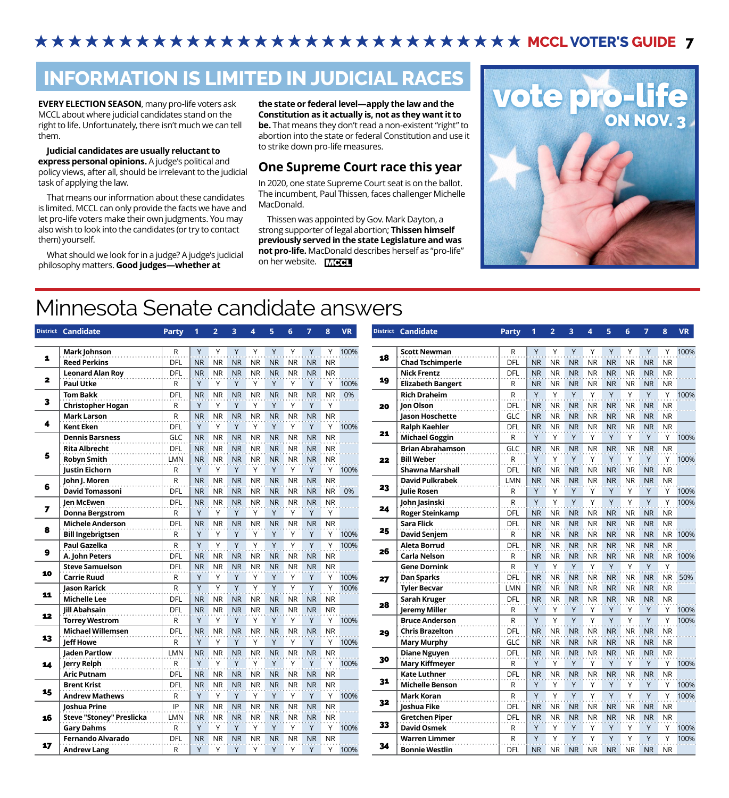## **★★★★★★★★★★★★★★★★★★★★★★★★★★★ MCCL VOTER'S GUIDE 7**

## **INFORMATION IS LIMITED IN JUDICIAL RACES**

**EVERY ELECTION SEASON**, many pro-life voters ask MCCL about where judicial candidates stand on the right to life. Unfortunately, there isn't much we can tell them.

#### **Judicial candidates are usually reluctant to express personal opinions.** A judge's political and policy views, after all, should be irrelevant to the judicial task of applying the law.

That means our information about these candidates is limited. MCCL can only provide the facts we have and let pro-life voters make their own judgments. You may also wish to look into the candidates (or try to contact them) yourself.

What should we look for in a judge? A judge's judicial philosophy matters. **Good judges—whether at** 

**the state or federal level—apply the law and the Constitution as it actually is, not as they want it to be.** That means they don't read a non-existent "right" to abortion into the state or federal Constitution and use it to strike down pro-life measures.

#### **One Supreme Court race this year**

In 2020, one state Supreme Court seat is on the ballot. The incumbent, Paul Thissen, faces challenger Michelle MacDonald.

Thissen was appointed by Gov. Mark Dayton, a strong supporter of legal abortion; **Thissen himself previously served in the state Legislature and was not pro-life.** MacDonald describes herself as "pro-life" on her website. MCCL



## Minnesota Senate candidate answers

|              | District Candidate              | <b>Party</b> |                | $\overline{2}$ | $\overline{\mathbf{3}}$ | 4         | 5              | 6         |                | 8         | <b>VR</b> |    | District Candidate       | <b>Party</b> |                | $\overline{2}$ | 3              | Δ         | 5              | 6         | 7              | 8         | <b>VR</b> |
|--------------|---------------------------------|--------------|----------------|----------------|-------------------------|-----------|----------------|-----------|----------------|-----------|-----------|----|--------------------------|--------------|----------------|----------------|----------------|-----------|----------------|-----------|----------------|-----------|-----------|
|              | Mark Johnson                    | R            | Y              |                |                         | Υ         | Y              | Y         |                | Y         | 100%      |    | <b>Scott Newman</b>      | R            | Y              |                |                |           | Y              |           | Y              | Υ         | 100       |
| 1            | <b>Reed Perkins</b>             | <b>DFL</b>   | <b>NR</b>      | <b>NR</b>      | <b>NR</b>               | <b>NR</b> | <b>NR</b>      | <b>NR</b> | <b>NR</b>      | <b>NR</b> |           | 18 | <b>Chad Tschimperle</b>  | DFL          | <b>NR</b>      | <b>NR</b>      | <b>NR</b>      | <b>NR</b> | <b>NR</b>      | <b>NR</b> | <b>NR</b>      | <b>NR</b> |           |
|              | <b>Leonard Alan Roy</b>         | DFL          | <b>NR</b>      | <b>NR</b>      | <b>NR</b>               | <b>NR</b> | <b>NR</b>      | <b>NR</b> | <b>NR</b>      | <b>NR</b> |           |    | <b>Nick Frentz</b>       | <b>DFL</b>   | <b>NR</b>      | <b>NR</b>      | <b>NR</b>      | <b>NR</b> | <b>NR</b>      | <b>NR</b> | <b>NR</b>      | <b>NR</b> |           |
| $\mathbf{z}$ | <b>Paul Utke</b>                | R            | Y              | Y              |                         | γ         |                |           |                | Y         | 100%      | 19 | <b>Elizabeth Bangert</b> | R            | <b>NR</b>      | <b>NR</b>      | <b>NR</b>      | <b>NR</b> | <b>NR</b>      | NR.       | <b>NR</b>      | <b>NR</b> |           |
|              | <b>Tom Bakk</b>                 | <b>DFL</b>   | <b>NR</b>      | <b>NR</b>      | <b>NR</b>               | <b>NR</b> | <b>NR</b>      | <b>NR</b> | <b>NR</b>      | <b>NR</b> | 0%        |    | <b>Rich Draheim</b>      | $\mathsf{R}$ | Y              | Y              | $\mathsf{Y}$   | $\vee$    | Y              | $\vee$    | Y              | v         | 100       |
| 3            | <b>Christopher Hogan</b>        | R.           | Y              | Y              | Y                       | Y         | Y              | Y         | $\vee$         | Y         |           | 20 | Ion Olson                | DFL          | N <sub>R</sub> | <b>NR</b>      | <b>NR</b>      | <b>NR</b> | <b>NR</b>      | <b>NR</b> | <b>NR</b>      | <b>NR</b> |           |
|              | <b>Mark Larson</b>              | $\mathsf R$  | <b>NR</b>      | <b>NR</b>      | <b>NR</b>               | <b>NR</b> | <b>NR</b>      | <b>NR</b> | <b>NR</b>      | <b>NR</b> |           |    | Jason Hoschette          | GLC          | N <sub>R</sub> | <b>NR</b>      | <b>NR</b>      | <b>NR</b> | <b>NR</b>      | <b>NR</b> | <b>NR</b>      | <b>NR</b> |           |
| 4            | <b>Kent Eken</b>                | DFL          | Y              | Y              | Y                       | Y         | Y              | Y         |                | Y         | 100%      |    | <b>Ralph Kaehler</b>     | DFL          | <b>NR</b>      | <b>NR</b>      | <b>NR</b>      | <b>NR</b> | <b>NR</b>      | <b>NR</b> | <b>NR</b>      | <b>NR</b> |           |
|              | <b>Dennis Barsness</b>          | <b>GLC</b>   | <b>NR</b>      | <b>NR</b>      | <b>NR</b>               | <b>NR</b> | <b>NR</b>      | <b>NR</b> | <b>NR</b>      | <b>NR</b> |           | 21 | <b>Michael Goggin</b>    | $\mathsf{R}$ | Y              | Y              | Y              | Y         | Y              | Y         | Y              | Y         | 100       |
|              | <b>Rita Albrecht</b>            | DFL          | <b>NR</b>      | <b>NR</b>      | <b>NR</b>               | <b>NR</b> | <b>NR</b>      | <b>NR</b> | <b>NR</b>      | <b>NR</b> |           |    | <b>Brian Abrahamson</b>  | GLC          | <b>NR</b>      | <b>NR</b>      | <b>NR</b>      | <b>NR</b> | <b>NR</b>      | <b>NR</b> | <b>NR</b>      | <b>NR</b> |           |
| 5            | <b>Robyn Smith</b>              | LMN          |                | NR NR          |                         | NR NR     | N <sub>R</sub> | NR.       | <b>NR</b>      | <b>NR</b> |           | 22 | <b>Bill Weber</b>        | $\mathsf{R}$ | Y              |                |                | Y         | Y              | Υ         | Y              |           | Y 100     |
|              | <b>Iustin Eichorn</b>           | R.           | Y              |                |                         |           |                |           |                | Y         | 100%      |    | <b>Shawna Marshall</b>   | DFL          | N <sub>R</sub> | <b>NR</b>      | NR.            | <b>NR</b> | <b>NR</b>      | <b>NR</b> | <b>NR</b>      | <b>NR</b> |           |
|              | John J. Moren                   | $\mathsf{R}$ | <b>NR</b>      | <b>NR</b>      | <b>NR</b>               | <b>NR</b> | <b>NR</b>      | <b>NR</b> | <b>NR</b>      | <b>NR</b> |           |    | <b>David Pulkrabek</b>   | LMN          | <b>NR</b>      | <b>NR</b>      | <b>NR</b>      | <b>NR</b> | <b>NR</b>      | <b>NR</b> | <b>NR</b>      | <b>NR</b> |           |
| 6            | <b>David Tomassoni</b>          | DFL          | N <sub>R</sub> | <b>NR</b>      | <b>NR</b>               | <b>NR</b> | <b>NR</b>      | <b>NR</b> | N <sub>R</sub> | NR.       | 0%        | 23 | <b>Iulie Rosen</b>       | R            | Y              | Υ              |                | Y         | Y              | Υ         | Y              | Υ         | 100       |
|              | <b>Ien McEwen</b>               | DFL          | <b>NR</b>      | <b>NR</b>      | <b>NR</b>               | <b>NR</b> | <b>NR</b>      | <b>NR</b> | <b>NR</b>      | <b>NR</b> |           |    | John Jasinski            | $\mathsf{R}$ | Y              | Y              | Y              | Y         | Y              | Y         | Y              | $\vee$    | 100       |
| 7            | <b>Donna Bergstrom</b>          | R            | Y              | Y              | Y                       | γ         | Y              | Y         |                | Y         |           | 24 | <b>Roger Steinkamp</b>   | DFL          | <b>NR</b>      | <b>NR</b>      | <b>NR</b>      | <b>NR</b> | <b>NR</b>      | <b>NR</b> | <b>NR</b>      | <b>NR</b> |           |
|              | <b>Michele Anderson</b>         | DFL          | <b>NR</b>      | <b>NR</b>      | <b>NR</b>               | <b>NR</b> | <b>NR</b>      | <b>NR</b> | <b>NR</b>      | <b>NR</b> |           |    | <b>Sara Flick</b>        | <b>DFL</b>   | <b>NR</b>      | <b>NR</b>      | <b>NR</b>      | <b>NR</b> | <b>NR</b>      | <b>NR</b> | <b>NR</b>      | <b>NR</b> |           |
| 8            | <b>Bill Ingebrigtsen</b>        | R            | Y              | Y              | Y                       | Y         | Υ              | Υ         | Y              | Y         | 100%      | 25 | <b>David Senjem</b>      | $\mathsf{R}$ | <b>NR</b>      | <b>NR</b>      | <b>NR</b>      | <b>NR</b> | <b>NR</b>      | <b>NR</b> | <b>NR</b>      | NR 100    |           |
|              | <b>Paul Gazelka</b>             | R            | Y              | Y              | Y                       | Y         | Y              | Y         |                | Y         | 100%      |    | <b>Aleta Borrud</b>      | <b>DFL</b>   | <b>NR</b>      | <b>NR</b>      | <b>NR</b>      | <b>NR</b> | <b>NR</b>      | <b>NR</b> | <b>NR</b>      | <b>NR</b> |           |
| 9            | A. John Peters                  | <b>DFL</b>   | N <sub>R</sub> | <b>NR</b>      | <b>NR</b>               | NR.       | N <sub>R</sub> | <b>NR</b> | <b>NR</b>      | <b>NR</b> |           | 26 | <b>Carla Nelson</b>      | R            | <b>NR</b>      | <b>NR</b>      | N <sub>R</sub> | <b>NR</b> | N <sub>R</sub> | <b>NR</b> | <b>NR</b>      | NR 100    |           |
|              | <b>Steve Samuelson</b>          | DFL          | <b>NR</b>      | <b>NR</b>      | <b>NR</b>               | <b>NR</b> | <b>NR</b>      | <b>NR</b> | <b>NR</b>      | <b>NR</b> |           |    | <b>Gene Dornink</b>      | $\mathsf{R}$ | Y              |                | $\mathsf{Y}$   | Y         | Y              | $\vee$    | Y              | Y         |           |
| 10           | <b>Carrie Ruud</b>              | R            | Y              | Y              | γ                       | γ         |                | Y         |                | Υ         | 100%      | 27 | Dan Sparks               | DFL          | <b>NR</b>      | <b>NR</b>      | <b>NR</b>      | <b>NR</b> | <b>NR</b>      | <b>NR</b> | <b>NR</b>      | NR 50     |           |
|              | Jason Rarick                    | R            | Y              | Y              | Y                       | V         | Y              | V         | $\vee$         | Y         | 100%      |    | <b>Tyler Becvar</b>      | LMN          | <b>NR</b>      | <b>NR</b>      | <b>NR</b>      | <b>NR</b> | <b>NR</b>      | <b>NR</b> | <b>NR</b>      | <b>NR</b> |           |
| 11           | <b>Michelle Lee</b>             | DFL          | <b>NR</b>      | <b>NR</b>      | <b>NR</b>               | <b>NR</b> | <b>NR</b>      | <b>NR</b> | <b>NR</b>      | <b>NR</b> |           |    | Sarah Kruger             | DFL          | N <sub>R</sub> | <b>NR</b>      | <b>NR</b>      | <b>NR</b> | <b>NR</b>      | <b>NR</b> | <b>NR</b>      | <b>NR</b> |           |
|              | <b>Iill Abahsain</b>            | DFL          | <b>NR</b>      | <b>NR</b>      | <b>NR</b>               | <b>NR</b> | <b>NR</b>      | <b>NR</b> | <b>NR</b>      | <b>NR</b> |           | 28 | <b>Jeremy Miller</b>     | R            | Y              | Y              | Y              | Y         | Y              | Y         | Y              | Y         | 100       |
| 12           | <b>Torrey Westrom</b>           | R            | Y              | Y              | Y                       | Y         | Y              | Y         | Y              | Y         | 100%      |    | <b>Bruce Anderson</b>    | $\mathsf{R}$ | $\mathsf{Y}$   | Y              |                | $\vee$    | $\mathsf{Y}$   | $\vee$    | Y              | Y         | 100       |
|              | <b>Michael Willemsen</b>        | DFL          | <b>NR</b>      | <b>NR</b>      | <b>NR</b>               | <b>NR</b> | <b>NR</b>      | <b>NR</b> | <b>NR</b>      | <b>NR</b> |           | 29 | <b>Chris Brazelton</b>   | DFL          | N <sub>R</sub> | <b>NR</b>      | <b>NR</b>      | <b>NR</b> | <b>NR</b>      | NR        | NR NR          |           |           |
| 13           | <b>Jeff Howe</b>                | R            | Y              | Υ              |                         | Υ         |                | Υ         |                | Y         | 100%      |    | <b>Mary Murphy</b>       | GLC          | N <sub>R</sub> | <b>NR</b>      | <b>NR</b>      | NR.       | <b>NR</b>      | NR.       | N <sub>R</sub> | <b>NR</b> |           |
|              | <b>Iaden Partlow</b>            | <b>LMN</b>   | <b>NR</b>      | <b>NR</b>      | <b>NR</b>               | <b>NR</b> | <b>NR</b>      | <b>NR</b> | <b>NR</b>      | <b>NR</b> |           |    | <b>Diane Nguyen</b>      | <b>DFL</b>   | NR.            | <b>NR</b>      | <b>NR</b>      | NR.       | <b>NR</b>      | <b>NR</b> | <b>NR</b>      | <b>NR</b> |           |
| 14           | <b>Jerry Relph</b>              | R            | Y              | Y              | Y                       | $\vee$    | $\vee$         | $\vee$    |                | Y         | 100%      | 30 | <b>Mary Kiffmeyer</b>    | $\mathsf{R}$ | Y              | Y              | Y              | Y         | Y              | Y         | Y              | Y         | 100       |
|              | <b>Aric Putnam</b>              | DFL          | <b>NR</b>      | <b>NR</b>      | <b>NR</b>               | <b>NR</b> | <b>NR</b>      | <b>NR</b> | <b>NR</b>      | <b>NR</b> |           |    | <b>Kate Luthner</b>      | DFL          | <b>NR</b>      | <b>NR</b>      | <b>NR</b>      | <b>NR</b> | <b>NR</b>      | <b>NR</b> | <b>NR</b>      | <b>NR</b> |           |
|              | <b>Brent Krist</b>              | <b>DFL</b>   | <b>NR</b>      | <b>NR</b>      | <b>NR</b>               | <b>NR</b> | <b>NR</b>      | <b>NR</b> | <b>NR</b>      | <b>NR</b> |           | 31 | <b>Michelle Benson</b>   | R            | Y              | Y              |                | Υ         | Y              | Υ         | Y              | Y         | 100       |
| 15           | <b>Andrew Mathews</b>           | R.           | Y              | Y              | Y                       | γ         | Y              | Y         |                | Y         | 100%      |    | <b>Mark Koran</b>        | $\mathsf{R}$ | Y              | Y              | Y              | Y         | Y              | Y         | Y              | Y         | 100       |
|              | <b>Ioshua Prine</b>             | IP           | <b>NR</b>      | <b>NR</b>      | <b>NR</b>               | <b>NR</b> | <b>NR</b>      | <b>NR</b> | <b>NR</b>      | <b>NR</b> |           | 32 | Joshua Fike              | DFL          | <b>NR</b>      | <b>NR</b>      | <b>NR</b>      | <b>NR</b> | <b>NR</b>      | <b>NR</b> | <b>NR</b>      | <b>NR</b> |           |
| 16           | <b>Steve "Stoney" Preslicka</b> | <b>LMN</b>   | <b>NR</b>      | <b>NR</b>      | <b>NR</b>               | NR        | <b>NR</b>      | NR.       | <b>NR</b>      | <b>NR</b> |           |    | <b>Gretchen Piper</b>    | DFL          | <b>NR</b>      | <b>NR</b>      | <b>NR</b>      | <b>NR</b> | <b>NR</b>      | <b>NR</b> | <b>NR</b>      | <b>NR</b> |           |
|              | <b>Gary Dahms</b>               | R            | Y              | Y              |                         | ٧         |                | Υ         |                | Y         | 100%      | 33 | <b>David Osmek</b>       | R            | Y              | Y              |                | ٧         | Y              | Υ         |                | Υ         | 100       |
|              | <b>Fernando Alvarado</b>        | DFL          | <b>NR</b>      | <b>NR</b>      | <b>NR</b>               | <b>NR</b> | <b>NR</b>      | <b>NR</b> | <b>NR</b>      | <b>NR</b> |           |    | <b>Warren Limmer</b>     | $\mathsf{R}$ | Y              |                |                |           |                |           |                | Y         | 100       |
| 17           | <b>Andrew Lang</b>              | R            | Y              | Y              | Y                       | Y         | Υ              | Y         | Y              | Y         | 100%      | 34 | <b>Bonnie Westlin</b>    | DFL          | N <sub>R</sub> | <b>NR</b>      | NR.            | <b>NR</b> | <b>NR</b>      | <b>NR</b> | <b>NR</b>      | <b>NR</b> |           |

| <b>District</b> | <b>Candidate</b>         | <b>Party</b> | 1            | $\overline{2}$ | 3         | 4         | 5         | 6         | $\overline{7}$ | 8         | <b>VR</b> |  |
|-----------------|--------------------------|--------------|--------------|----------------|-----------|-----------|-----------|-----------|----------------|-----------|-----------|--|
|                 |                          |              |              |                |           |           |           |           |                |           |           |  |
| 18              | <b>Scott Newman</b>      | R            | Y            | Υ              | Y         | Υ         | Y         | Υ         | Y              | Υ         | 100%      |  |
|                 | <b>Chad Tschimperle</b>  | DFL          | <b>NR</b>    | <b>NR</b>      | <b>NR</b> | <b>NR</b> | <b>NR</b> | <b>NR</b> | <b>NR</b>      | <b>NR</b> |           |  |
| 19              | <b>Nick Frentz</b>       | DFL          | <b>NR</b>    | <b>NR</b>      | <b>NR</b> | <b>NR</b> | <b>NR</b> | NR        | <b>NR</b>      | <b>NR</b> |           |  |
|                 | <b>Elizabeth Bangert</b> | R            | <b>NR</b>    | <b>NR</b>      | <b>NR</b> | <b>NR</b> | <b>NR</b> | <b>NR</b> | <b>NR</b>      | <b>NR</b> |           |  |
|                 | <b>Rich Draheim</b>      | R            | $\mathsf{Y}$ | Y              | Y         | Υ         | Y         | Υ         | Y              | Υ         | 100%      |  |
| 20              | Jon Olson                | DFL          | <b>NR</b>    | <b>NR</b>      | <b>NR</b> | <b>NR</b> | <b>NR</b> | <b>NR</b> | <b>NR</b>      | <b>NR</b> |           |  |
|                 | Jason Hoschette          | GLC          | <b>NR</b>    | <b>NR</b>      | <b>NR</b> | <b>NR</b> | <b>NR</b> | <b>NR</b> | <b>NR</b>      | <b>NR</b> |           |  |
|                 | <b>Ralph Kaehler</b>     | DFL          | <b>NR</b>    | <b>NR</b>      | <b>NR</b> | <b>NR</b> | <b>NR</b> | <b>NR</b> | <b>NR</b>      | <b>NR</b> |           |  |
| 21              | <b>Michael Goggin</b>    | R            | Υ            | Υ              | Υ         | Υ         | Υ         | Υ         | Υ              | Υ         | 100%      |  |
|                 | <b>Brian Abrahamson</b>  | GLC          | <b>NR</b>    | <b>NR</b>      | <b>NR</b> | <b>NR</b> | <b>NR</b> | <b>NR</b> | <b>NR</b>      | <b>NR</b> |           |  |
| 22              | <b>Bill Weber</b>        | R            | Υ            | Υ              | Y         | Υ         | Y         | Υ         | Y              | Υ         | 100%      |  |
|                 | <b>Shawna Marshall</b>   | DFL          | <b>NR</b>    | <b>NR</b>      | <b>NR</b> | <b>NR</b> | <b>NR</b> | <b>NR</b> | <b>NR</b>      | <b>NR</b> |           |  |
| 23              | <b>David Pulkrabek</b>   | <b>LMN</b>   | <b>NR</b>    | <b>NR</b>      | <b>NR</b> | <b>NR</b> | <b>NR</b> | <b>NR</b> | <b>NR</b>      | <b>NR</b> |           |  |
|                 | <b>Julie Rosen</b>       | R            | Y            | Υ              | Υ         | Υ         | Y         | Y         | Y              | Υ         | 100%      |  |
| 24              | John Jasinski            | R            | $\mathsf{Y}$ | Υ              | Y         | Υ         | Y         | Y         | Y              | Y         | 100%      |  |
|                 | <b>Roger Steinkamp</b>   | DFL          | <b>NR</b>    | <b>NR</b>      | <b>NR</b> | <b>NR</b> | <b>NR</b> | <b>NR</b> | <b>NR</b>      | <b>NR</b> |           |  |
| 25              | <b>Sara Flick</b>        | DFL          | <b>NR</b>    | <b>NR</b>      | <b>NR</b> | <b>NR</b> | <b>NR</b> | <b>NR</b> | <b>NR</b>      | <b>NR</b> |           |  |
|                 | <b>David Senjem</b>      | R            | <b>NR</b>    | <b>NR</b>      | <b>NR</b> | <b>NR</b> | <b>NR</b> | <b>NR</b> | <b>NR</b>      | <b>NR</b> | 100%      |  |
| 26              | <b>Aleta Borrud</b>      | DFL          | <b>NR</b>    | <b>NR</b>      | <b>NR</b> | <b>NR</b> | <b>NR</b> | NR        | <b>NR</b>      | <b>NR</b> |           |  |
|                 | <b>Carla Nelson</b>      | R            | <b>NR</b>    | <b>NR</b>      | <b>NR</b> | <b>NR</b> | <b>NR</b> | <b>NR</b> | <b>NR</b>      | <b>NR</b> | 100%      |  |
| 27              | <b>Gene Dornink</b>      | R            | Y            | Y              | Y         | Y         | Y         | Y         | Y              | Y         |           |  |
|                 | <b>Dan Sparks</b>        | DFL          | <b>NR</b>    | <b>NR</b>      | <b>NR</b> | <b>NR</b> | <b>NR</b> | <b>NR</b> | <b>NR</b>      | <b>NR</b> | 50%       |  |
|                 | <b>Tyler Becvar</b>      | <b>LMN</b>   | <b>NR</b>    | <b>NR</b>      | <b>NR</b> | <b>NR</b> | <b>NR</b> | <b>NR</b> | <b>NR</b>      | <b>NR</b> |           |  |
| 28              | Sarah Kruger             | DFL          | <b>NR</b>    | <b>NR</b>      | <b>NR</b> | <b>NR</b> | <b>NR</b> | <b>NR</b> | <b>NR</b>      | <b>NR</b> |           |  |
|                 | <b>Jeremy Miller</b>     | R            | Y            | Y              | Y         | Υ         | Y         | Υ         | Y              | Υ         | 100%      |  |
| 29              | <b>Bruce Anderson</b>    | $\mathsf R$  | Y            | Υ              | Y         | Υ         | Y         | Y         | Y              | Υ         | 100%      |  |
|                 | <b>Chris Brazelton</b>   | DFL          | <b>NR</b>    | <b>NR</b>      | <b>NR</b> | ΝR        | <b>NR</b> | <b>NR</b> | <b>NR</b>      | <b>NR</b> |           |  |
|                 | <b>Mary Murphy</b>       | GLC          | <b>NR</b>    | <b>NR</b>      | <b>NR</b> | NR.       | <b>NR</b> | <b>NR</b> | <b>NR</b>      | <b>NR</b> |           |  |
| 30              | <b>Diane Nguyen</b>      | DFL          | <b>NR</b>    | <b>NR</b>      | <b>NR</b> | <b>NR</b> | <b>NR</b> | <b>NR</b> | <b>NR</b>      | <b>NR</b> |           |  |
|                 | <b>Mary Kiffmeyer</b>    | R            | Y            | Υ              | Y         | Υ         | Y         | Y         | Υ              | Υ         | 100%      |  |
| 31              | <b>Kate Luthner</b>      | DFL          | <b>NR</b>    | <b>NR</b>      | <b>NR</b> | <b>NR</b> | <b>NR</b> | <b>NR</b> | <b>NR</b>      | <b>NR</b> |           |  |
|                 | <b>Michelle Benson</b>   | R            | Y            | Υ              | Υ         | Υ         | Y         | Y         | Y              | Υ         | 100%      |  |
| 32              | <b>Mark Koran</b>        | R            | $\mathsf{Y}$ | Υ              | Y         | Υ         | Y         | Y         | Y              | Y         | 100%      |  |
|                 | Joshua Fike              | DFL          | <b>NR</b>    | <b>NR</b>      | <b>NR</b> | <b>NR</b> | <b>NR</b> | <b>NR</b> | <b>NR</b>      | <b>NR</b> |           |  |
| 33              | <b>Gretchen Piper</b>    | DFL          | <b>NR</b>    | <b>NR</b>      | <b>NR</b> | <b>NR</b> | <b>NR</b> | <b>NR</b> | <b>NR</b>      | <b>NR</b> |           |  |
|                 | <b>David Osmek</b>       | R            | Y            | Υ              | Y         | Υ         | Y         | Υ         | Υ              | Υ         | 100%      |  |
| 34              | <b>Warren Limmer</b>     | $\mathsf R$  | Y            | Y              | Y         | Υ         | Y         | Y         | Y              | Y         | 100%      |  |
|                 | <b>Bonnie Westlin</b>    | DFL          | <b>NR</b>    | <b>NR</b>      | <b>NR</b> | <b>NR</b> | <b>NR</b> | <b>NR</b> | <b>NR</b>      | <b>NR</b> |           |  |